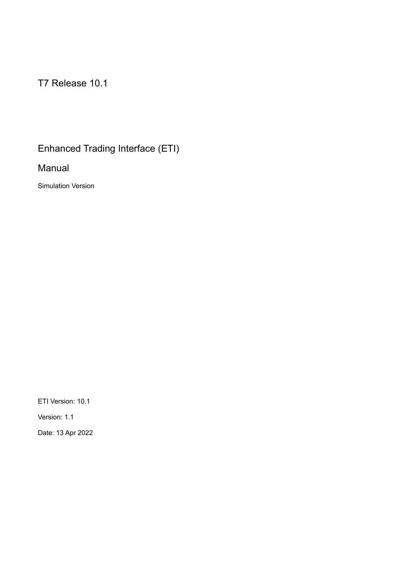T7 Release 10.1

# Enhanced Trading Interface (ETI)

Manual

Simulation Version

ETI Version: 10.1

Version: 1.1

Date: 13 Apr 2022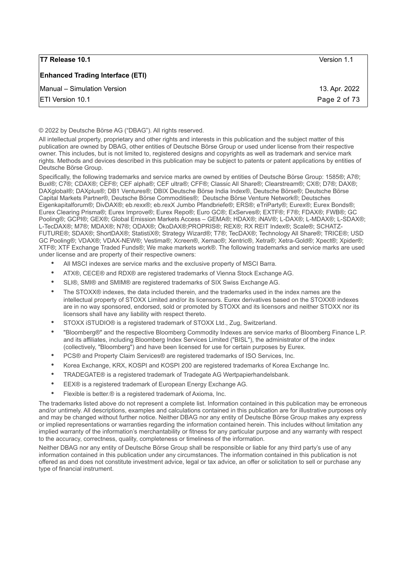| <b>T7 Release 10.1</b>                  | Version 1.1   |
|-----------------------------------------|---------------|
| <b>Enhanced Trading Interface (ETI)</b> |               |
| Manual - Simulation Version             | 13. Apr. 2022 |
| <b>ETI Version 10.1</b>                 | Page 2 of 73  |

© 2022 by Deutsche Börse AG ("DBAG"). All rights reserved.

All intellectual property, proprietary and other rights and interests in this publication and the subject matter of this publication are owned by DBAG, other entities of Deutsche Börse Group or used under license from their respective owner. This includes, but is not limited to, registered designs and copyrights as well as trademark and service mark rights. Methods and devices described in this publication may be subject to patents or patent applications by entities of Deutsche Börse Group.

Specifically, the following trademarks and service marks are owned by entities of Deutsche Börse Group: 1585®; A7®; Buxl®; C7®; CDAX®; CEF®; CEF alpha®; CEF ultra®; CFF®; Classic All Share®; Clearstream®; CX®; D7®; DAX®; DAXglobal®; DAXplus®; DB1 Ventures®; DBIX Deutsche Börse India Index®, Deutsche Börse®; Deutsche Börse Capital Markets Partner®, Deutsche Börse Commodities®; Deutsche Börse Venture Network®; Deutsches Eigenkapitalforum®; DivDAX®; eb.rexx®; eb.rexX Jumbo Pfandbriefe®; ERS®; eTriParty®; Eurex®; Eurex Bonds®; Eurex Clearing Prisma®; Eurex Improve®; Eurex Repo®; Euro GC®; ExServes®; EXTF®; F7®; FDAX®; FWB®; GC Pooling®; GCPI®; GEX®; Global Emission Markets Access – GEMA®; HDAX®; iNAV®; L-DAX®; L-MDAX®; L-SDAX®; L-TecDAX®; M7®; MDAX®; N7®; ODAX®; ÖkoDAX®;PROPRIS®; REX®; RX REIT Index®; Scale®; SCHATZ-FUTURE®; SDAX®; ShortDAX®; StatistiX®; Strategy Wizard®; T7®; TecDAX®; Technology All Share®; TRICE®; USD GC Pooling®; VDAX®; VDAX-NEW®; Vestima®; Xcreen®, Xemac®; Xentric®, Xetra®; Xetra-Gold®; Xpect®; Xpider®; XTF®; XTF Exchange Traded Funds®; We make markets work®. The following trademarks and service marks are used under license and are property of their respective owners:

- All MSCI indexes are service marks and the exclusive property of MSCI Barra.
- ATX®, CECE® and RDX® are registered trademarks of Vienna Stock Exchange AG.
- SLI®, SMI® and SMIM® are registered trademarks of SIX Swiss Exchange AG.
- The STOXX® indexes, the data included therein, and the trademarks used in the index names are the intellectual property of STOXX Limited and/or its licensors. Eurex derivatives based on the STOXX® indexes are in no way sponsored, endorsed, sold or promoted by STOXX and its licensors and neither STOXX nor its licensors shall have any liability with respect thereto.
- STOXX iSTUDIO® is a registered trademark of STOXX Ltd., Zug, Switzerland.
- "Bloomberg®" and the respective Bloomberg Commodity Indexes are service marks of Bloomberg Finance L.P. and its affiliates, including Bloomberg Index Services Limited ("BISL"), the administrator of the index (collectively, "Bloomberg") and have been licensed for use for certain purposes by Eurex.
- PCS® and Property Claim Services® are registered trademarks of ISO Services, Inc.
- Korea Exchange, KRX, KOSPI and KOSPI 200 are registered trademarks of Korea Exchange Inc.
- TRADEGATE® is a registered trademark of Tradegate AG Wertpapierhandelsbank.
- EEX® is a registered trademark of European Energy Exchange AG.
- Flexible is better.® is a registered trademark of Axioma, Inc.

The trademarks listed above do not represent a complete list. Information contained in this publication may be erroneous and/or untimely. All descriptions, examples and calculations contained in this publication are for illustrative purposes only and may be changed without further notice. Neither DBAG nor any entity of Deutsche Börse Group makes any express or implied representations or warranties regarding the information contained herein. This includes without limitation any implied warranty of the information's merchantability or fitness for any particular purpose and any warranty with respect to the accuracy, correctness, quality, completeness or timeliness of the information.

Neither DBAG nor any entity of Deutsche Börse Group shall be responsible or liable for any third party's use of any information contained in this publication under any circumstances. The information contained in this publication is not offered as and does not constitute investment advice, legal or tax advice, an offer or solicitation to sell or purchase any type of financial instrument.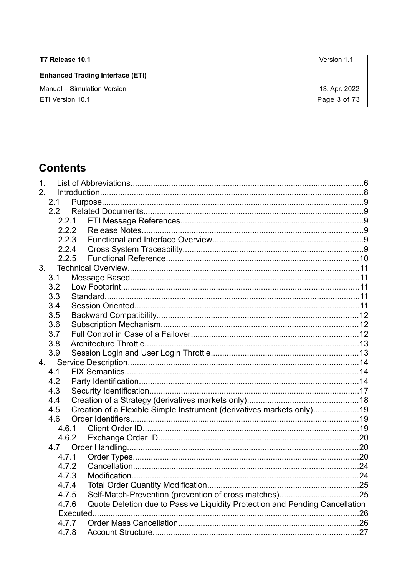| T7 Release 10.1                         | Version 1.1   |
|-----------------------------------------|---------------|
| <b>Enhanced Trading Interface (ETI)</b> |               |
| Manual - Simulation Version             | 13. Apr. 2022 |
| <b>ETI Version 10.1</b>                 | Page 3 of 73  |
|                                         |               |

# **Contents**

| 1. |       |          |                                                                             |     |
|----|-------|----------|-----------------------------------------------------------------------------|-----|
| 2. |       |          |                                                                             |     |
|    | 2.1   |          |                                                                             |     |
|    | 2.2   |          |                                                                             |     |
|    | 2.2.1 |          |                                                                             |     |
|    | 2.2.2 |          |                                                                             |     |
|    | 2.2.3 |          |                                                                             |     |
|    | 2.2.4 |          |                                                                             |     |
|    | 2.2.5 |          |                                                                             |     |
| 3. |       |          |                                                                             |     |
|    | 3.1   |          |                                                                             |     |
|    | 3.2   |          |                                                                             |     |
|    | 3.3   |          |                                                                             |     |
|    | 3.4   |          |                                                                             |     |
|    | 3.5   |          |                                                                             |     |
|    | 3.6   |          |                                                                             |     |
|    | 3.7   |          |                                                                             |     |
|    | 3.8   |          |                                                                             |     |
|    | 3.9   |          |                                                                             |     |
| 4. |       |          |                                                                             |     |
|    | 4.1   |          |                                                                             |     |
|    | 4.2   |          |                                                                             |     |
|    | 4.3   |          |                                                                             |     |
|    | 4.4   |          |                                                                             |     |
|    | 4.5   |          | Creation of a Flexible Simple Instrument (derivatives markets only)19       |     |
|    | 4.6   |          |                                                                             |     |
|    | 4.6.1 |          |                                                                             |     |
|    | 4.6.2 |          |                                                                             |     |
|    | 4.7   |          |                                                                             |     |
|    | 4.7.1 |          |                                                                             |     |
|    | 4.7.2 |          |                                                                             |     |
|    | 4.7.3 |          |                                                                             |     |
|    | 4.7.4 |          |                                                                             |     |
|    | 4.7.5 |          |                                                                             |     |
|    | 4.7.6 |          | Quote Deletion due to Passive Liquidity Protection and Pending Cancellation |     |
|    |       | Executed |                                                                             | .26 |
|    | 4.7.7 |          |                                                                             |     |
|    | 4.7.8 |          |                                                                             |     |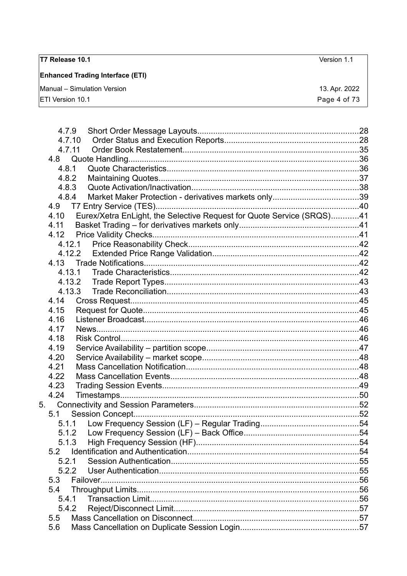| <b>T7 Release 10.1</b>                  | Version 1.1   |
|-----------------------------------------|---------------|
| <b>Enhanced Trading Interface (ETI)</b> |               |
| Manual - Simulation Version             | 13. Apr. 2022 |
| <b>ETI Version 10.1</b>                 | Page 4 of 73  |
|                                         |               |
|                                         |               |

|    | 4.7.9          |                                                                       |  |
|----|----------------|-----------------------------------------------------------------------|--|
|    | 4.7.10         |                                                                       |  |
|    | 4.7.11         |                                                                       |  |
|    | 4.8            |                                                                       |  |
|    | 4.8.1          |                                                                       |  |
|    | 4.8.2          |                                                                       |  |
|    | 4.8.3          |                                                                       |  |
|    | 4.8.4          |                                                                       |  |
|    |                |                                                                       |  |
|    | 4.10           | Eurex/Xetra EnLight, the Selective Request for Quote Service (SRQS)41 |  |
|    | 4.11           |                                                                       |  |
|    | 4.12           |                                                                       |  |
|    |                |                                                                       |  |
|    |                | 4.12.2                                                                |  |
|    |                |                                                                       |  |
|    | 4.13.1         |                                                                       |  |
|    |                | 4.13.2                                                                |  |
|    |                | 4.13.3                                                                |  |
|    | 4.14           |                                                                       |  |
|    | 4.15           |                                                                       |  |
|    | 4.16           |                                                                       |  |
|    | 4.17           |                                                                       |  |
|    | 4.18           |                                                                       |  |
|    | 4.19           |                                                                       |  |
|    | 4.20           |                                                                       |  |
|    | 4.21           |                                                                       |  |
|    | 4.22           |                                                                       |  |
|    | 4.23           |                                                                       |  |
|    | 4.24           |                                                                       |  |
| 5. |                |                                                                       |  |
|    | 5.1            |                                                                       |  |
|    |                |                                                                       |  |
|    | 5.1.2<br>5.1.3 |                                                                       |  |
|    | 5.2            |                                                                       |  |
|    | 5.2.1          |                                                                       |  |
|    | 5.2.2          |                                                                       |  |
|    | 5.3            |                                                                       |  |
|    | 5.4            |                                                                       |  |
|    | 5.4.1          |                                                                       |  |
|    | 5.4.2          |                                                                       |  |
|    | 5.5            |                                                                       |  |
|    | 5.6            |                                                                       |  |
|    |                |                                                                       |  |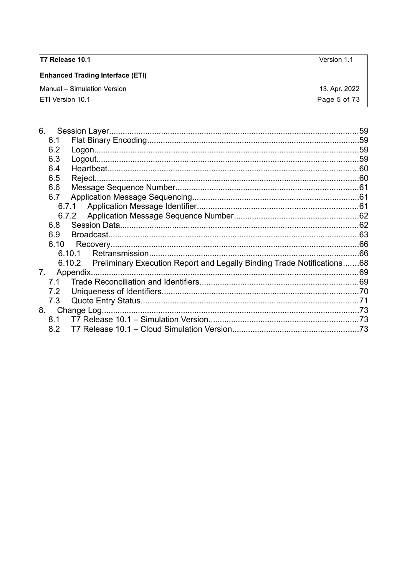| <b>T7 Release 10.1</b>                  | Version 1.1   |
|-----------------------------------------|---------------|
| <b>Enhanced Trading Interface (ETI)</b> |               |
| Manual – Simulation Version             | 13. Apr. 2022 |
| <b>IETI Version 10.1</b>                | Page 5 of 73  |

| 6.   |                                                                               |  |
|------|-------------------------------------------------------------------------------|--|
| 6.1  |                                                                               |  |
| 6.2  |                                                                               |  |
| 6.3  |                                                                               |  |
| 6.4  |                                                                               |  |
| 6.5  |                                                                               |  |
| 6.6  |                                                                               |  |
| 6.7  |                                                                               |  |
|      |                                                                               |  |
|      | 6.7.2                                                                         |  |
| 6.8  |                                                                               |  |
| 6.9  |                                                                               |  |
| 6.10 |                                                                               |  |
|      | 6.10.1                                                                        |  |
|      | 6.10.2 Preliminary Execution Report and Legally Binding Trade Notifications68 |  |
| 7.   | Appendix.                                                                     |  |
| 7.1  |                                                                               |  |
| 7.2  |                                                                               |  |
| 7.3  |                                                                               |  |
| 8.   | Change Log                                                                    |  |
|      |                                                                               |  |
| 8.2  |                                                                               |  |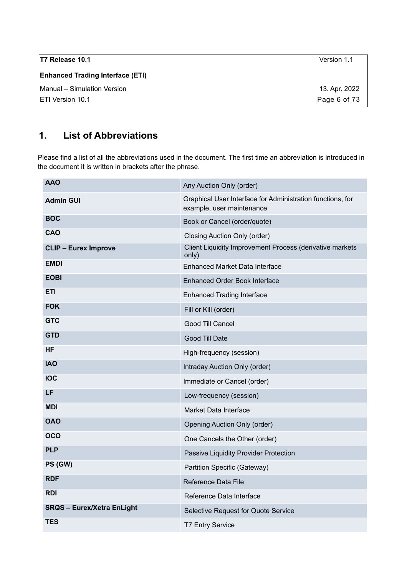| T7 Release 10.1                         | Version 1.1   |
|-----------------------------------------|---------------|
| <b>Enhanced Trading Interface (ETI)</b> |               |
| Manual - Simulation Version             | 13. Apr. 2022 |
| <b>IETI Version 10.1</b>                | Page 6 of 73  |

# <span id="page-5-0"></span>**1. List of Abbreviations**

Please find a list of all the abbreviations used in the document. The first time an abbreviation is introduced in the document it is written in brackets after the phrase.

| <b>AAO</b>                        | Any Auction Only (order)                                                                |
|-----------------------------------|-----------------------------------------------------------------------------------------|
| <b>Admin GUI</b>                  | Graphical User Interface for Administration functions, for<br>example, user maintenance |
| <b>BOC</b>                        | Book or Cancel (order/quote)                                                            |
| CAO                               | <b>Closing Auction Only (order)</b>                                                     |
| <b>CLIP - Eurex Improve</b>       | Client Liquidity Improvement Process (derivative markets<br>only)                       |
| <b>EMDI</b>                       | <b>Enhanced Market Data Interface</b>                                                   |
| <b>EOBI</b>                       | <b>Enhanced Order Book Interface</b>                                                    |
| <b>ETI</b>                        | <b>Enhanced Trading Interface</b>                                                       |
| <b>FOK</b>                        | Fill or Kill (order)                                                                    |
| <b>GTC</b>                        | Good Till Cancel                                                                        |
| <b>GTD</b>                        | Good Till Date                                                                          |
| HF                                | High-frequency (session)                                                                |
| <b>IAO</b>                        | Intraday Auction Only (order)                                                           |
| <b>IOC</b>                        | Immediate or Cancel (order)                                                             |
| LF                                | Low-frequency (session)                                                                 |
| <b>MDI</b>                        | Market Data Interface                                                                   |
| <b>OAO</b>                        | <b>Opening Auction Only (order)</b>                                                     |
| <b>OCO</b>                        | One Cancels the Other (order)                                                           |
| <b>PLP</b>                        | Passive Liquidity Provider Protection                                                   |
| PS (GW)                           | Partition Specific (Gateway)                                                            |
| <b>RDF</b>                        | Reference Data File                                                                     |
| <b>RDI</b>                        | Reference Data Interface                                                                |
| <b>SRQS - Eurex/Xetra EnLight</b> | Selective Request for Quote Service                                                     |
| <b>TES</b>                        | <b>T7 Entry Service</b>                                                                 |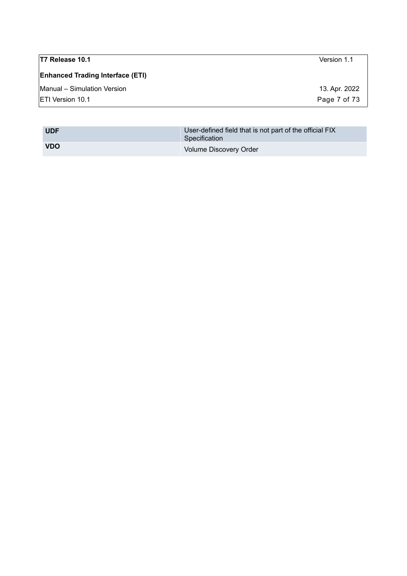| T7 Release 10.1                         | Version 1.1   |
|-----------------------------------------|---------------|
| <b>Enhanced Trading Interface (ETI)</b> |               |
| Manual - Simulation Version             | 13. Apr. 2022 |
| <b>ETI Version 10.1</b>                 | Page 7 of 73  |
|                                         |               |

| <b>UDF</b> | User-defined field that is not part of the official FIX<br>Specification |
|------------|--------------------------------------------------------------------------|
| <b>VDO</b> | Volume Discovery Order                                                   |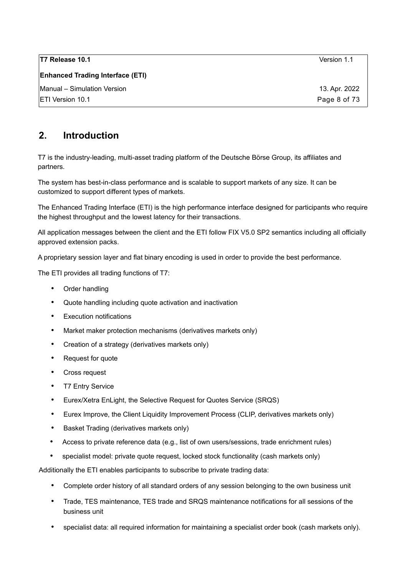| T7 Release 10.1                         | Version 1.1   |
|-----------------------------------------|---------------|
| <b>Enhanced Trading Interface (ETI)</b> |               |
| Manual - Simulation Version             | 13. Apr. 2022 |
| IETI Version 10.1                       | Page 8 of 73  |

# <span id="page-7-0"></span>**2. Introduction**

T7 is the industry-leading, multi-asset trading platform of the Deutsche Börse Group, its affiliates and partners.

The system has best-in-class performance and is scalable to support markets of any size. It can be customized to support different types of markets.

The Enhanced Trading Interface (ETI) is the high performance interface designed for participants who require the highest throughput and the lowest latency for their transactions.

All application messages between the client and the ETI follow FIX V5.0 SP2 semantics including all officially approved extension packs.

A proprietary session layer and flat binary encoding is used in order to provide the best performance.

The ETI provides all trading functions of T7:

- Order handling
- Quote handling including quote activation and inactivation
- Execution notifications
- Market maker protection mechanisms (derivatives markets only)
- Creation of a strategy (derivatives markets only)
- Request for quote
- Cross request
- T7 Entry Service
- Eurex/Xetra EnLight, the Selective Request for Quotes Service (SRQS)
- Eurex Improve, the Client Liquidity Improvement Process (CLIP, derivatives markets only)
- Basket Trading (derivatives markets only)
- Access to private reference data (e.g., list of own users/sessions, trade enrichment rules)
- specialist model: private quote request, locked stock functionality (cash markets only)

Additionally the ETI enables participants to subscribe to private trading data:

- Complete order history of all standard orders of any session belonging to the own business unit
- Trade, TES maintenance, TES trade and SRQS maintenance notifications for all sessions of the business unit
- specialist data: all required information for maintaining a specialist order book (cash markets only).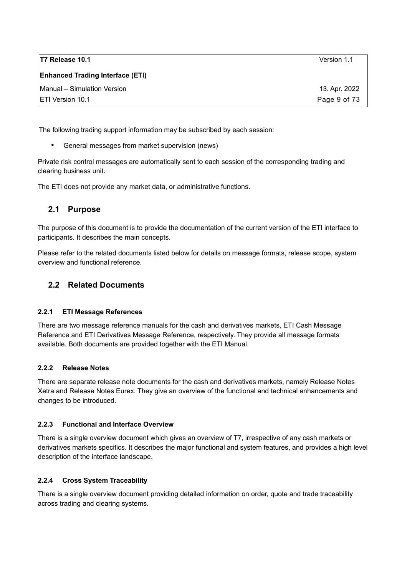| T7 Release 10.1                         | Version 1.1   |
|-----------------------------------------|---------------|
| <b>Enhanced Trading Interface (ETI)</b> |               |
| Manual - Simulation Version             | 13. Apr. 2022 |
| <b>IETI Version 10.1</b>                | Page 9 of 73  |

The following trading support information may be subscribed by each session:

• General messages from market supervision (news)

Private risk control messages are automatically sent to each session of the corresponding trading and clearing business unit.

The ETI does not provide any market data, or administrative functions.

### <span id="page-8-5"></span>**2.1 Purpose**

The purpose of this document is to provide the documentation of the current version of the ETI interface to participants. It describes the main concepts.

Please refer to the related documents listed below for details on message formats, release scope, system overview and functional reference.

### <span id="page-8-4"></span>**2.2 Related Documents**

#### <span id="page-8-3"></span>**2.2.1 ETI Message References**

There are two message reference manuals for the cash and derivatives markets, ETI Cash Message Reference and ETI Derivatives Message Reference, respectively. They provide all message formats available. Both documents are provided together with the ETI Manual.

#### <span id="page-8-2"></span>**2.2.2 Release Notes**

There are separate release note documents for the cash and derivatives markets, namely Release Notes Xetra and Release Notes Eurex. They give an overview of the functional and technical enhancements and changes to be introduced.

#### <span id="page-8-1"></span>**2.2.3 Functional and Interface Overview**

There is a single overview document which gives an overview of T7, irrespective of any cash markets or derivatives markets specifics. It describes the major functional and system features, and provides a high level description of the interface landscape.

#### <span id="page-8-0"></span>**2.2.4 Cross System Traceability**

There is a single overview document providing detailed information on order, quote and trade traceability across trading and clearing systems.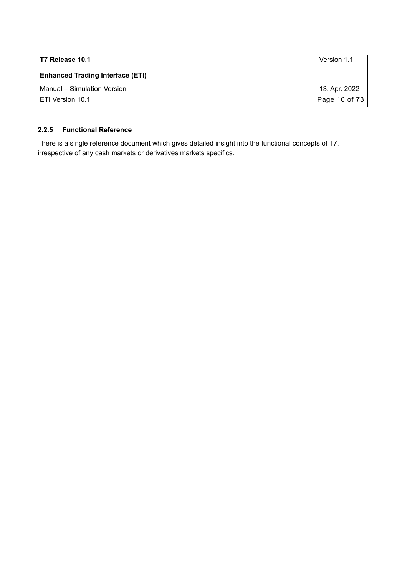| T7 Release 10.1                         | Version 1.1   |
|-----------------------------------------|---------------|
| <b>Enhanced Trading Interface (ETI)</b> |               |
| Manual - Simulation Version             | 13. Apr. 2022 |
| <b>IETI Version 10.1</b>                | Page 10 of 73 |

#### <span id="page-9-0"></span>**2.2.5 Functional Reference**

There is a single reference document which gives detailed insight into the functional concepts of T7, irrespective of any cash markets or derivatives markets specifics.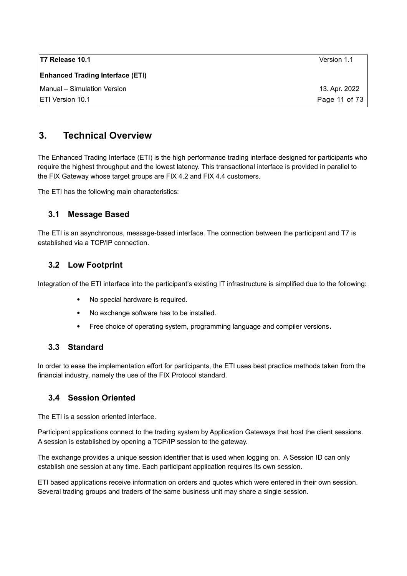| T7 Release 10.1                         | Version 1.1   |
|-----------------------------------------|---------------|
| <b>Enhanced Trading Interface (ETI)</b> |               |
| Manual - Simulation Version             | 13. Apr. 2022 |
| <b>ETI Version 10.1</b>                 | Page 11 of 73 |

# <span id="page-10-4"></span>**3. Technical Overview**

The Enhanced Trading Interface (ETI) is the high performance trading interface designed for participants who require the highest throughput and the lowest latency. This transactional interface is provided in parallel to the FIX Gateway whose target groups are FIX 4.2 and FIX 4.4 customers.

The ETI has the following main characteristics:

### <span id="page-10-3"></span>**3.1 Message Based**

The ETI is an asynchronous, message-based interface. The connection between the participant and T7 is established via a TCP/IP connection.

## <span id="page-10-2"></span>**3.2 Low Footprint**

Integration of the ETI interface into the participant's existing IT infrastructure is simplified due to the following:

- No special hardware is required.
- No exchange software has to be installed.
- Free choice of operating system, programming language and compiler versions**.**

### <span id="page-10-1"></span>**3.3 Standard**

In order to ease the implementation effort for participants, the ETI uses best practice methods taken from the financial industry, namely the use of the FIX Protocol standard.

### <span id="page-10-0"></span>**3.4 Session Oriented**

The ETI is a session oriented interface.

Participant applications connect to the trading system by Application Gateways that host the client sessions. A session is established by opening a TCP/IP session to the gateway.

The exchange provides a unique session identifier that is used when logging on. A Session ID can only establish one session at any time. Each participant application requires its own session.

ETI based applications receive information on orders and quotes which were entered in their own session. Several trading groups and traders of the same business unit may share a single session.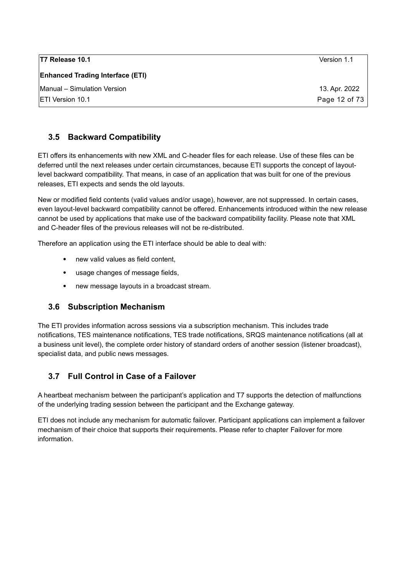| T7 Release 10.1                         | Version 1.1   |
|-----------------------------------------|---------------|
| <b>Enhanced Trading Interface (ETI)</b> |               |
| Manual - Simulation Version             | 13. Apr. 2022 |
| <b>IETI Version 10.1</b>                | Page 12 of 73 |

# <span id="page-11-2"></span>**3.5 Backward Compatibility**

ETI offers its enhancements with new XML and C-header files for each release. Use of these files can be deferred until the next releases under certain circumstances, because ETI supports the concept of layoutlevel backward compatibility. That means, in case of an application that was built for one of the previous releases, ETI expects and sends the old layouts.

New or modified field contents (valid values and/or usage), however, are not suppressed. In certain cases, even layout-level backward compatibility cannot be offered. Enhancements introduced within the new release cannot be used by applications that make use of the backward compatibility facility. Please note that XML and C-header files of the previous releases will not be re-distributed.

Therefore an application using the ETI interface should be able to deal with:

- new valid values as field content,
- usage changes of message fields,
- <span id="page-11-1"></span>new message layouts in a broadcast stream.

### **3.6 Subscription Mechanism**

The ETI provides information across sessions via a subscription mechanism. This includes trade notifications, TES maintenance notifications, TES trade notifications, SRQS maintenance notifications (all at a business unit level), the complete order history of standard orders of another session (listener broadcast), specialist data, and public news messages.

### <span id="page-11-0"></span>**3.7 Full Control in Case of a Failover**

A heartbeat mechanism between the participant's application and T7 supports the detection of malfunctions of the underlying trading session between the participant and the Exchange gateway.

ETI does not include any mechanism for automatic failover. Participant applications can implement a failover mechanism of their choice that supports their requirements. Please refer to chapter [Failover](#page-55-2) for more information.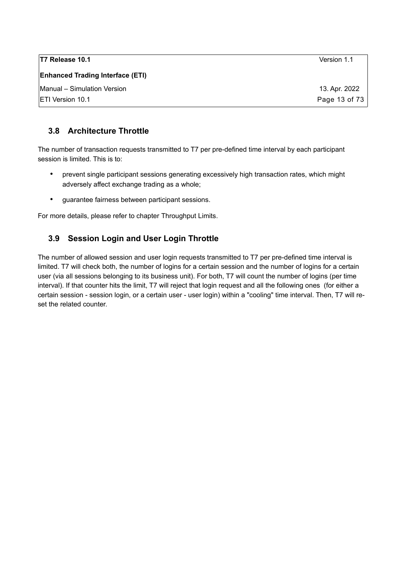| T7 Release 10.1                         | Version 1.1   |
|-----------------------------------------|---------------|
| <b>Enhanced Trading Interface (ETI)</b> |               |
| Manual - Simulation Version             | 13. Apr. 2022 |
| <b>IETI Version 10.1</b>                | Page 13 of 73 |

### <span id="page-12-1"></span>**3.8 Architecture Throttle**

The number of transaction requests transmitted to T7 per pre-defined time interval by each participant session is limited. This is to:

- prevent single participant sessions generating excessively high transaction rates, which might adversely affect exchange trading as a whole;
- guarantee fairness between participant sessions.

For more details, please refer to chapter [Throughput Limits.](#page-55-1)

### <span id="page-12-0"></span>**3.9 Session Login and User Login Throttle**

The number of allowed session and user login requests transmitted to T7 per pre-defined time interval is limited. T7 will check both, the number of logins for a certain session and the number of logins for a certain user (via all sessions belonging to its business unit). For both, T7 will count the number of logins (per time interval). If that counter hits the limit, T7 will reject that login request and all the following ones (for either a certain session - session login, or a certain user - user login) within a "cooling" time interval. Then, T7 will reset the related counter.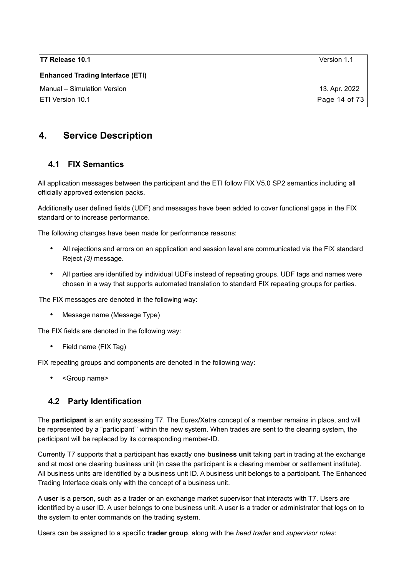**Enhanced Trading Interface (ETI)**

Manual – Simulation Version 13. Apr. 2022

# <span id="page-13-2"></span>**4. Service Description**

## <span id="page-13-1"></span>**4.1 FIX Semantics**

All application messages between the participant and the ETI follow FIX V5.0 SP2 semantics including all officially approved extension packs.

Additionally user defined fields (UDF) and messages have been added to cover functional gaps in the FIX standard or to increase performance.

The following changes have been made for performance reasons:

- All rejections and errors on an application and session level are communicated via the FIX standard Reject *(3)* message.
- All parties are identified by individual UDFs instead of repeating groups. UDF tags and names were chosen in a way that supports automated translation to standard FIX repeating groups for parties.

The FIX messages are denoted in the following way:

• Message name (Message Type)

The FIX fields are denoted in the following way:

• Field name (FIX Tag)

FIX repeating groups and components are denoted in the following way:

• <Group name>

### <span id="page-13-0"></span>**4.2 Party Identification**

The **participant** is an entity accessing T7. The Eurex/Xetra concept of a member remains in place, and will be represented by a "participant"' within the new system. When trades are sent to the clearing system, the participant will be replaced by its corresponding member-ID.

Currently T7 supports that a participant has exactly one **business unit** taking part in trading at the exchange and at most one clearing business unit (in case the participant is a clearing member or settlement institute). All business units are identified by a business unit ID. A business unit belongs to a participant. The Enhanced Trading Interface deals only with the concept of a business unit.

A **user** is a person, such as a trader or an exchange market supervisor that interacts with T7. Users are identified by a user ID. A user belongs to one business unit. A user is a trader or administrator that logs on to the system to enter commands on the trading system.

Users can be assigned to a specific **trader group**, along with the *head trader* and *supervisor roles*: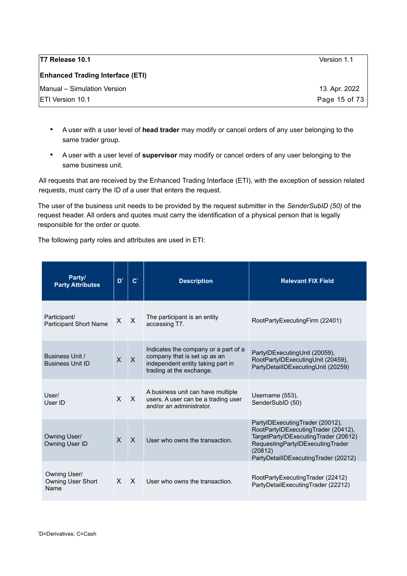| T7 Release 10.1                         | Version 1.1   |
|-----------------------------------------|---------------|
| <b>Enhanced Trading Interface (ETI)</b> |               |
| Manual - Simulation Version             | 13. Apr. 2022 |
| <b>ETI Version 10.1</b>                 | Page 15 of 73 |

- A user with a user level of **head trader** may modify or cancel orders of any user belonging to the same trader group.
- A user with a user level of **supervisor** may modify or cancel orders of any user belonging to the same business unit.

All requests that are received by the Enhanced Trading Interface (ETI), with the exception of session related requests, must carry the ID of a user that enters the request.

The user of the business unit needs to be provided by the request submitter in the *SenderSubID (50)* of the request header. All orders and quotes must carry the identification of a physical person that is legally responsible for the order or quote.

The following party roles and attributes are used in ETI:

| Party/<br><b>Party Attributes</b>             | D <sup>*</sup> | $\mathbf{C}^*$ | <b>Description</b>                                                                                                                    | <b>Relevant FIX Field</b>                                                                                                                                                                             |
|-----------------------------------------------|----------------|----------------|---------------------------------------------------------------------------------------------------------------------------------------|-------------------------------------------------------------------------------------------------------------------------------------------------------------------------------------------------------|
| Participant/<br><b>Participant Short Name</b> | X              | $\mathsf{X}$   | The participant is an entity<br>accessing T7.                                                                                         | RootPartyExecutingFirm (22401)                                                                                                                                                                        |
| Business Unit /<br><b>Business Unit ID</b>    | $\mathsf{X}$   | $\mathsf{X}$   | Indicates the company or a part of a<br>company that is set up as an<br>independent entity taking part in<br>trading at the exchange. | PartylDExecutingUnit (20059),<br>RootPartyIDExecutingUnit (20459),<br>PartyDetailIDExecutingUnit (20259)                                                                                              |
| User/<br>User ID                              | $\mathsf{X}$   | $\mathsf{X}$   | A business unit can have multiple<br>users. A user can be a trading user<br>and/or an administrator.                                  | Username (553),<br>SenderSubID (50)                                                                                                                                                                   |
| Owning User/<br>Owning User ID                | $\mathsf{X}$   | $\mathsf{x}$   | User who owns the transaction.                                                                                                        | PartyIDExecutingTrader (20012),<br>RootPartyIDExecutingTrader (20412),<br>TargetPartyIDExecutingTrader (20612)<br>RequestingPartyIDExecutingTrader<br>(20812)<br>PartyDetailIDExecutingTrader (20212) |
| Owning User/<br>Owning User Short<br>Name     | $\times$       | $\mathsf{X}$   | User who owns the transaction.                                                                                                        | RootPartyExecutingTrader (22412)<br>PartyDetailExecutingTrader (22212)                                                                                                                                |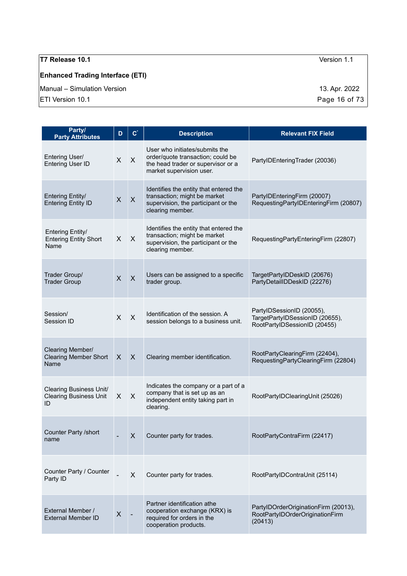# **Enhanced Trading Interface (ETI)**

Manual – Simulation Version 13. Apr. 2022

| Party/<br><b>Party Attributes</b>                                     | D                  | $\mathbf{C}^*$            | <b>Description</b>                                                                                                                    | <b>Relevant FIX Field</b>                                                                    |
|-----------------------------------------------------------------------|--------------------|---------------------------|---------------------------------------------------------------------------------------------------------------------------------------|----------------------------------------------------------------------------------------------|
| Entering User/<br>Entering User ID                                    | X                  | $\pmb{\times}$            | User who initiates/submits the<br>order/quote transaction; could be<br>the head trader or supervisor or a<br>market supervision user. | PartylDEnteringTrader (20036)                                                                |
| <b>Entering Entity/</b><br><b>Entering Entity ID</b>                  | $\pmb{\mathsf{X}}$ | X                         | Identifies the entity that entered the<br>transaction; might be market<br>supervision, the participant or the<br>clearing member.     | PartylDEnteringFirm (20007)<br>RequestingPartyIDEnteringFirm (20807)                         |
| Entering Entity/<br><b>Entering Entity Short</b><br>Name              | X                  | $\pmb{\times}$            | Identifies the entity that entered the<br>transaction; might be market<br>supervision, the participant or the<br>clearing member.     | RequestingPartyEnteringFirm (22807)                                                          |
| Trader Group/<br><b>Trader Group</b>                                  | $\sf X$            | $\boldsymbol{\mathsf{X}}$ | Users can be assigned to a specific<br>trader group.                                                                                  | TargetPartyIDDeskID (20676)<br>PartyDetailIDDeskID (22276)                                   |
| Session/<br>Session ID                                                | X                  | $\pmb{\times}$            | Identification of the session. A<br>session belongs to a business unit.                                                               | PartylDSessionID (20055),<br>TargetPartyIDSessionID (20655),<br>RootPartyIDSessionID (20455) |
| Clearing Member/<br><b>Clearing Member Short</b><br>Name              | X                  | $\boldsymbol{\mathsf{X}}$ | Clearing member identification.                                                                                                       | RootPartyClearingFirm (22404),<br>RequestingPartyClearingFirm (22804)                        |
| <b>Clearing Business Unit/</b><br><b>Clearing Business Unit</b><br>ID | X                  | X                         | Indicates the company or a part of a<br>company that is set up as an<br>independent entity taking part in<br>clearing.                | RootPartyIDClearingUnit (25026)                                                              |
| Counter Party /short<br>name                                          |                    | X                         | Counter party for trades.                                                                                                             | RootPartyContraFirm (22417)                                                                  |
| Counter Party / Counter<br>Party ID                                   |                    | X                         | Counter party for trades.                                                                                                             | RootPartyIDContraUnit (25114)                                                                |
| External Member /<br><b>External Member ID</b>                        | $\boldsymbol{X}$   |                           | Partner identification athe<br>cooperation exchange (KRX) is<br>required for orders in the<br>cooperation products.                   | PartylDOrderOriginationFirm (20013),<br>RootPartyIDOrderOriginationFirm<br>(20413)           |

 $\boxed{\text{ETI Version 10.1}}$  Page 16 of 73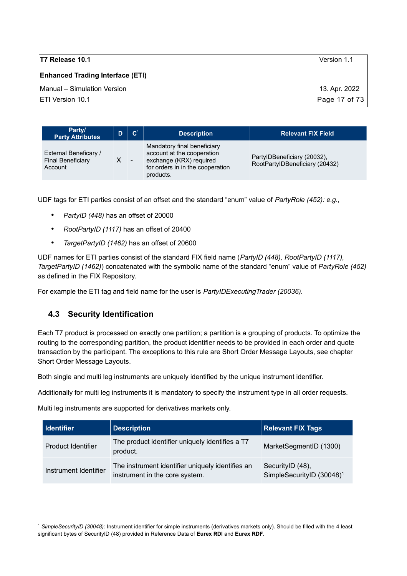**Enhanced Trading Interface (ETI)**

Manual – Simulation Version 13. Apr. 2022

ETI Version 10.1 Page 17 of 73

| Party/<br><b>Party Attributes</b>                            | D | C. | <b>Description</b>                                                                                                                    | <b>Relevant FIX Field</b>                                     |
|--------------------------------------------------------------|---|----|---------------------------------------------------------------------------------------------------------------------------------------|---------------------------------------------------------------|
| External Beneficary /<br><b>Final Beneficiary</b><br>Account |   |    | Mandatory final beneficiary<br>account at the cooperation<br>exchange (KRX) required<br>for orders in in the cooperation<br>products. | PartylDBeneficiary (20032),<br>RootPartylDBeneficiary (20432) |

UDF tags for ETI parties consist of an offset and the standard "enum" value of *PartyRole (452): e.g.,* 

- *PartyID (448)* has an offset of 20000
- *RootPartyID (1117)* has an offset of 20400
- *TargetPartyID (1462)* has an offset of 20600

UDF names for ETI parties consist of the standard FIX field name (*PartyID (448), RootPartyID (1117), TargetPartyID (1462)*) concatenated with the symbolic name of the standard "enum" value of *PartyRole (452)* as defined in the FIX Repository.

For example the ETI tag and field name for the user is *PartyIDExecutingTrader (20036).*

# <span id="page-16-0"></span>**4.3 Security Identification**

Each T7 product is processed on exactly one partition; a partition is a grouping of products. To optimize the routing to the corresponding partition, the product identifier needs to be provided in each order and quote transaction by the participant. The exceptions to this rule are Short Order Message Layouts, see chapter [Short Order Message Layouts.](#page-27-1)

Both single and multi leg instruments are uniquely identified by the unique instrument identifier.

Additionally for multi leg instruments it is mandatory to specify the instrument type in all order requests.

Multi leg instruments are supported for derivatives markets only.

| Identifier            | <b>Description</b>                                                                 | <b>Relevant FIX Tags</b>                                  |
|-----------------------|------------------------------------------------------------------------------------|-----------------------------------------------------------|
| Product Identifier    | The product identifier uniquely identifies a T7<br>product.                        | MarketSegmentID (1300)                                    |
| Instrument Identifier | The instrument identifier uniquely identifies an<br>instrument in the core system. | SecurityID (48),<br>SimpleSecurityID (30048) <sup>1</sup> |

<span id="page-16-1"></span><sup>1</sup> *SimpleSecurityID (30048):* Instrument identifier for simple instruments (derivatives markets only). Should be filled with the 4 least significant bytes of SecurityID (48) provided in Reference Data of **Eurex RDI** and **Eurex RDF**.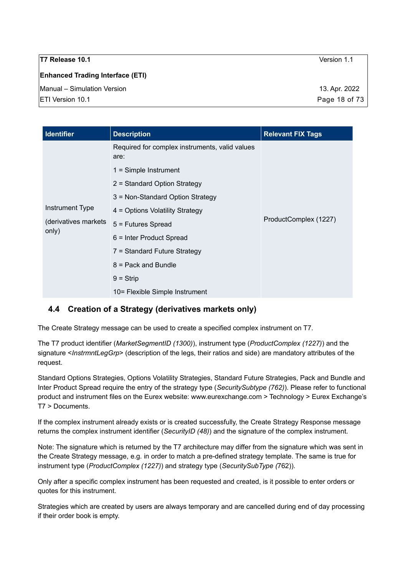| T7 Release 10.1                         | Version 1.1   |
|-----------------------------------------|---------------|
| <b>Enhanced Trading Interface (ETI)</b> |               |
| Manual - Simulation Version             | 13. Apr. 2022 |
| ETI Version 10.1                        | Page 18 of 73 |
|                                         |               |

| <b>Identifier</b>                                 | <b>Description</b>                                     | <b>Relevant FIX Tags</b> |  |
|---------------------------------------------------|--------------------------------------------------------|--------------------------|--|
|                                                   | Required for complex instruments, valid values<br>are: |                          |  |
|                                                   | $1 =$ Simple Instrument                                | ProductComplex (1227)    |  |
| Instrument Type<br>(derivatives markets)<br>only) | 2 = Standard Option Strategy                           |                          |  |
|                                                   | 3 = Non-Standard Option Strategy                       |                          |  |
|                                                   | 4 = Options Volatility Strategy                        |                          |  |
|                                                   | 5 = Futures Spread                                     |                          |  |
|                                                   | $6$ = Inter Product Spread                             |                          |  |
|                                                   | 7 = Standard Future Strategy                           |                          |  |
|                                                   | $8$ = Pack and Bundle                                  |                          |  |
|                                                   | $9 =$ Strip                                            |                          |  |
|                                                   | 10= Flexible Simple Instrument                         |                          |  |

# <span id="page-17-0"></span>**4.4 Creation of a Strategy (derivatives markets only)**

The Create Strategy message can be used to create a specified complex instrument on T7.

The T7 product identifier (*MarketSegmentID (1300)*), instrument type (*ProductComplex (1227)*) and the signature <*InstrmntLegGrp*> (description of the legs, their ratios and side) are mandatory attributes of the request.

Standard Options Strategies, Options Volatility Strategies, Standard Future Strategies, Pack and Bundle and Inter Product Spread require the entry of the strategy type (*SecuritySubtype (762)*). Please refer to functional product and instrument files on the Eurex website: www.eurexchange.com > Technology > Eurex Exchange's T7 > Documents.

If the complex instrument already exists or is created successfully, the Create Strategy Response message returns the complex instrument identifier (*SecurityID (48)*) and the signature of the complex instrument.

Note: The signature which is returned by the T7 architecture may differ from the signature which was sent in the Create Strategy message, e.g. in order to match a pre-defined strategy template. The same is true for instrument type (*ProductComplex (1227)*) and strategy type (*SecuritySubType (*762)).

Only after a specific complex instrument has been requested and created, is it possible to enter orders or quotes for this instrument.

Strategies which are created by users are always temporary and are cancelled during end of day processing if their order book is empty.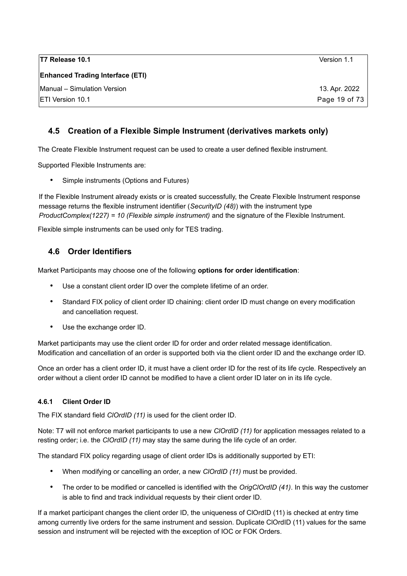| T7 Release 10.1                         | Version 1.1   |
|-----------------------------------------|---------------|
| <b>Enhanced Trading Interface (ETI)</b> |               |
| Manual - Simulation Version             | 13. Apr. 2022 |
| <b>ETI Version 10.1</b>                 | Page 19 of 73 |

### <span id="page-18-2"></span>**4.5 Creation of a Flexible Simple Instrument (derivatives markets only)**

The Create Flexible Instrument request can be used to create a user defined flexible instrument.

Supported Flexible Instruments are:

• Simple instruments (Options and Futures)

If the Flexible Instrument already exists or is created successfully, the Create Flexible Instrument response message returns the flexible instrument identifier (*SecurityID (48)*) with the instrument type *ProductComplex(1227) = 10 (Flexible simple instrument)* and the signature of the Flexible Instrument.

Flexible simple instruments can be used only for TES trading.

### <span id="page-18-1"></span>**4.6 Order Identifiers**

Market Participants may choose one of the following **options for order identification**:

- Use a constant client order ID over the complete lifetime of an order.
- Standard FIX policy of client order ID chaining: client order ID must change on every modification and cancellation request.
- Use the exchange order ID.

Market participants may use the client order ID for order and order related message identification. Modification and cancellation of an order is supported both via the client order ID and the exchange order ID.

Once an order has a client order ID, it must have a client order ID for the rest of its life cycle. Respectively an order without a client order ID cannot be modified to have a client order ID later on in its life cycle.

#### <span id="page-18-0"></span>**4.6.1 Client Order ID**

The FIX standard field *ClOrdID (11)* is used for the client order ID.

Note: T7 will not enforce market participants to use a new *ClOrdID (11)* for application messages related to a resting order; i.e. the *ClOrdID (11)* may stay the same during the life cycle of an order.

The standard FIX policy regarding usage of client order IDs is additionally supported by ETI:

- When modifying or cancelling an order, a new *ClOrdID (11)* must be provided.
- The order to be modified or cancelled is identified with the *OrigClOrdID (41)*. In this way the customer is able to find and track individual requests by their client order ID.

If a market participant changes the client order ID, the uniqueness of ClOrdID (11) is checked at entry time among currently live orders for the same instrument and session. Duplicate ClOrdID (11) values for the same session and instrument will be rejected with the exception of IOC or FOK Orders.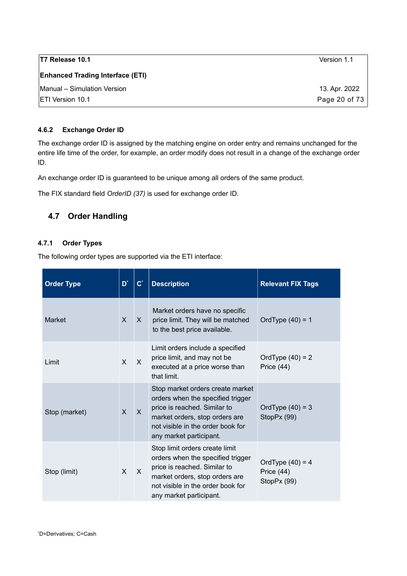| T7 Release 10.1                         | Version 1.1   |
|-----------------------------------------|---------------|
| <b>Enhanced Trading Interface (ETI)</b> |               |
| Manual - Simulation Version             | 13. Apr. 2022 |
| <b>IETI Version 10.1</b>                | Page 20 of 73 |

#### <span id="page-19-2"></span>**4.6.2 Exchange Order ID**

The exchange order ID is assigned by the matching engine on order entry and remains unchanged for the entire life time of the order, for example, an order modify does not result in a change of the exchange order ID.

An exchange order ID is guaranteed to be unique among all orders of the same product.

The FIX standard field *OrderID (37)* is used for exchange order ID.

### <span id="page-19-1"></span>**4.7 Order Handling**

#### <span id="page-19-0"></span>**4.7.1 Order Types**

The following order types are supported via the ETI interface:

<span id="page-19-3"></span>

| <b>Order Type</b> | D <sup>*</sup> | $\mathbf{C}^*$ | <b>Description</b>                                                                                                                                                                                      | <b>Relevant FIX Tags</b>                          |
|-------------------|----------------|----------------|---------------------------------------------------------------------------------------------------------------------------------------------------------------------------------------------------------|---------------------------------------------------|
| <b>Market</b>     | $\mathsf{x}$   | X              | Market orders have no specific<br>price limit. They will be matched<br>to the best price available.                                                                                                     | OrdType $(40) = 1$                                |
| Limit             | $\mathsf{x}$   | $\mathsf{x}$   | Limit orders include a specified<br>price limit, and may not be<br>executed at a price worse than<br>that limit.                                                                                        | OrdType $(40) = 2$<br>Price $(44)$                |
| Stop (market)     | $\mathsf{x}$   | $\mathsf{X}$   | Stop market orders create market<br>orders when the specified trigger<br>price is reached. Similar to<br>market orders, stop orders are<br>not visible in the order book for<br>any market participant. | OrdType $(40) = 3$<br>StopPx (99)                 |
| Stop (limit)      | $\times$       | $\mathsf{X}$   | Stop limit orders create limit<br>orders when the specified trigger<br>price is reached. Similar to<br>market orders, stop orders are<br>not visible in the order book for<br>any market participant.   | OrdType $(40) = 4$<br>Price $(44)$<br>StopPx (99) |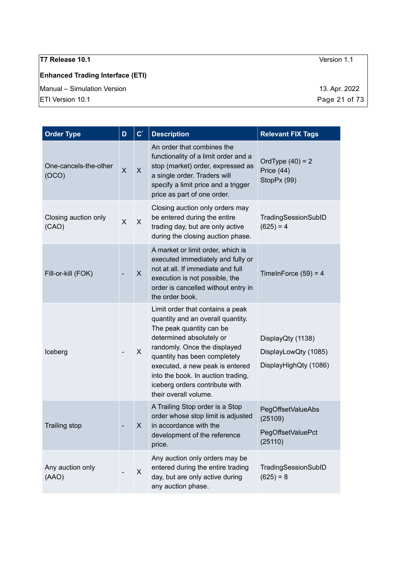# **Enhanced Trading Interface (ETI)**

Manual – Simulation Version 13. Apr. 2022

| <b>Order Type</b>              | D | $\mathbf{C}^*$ | <b>Description</b>                                                                                                                                                                                                                                                                                                                | <b>Relevant FIX Tags</b>                                           |
|--------------------------------|---|----------------|-----------------------------------------------------------------------------------------------------------------------------------------------------------------------------------------------------------------------------------------------------------------------------------------------------------------------------------|--------------------------------------------------------------------|
| One-cancels-the-other<br>(OCO) | X | X              | An order that combines the<br>functionality of a limit order and a<br>stop (market) order, expressed as<br>a single order. Traders will<br>specify a limit price and a trigger<br>price as part of one order.                                                                                                                     | OrdType $(40) = 2$<br>Price (44)<br>StopPx (99)                    |
| Closing auction only<br>(CAO)  | X | X              | Closing auction only orders may<br>be entered during the entire<br>trading day, but are only active<br>during the closing auction phase.                                                                                                                                                                                          | TradingSessionSubID<br>$(625) = 4$                                 |
| Fill-or-kill (FOK)             |   | X              | A market or limit order, which is<br>executed immediately and fully or<br>not at all. If immediate and full<br>execution is not possible, the<br>order is cancelled without entry in<br>the order book.                                                                                                                           | TimeInForce $(59) = 4$                                             |
| Iceberg                        |   | X              | Limit order that contains a peak<br>quantity and an overall quantity.<br>The peak quantity can be<br>determined absolutely or<br>randomly. Once the displayed<br>quantity has been completely<br>executed, a new peak is entered<br>into the book. In auction trading,<br>iceberg orders contribute with<br>their overall volume. | DisplayQty (1138)<br>DisplayLowQty (1085)<br>DisplayHighQty (1086) |
| <b>Trailing stop</b>           |   | X              | A Trailing Stop order is a Stop<br>order whose stop limit is adjusted<br>in accordance with the<br>development of the reference<br>price.                                                                                                                                                                                         | PegOffsetValueAbs<br>(25109)<br>PegOffsetValuePct<br>(25110)       |
| Any auction only<br>(AAO)      |   | X              | Any auction only orders may be<br>entered during the entire trading<br>day, but are only active during<br>any auction phase.                                                                                                                                                                                                      | TradingSessionSubID<br>$(625) = 8$                                 |

 $\boxed{\text{ETI Version 10.1}}$  Page 21 of 73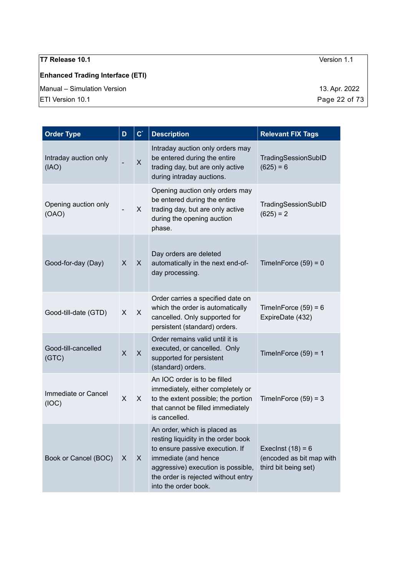# **Enhanced Trading Interface (ETI)**

Manual – Simulation Version 13. Apr. 2022

| <b>Order Type</b>              | D                       | $\mathbf{C}^*$ | <b>Description</b>                                                                                                                                                                                                                  | <b>Relevant FIX Tags</b>                                                |
|--------------------------------|-------------------------|----------------|-------------------------------------------------------------------------------------------------------------------------------------------------------------------------------------------------------------------------------------|-------------------------------------------------------------------------|
| Intraday auction only<br>(IAO) |                         | $\mathsf{X}$   | Intraday auction only orders may<br>be entered during the entire<br>trading day, but are only active<br>during intraday auctions.                                                                                                   | TradingSessionSubID<br>$(625) = 6$                                      |
| Opening auction only<br>(OAO)  |                         | X              | Opening auction only orders may<br>be entered during the entire<br>trading day, but are only active<br>during the opening auction<br>phase.                                                                                         | TradingSessionSubID<br>$(625) = 2$                                      |
| Good-for-day (Day)             | X                       | $\mathsf{X}$   | Day orders are deleted<br>automatically in the next end-of-<br>day processing.                                                                                                                                                      | TimeInForce $(59) = 0$                                                  |
| Good-till-date (GTD)           | X                       | $\mathsf{X}$   | Order carries a specified date on<br>which the order is automatically<br>cancelled. Only supported for<br>persistent (standard) orders.                                                                                             | TimeInForce $(59) = 6$<br>ExpireDate (432)                              |
| Good-till-cancelled<br>(GTC)   | $\overline{\mathsf{X}}$ | $\mathsf{X}$   | Order remains valid until it is<br>executed, or cancelled. Only<br>supported for persistent<br>(standard) orders.                                                                                                                   | TimeInForce $(59) = 1$                                                  |
| Immediate or Cancel<br>(IOC)   | X                       | X              | An IOC order is to be filled<br>immediately, either completely or<br>to the extent possible; the portion<br>that cannot be filled immediately<br>is cancelled.                                                                      | TimeInForce $(59) = 3$                                                  |
| Book or Cancel (BOC)           | X                       | X              | An order, which is placed as<br>resting liquidity in the order book<br>to ensure passive execution. If<br>immediate (and hence<br>aggressive) execution is possible,<br>the order is rejected without entry<br>into the order book. | Execlnst $(18) = 6$<br>(encoded as bit map with<br>third bit being set) |

 $\boxed{\text{ETI Version 10.1}}$  Page 22 of 73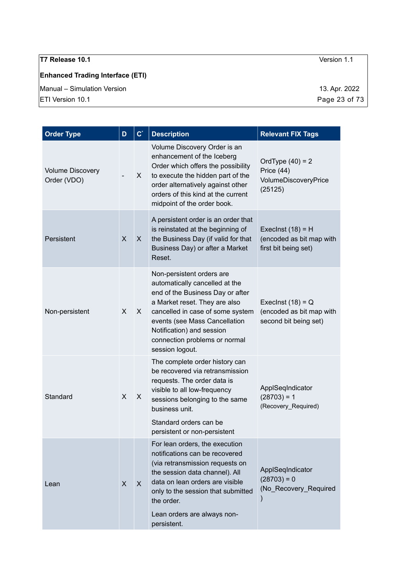# **Enhanced Trading Interface (ETI)**

Manual – Simulation Version 13. Apr. 2022

| <b>Order Type</b>                      | D | $\mathbf{C}^*$ | <b>Description</b>                                                                                                                                                                                                                                                                     | <b>Relevant FIX Tags</b>                                                    |
|----------------------------------------|---|----------------|----------------------------------------------------------------------------------------------------------------------------------------------------------------------------------------------------------------------------------------------------------------------------------------|-----------------------------------------------------------------------------|
| <b>Volume Discovery</b><br>Order (VDO) |   | X.             | Volume Discovery Order is an<br>enhancement of the Iceberg<br>Order which offers the possibility<br>to execute the hidden part of the<br>order alternatively against other<br>orders of this kind at the current<br>midpoint of the order book.                                        | OrdType $(40) = 2$<br>Price (44)<br>VolumeDiscoveryPrice<br>(25125)         |
| Persistent                             | X | X.             | A persistent order is an order that<br>is reinstated at the beginning of<br>the Business Day (if valid for that<br>Business Day) or after a Market<br>Reset.                                                                                                                           | Execlnst $(18) = H$<br>(encoded as bit map with<br>first bit being set)     |
| Non-persistent                         | X | X.             | Non-persistent orders are<br>automatically cancelled at the<br>end of the Business Day or after<br>a Market reset. They are also<br>cancelled in case of some system<br>events (see Mass Cancellation<br>Notification) and session<br>connection problems or normal<br>session logout. | Execlnst $(18) = Q$<br>(encoded as bit map with<br>second bit being set)    |
| Standard                               | X | X.             | The complete order history can<br>be recovered via retransmission<br>requests. The order data is<br>visible to all low-frequency<br>sessions belonging to the same<br>business unit.<br>Standard orders can be<br>persistent or non-persistent                                         | ApplSeqIndicator<br>$(28703) = 1$<br>(Recovery_Required)                    |
| Lean                                   | X | $\mathsf{X}$   | For lean orders, the execution<br>notifications can be recovered<br>(via retransmission requests on<br>the session data channel). All<br>data on lean orders are visible<br>only to the session that submitted<br>the order.<br>Lean orders are always non-<br>persistent.             | ApplSeqIndicator<br>$(28703) = 0$<br>(No_Recovery_Required<br>$\mathcal{C}$ |

 $\boxed{\text{ETI Version 10.1}}$  Page 23 of 73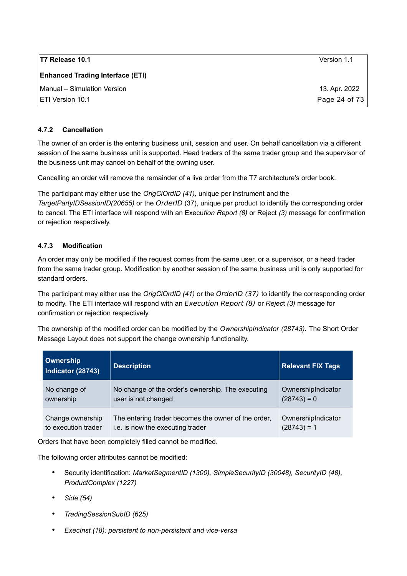| T7 Release 10.1                         | Version 1.1   |
|-----------------------------------------|---------------|
| <b>Enhanced Trading Interface (ETI)</b> |               |
| Manual - Simulation Version             | 13. Apr. 2022 |
| <b>IETI Version 10.1</b>                | Page 24 of 73 |

#### <span id="page-23-1"></span>**4.7.2 Cancellation**

The owner of an order is the entering business unit, session and user. On behalf cancellation via a different session of the same business unit is supported. Head traders of the same trader group and the supervisor of the business unit may cancel on behalf of the owning user.

Cancelling an order will remove the remainder of a live order from the T7 architecture's order book.

The participant may either use the *OrigClOrdID (41),* unique per instrument and the *TargetPartyIDSessionID(20655)* or the OrderID (37), unique per product to identify the corresponding order to cancel. The ETI interface will respond with an Execu*tion Report (8)* or Reject *(3)* message for confirmation or rejection respectively.

#### <span id="page-23-0"></span>**4.7.3 Modification**

An order may only be modified if the request comes from the same user, or a supervisor, or a head trader from the same trader group. Modification by another session of the same business unit is only supported for standard orders.

The participant may either use the *OrigClOrdID (41)* or the OrderID (37) to identify the corresponding order to modify. The ETI interface will respond with an Execution Report (8) or *Rejec*t *(3)* message for confirmation or rejection respectively.

The ownership of the modified order can be modified by the *OwnershipIndicator (28743)*. The Short Order Message Layout does not support the change ownership functionality.

| <b>Ownership</b><br>Indicator (28743) | <b>Description</b>                                  | <b>Relevant FIX Tags</b> |
|---------------------------------------|-----------------------------------------------------|--------------------------|
| No change of                          | No change of the order's ownership. The executing   | OwnershipIndicator       |
| ownership                             | user is not changed                                 | $(28743) = 0$            |
| Change ownership                      | The entering trader becomes the owner of the order, | OwnershipIndicator       |
| to execution trader                   | i.e. is now the executing trader                    | $(28743) = 1$            |

Orders that have been completely filled cannot be modified.

The following order attributes cannot be modified:

- Security identification: *MarketSegmentID (1300), SimpleSecurityID (30048), SecurityID (48), ProductComplex (1227)*
- *Side (54)*
- *TradingSessionSubID (625)*
- *ExecInst (18): persistent to non-persistent and vice-versa*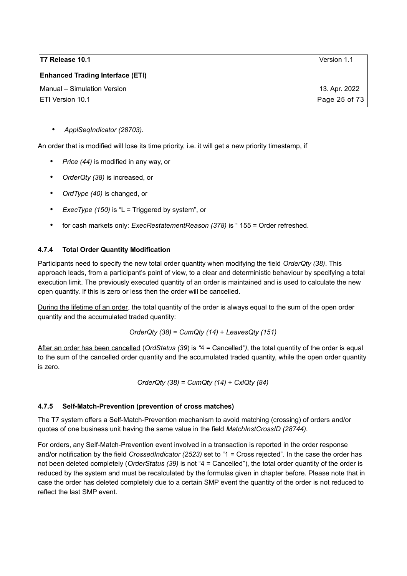| Version 1.1   |
|---------------|
|               |
| 13. Apr. 2022 |
| Page 25 of 73 |
|               |

• *ApplSeqIndicator (28703).*

An order that is modified will lose its time priority, i.e. it will get a new priority timestamp, if

- *Price (44)* is modified in any way, or
- *OrderQty (38)* is increased, or
- *OrdType (40)* is changed, or
- *ExecType (150)* is "L = Triggered by system", or
- for cash markets only: *ExecRestatementReason (378)* is " 155 = Order refreshed.

#### <span id="page-24-1"></span>**4.7.4 Total Order Quantity Modification**

Participants need to specify the new total order quantity when modifying the field *OrderQty (38)*. This approach leads, from a participant's point of view, to a clear and deterministic behaviour by specifying a total execution limit. The previously executed quantity of an order is maintained and is used to calculate the new open quantity. If this is zero or less then the order will be cancelled.

During the lifetime of an order, the total quantity of the order is always equal to the sum of the open order quantity and the accumulated traded quantity:

*OrderQty (38)* = *CumQty (14)* + *LeavesQty (151)*

After an order has been cancelled (*OrdStatus (39*) is *"*4 = Cancelled*")*, the total quantity of the order is equal to the sum of the cancelled order quantity and the accumulated traded quantity, while the open order quantity is zero.

*OrderQty (38)* = *CumQty (14)* + *CxlQty (84)*

#### <span id="page-24-0"></span>**4.7.5 Self-Match-Prevention (prevention of cross matches)**

The T7 system offers a Self-Match-Prevention mechanism to avoid matching (crossing) of orders and/or quotes of one business unit having the same value in the field *MatchInstCrossID (28744).*

For orders, any Self-Match-Prevention event involved in a transaction is reported in the order response and/or notification by the field *CrossedIndicator (2523)* set to "1 = Cross rejected". In the case the order has not been deleted completely (*OrderStatus (39)* is not "4 = Cancelled"), the total order quantity of the order is reduced by the system and must be recalculated by the formulas given in chapter before. Please note that in case the order has deleted completely due to a certain SMP event the quantity of the order is not reduced to reflect the last SMP event.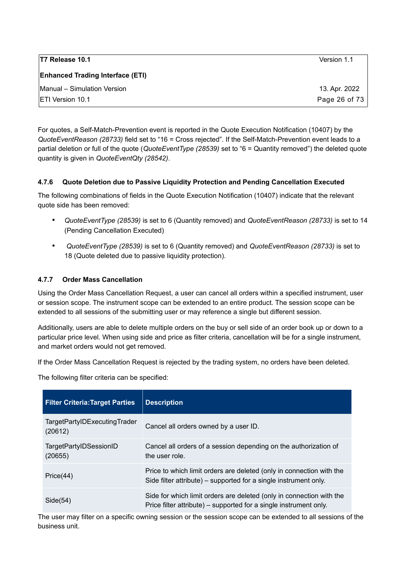| <b>T7 Release 10.1</b>                  | Version 1.1   |
|-----------------------------------------|---------------|
| <b>Enhanced Trading Interface (ETI)</b> |               |
| Manual - Simulation Version             | 13. Apr. 2022 |
| <b>IETI Version 10.1</b>                | Page 26 of 73 |

For quotes, a Self-Match-Prevention event is reported in the Quote Execution Notification (10407) by the *QuoteEventReason (28733)* field set to "16 = Cross rejected". If the Self-Match-Prevention event leads to a partial deletion or full of the quote (*QuoteEventType (28539)* set to "6 = Quantity removed") the deleted quote quantity is given in *QuoteEventQty (28542)*.

#### <span id="page-25-1"></span>**4.7.6 Quote Deletion due to Passive Liquidity Protection and Pending Cancellation Executed**

The following combinations of fields in the Quote Execution Notification (10407) indicate that the relevant quote side has been removed:

- *QuoteEventType (28539)* is set to 6 (Quantity removed) and *QuoteEventReason (28733)* is set to 14 (Pending Cancellation Executed)
- • *QuoteEventType (28539)* is set to 6 (Quantity removed) and *QuoteEventReason (28733)* is set to 18 (Quote deleted due to passive liquidity protection).

#### <span id="page-25-0"></span>**4.7.7 Order Mass Cancellation**

Using the Order Mass Cancellation Request, a user can cancel all orders within a specified instrument, user or session scope. The instrument scope can be extended to an entire product. The session scope can be extended to all sessions of the submitting user or may reference a single but different session.

Additionally, users are able to delete multiple orders on the buy or sell side of an order book up or down to a particular price level. When using side and price as filter criteria, cancellation will be for a single instrument, and market orders would not get removed.

If the Order Mass Cancellation Request is rejected by the trading system, no orders have been deleted.

The following filter criteria can be specified:

| <b>Filter Criteria: Target Parties</b>  | <b>Description</b>                                                                                                                        |
|-----------------------------------------|-------------------------------------------------------------------------------------------------------------------------------------------|
| TargetPartyIDExecutingTrader<br>(20612) | Cancel all orders owned by a user ID.                                                                                                     |
| TargetPartyIDSessionID<br>(20655)       | Cancel all orders of a session depending on the authorization of<br>the user role.                                                        |
| Price(44)                               | Price to which limit orders are deleted (only in connection with the<br>Side filter attribute) – supported for a single instrument only.  |
| Side(54)                                | Side for which limit orders are deleted (only in connection with the<br>Price filter attribute) – supported for a single instrument only. |

The user may filter on a specific owning session or the session scope can be extended to all sessions of the business unit.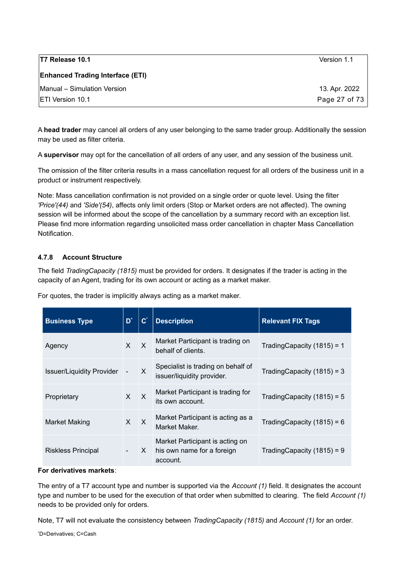| <b>T7 Release 10.1</b>                  | Version 1.1   |
|-----------------------------------------|---------------|
| <b>Enhanced Trading Interface (ETI)</b> |               |
| Manual – Simulation Version             | 13. Apr. 2022 |
| <b>IETI Version 10.1</b>                | Page 27 of 73 |

A **head trader** may cancel all orders of any user belonging to the same trader group. Additionally the session may be used as filter criteria.

A **supervisor** may opt for the cancellation of all orders of any user, and any session of the business unit.

The omission of the filter criteria results in a mass cancellation request for all orders of the business unit in a product or instrument respectively.

Note: Mass cancellation confirmation is not provided on a single order or quote level. Using the filter *'Price'(44)* and *'Side'(54)*, affects only limit orders (Stop or Market orders are not affected). The owning session will be informed about the scope of the cancellation by a summary record with an exception list. Please find more information regarding unsolicited mass order cancellation in chapter [Mass Cancellation](#page-47-1)  [Notification.](#page-47-1)

#### <span id="page-26-0"></span>**4.7.8 Account Structure**

The field *TradingCapacity (1815)* must be provided for orders. It designates if the trader is acting in the capacity of an Agent, trading for its own account or acting as a market maker.

For quotes, the trader is implicitly always acting as a market maker.

| <b>Business Type</b>             | $D^*$        | $\mathbf{C}^*$ | <b>Description</b>                                                            | <b>Relevant FIX Tags</b>      |
|----------------------------------|--------------|----------------|-------------------------------------------------------------------------------|-------------------------------|
| Agency                           | $\mathsf{x}$ | $\mathsf{X}$   | Market Participant is trading on<br>behalf of clients.                        | Trading Capacity $(1815) = 1$ |
| <b>Issuer/Liquidity Provider</b> |              | $\times$       | Specialist is trading on behalf of<br>issuer/liquidity provider.              | Trading Capacity $(1815) = 3$ |
| Proprietary                      | $\mathsf{X}$ | $\mathsf{X}$   | Market Participant is trading for<br>its own account.                         | Trading Capacity $(1815) = 5$ |
| Market Making                    | $\mathsf{X}$ | $\mathsf{X}$   | Market Participant is acting as a<br>Market Maker.                            | Trading Capacity $(1815) = 6$ |
| Riskless Principal               |              |                | Market Participant is acting on<br>$X$ his own name for a foreign<br>account. | Trading Capacity $(1815) = 9$ |

#### **For derivatives markets**:

The entry of a T7 account type and number is supported via the *Account (1)* field. It designates the account type and number to be used for the execution of that order when submitted to clearing. The field *Account (1)*  needs to be provided only for orders.

Note, T7 will not evaluate the consistency between *TradingCapacity (1815)* and *Account (1)* for an order.

<span id="page-26-1"></span>\*D=Derivatives; C=Cash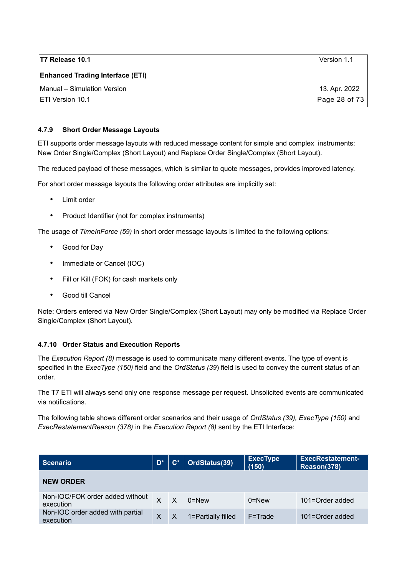| T7 Release 10.1                         | Version 1.1   |
|-----------------------------------------|---------------|
| <b>Enhanced Trading Interface (ETI)</b> |               |
| Manual - Simulation Version             | 13. Apr. 2022 |
| <b>IETI Version 10.1</b>                | Page 28 of 73 |

#### <span id="page-27-1"></span>**4.7.9 Short Order Message Layouts**

ETI supports order message layouts with reduced message content for simple and complex instruments: New Order Single/Complex (Short Layout) and Replace Order Single/Complex (Short Layout).

The reduced payload of these messages, which is similar to quote messages, provides improved latency.

For short order message layouts the following order attributes are implicitly set:

- Limit order
- Product Identifier (not for complex instruments)

The usage of *TimeInForce (59)* in short order message layouts is limited to the following options:

- Good for Day
- Immediate or Cancel (IOC)
- Fill or Kill (FOK) for cash markets only
- Good till Cancel

Note: Orders entered via New Order Single/Complex (Short Layout) may only be modified via Replace Order Single/Complex (Short Layout).

#### <span id="page-27-0"></span>**4.7.10 Order Status and Execution Reports**

The *Execution Report (8)* message is used to communicate many different events. The type of event is specified in the *ExecType (150)* field and the *OrdStatus (39*) field is used to convey the current status of an order.

The T7 ETI will always send only one response message per request. Unsolicited events are communicated via notifications.

The following table shows different order scenarios and their usage of *OrdStatus (39), ExecType (150)* and *ExecRestatementReason (378)* in the *Execution Report (8)* sent by the ETI Interface:

| <b>Scenario</b>                               | $D^*$ | $\mathbf{C}^*$ | OrdStatus(39)      | <b>ExecType</b><br>(150) | <b>ExecRestatement-</b><br>Reason(378) |
|-----------------------------------------------|-------|----------------|--------------------|--------------------------|----------------------------------------|
| <b>NEW ORDER</b>                              |       |                |                    |                          |                                        |
| Non-IOC/FOK order added without<br>execution  |       | $\times$       | $0 =$ New          | $0 =$ New                | 101=Order added                        |
| Non-IOC order added with partial<br>execution | X     | $\times$       | 1=Partially filled | $F = Trade$              | 101=Order added                        |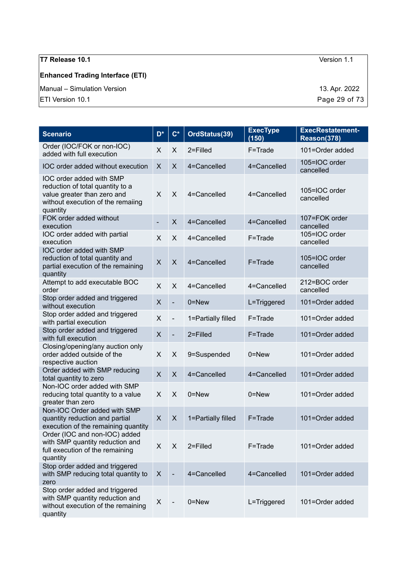### **Enhanced Trading Interface (ETI)**

Manual – Simulation Version 13. Apr. 2022

| <b>Scenario</b>                                                                                                                              | D <sup>*</sup> | $\mathbf{C}^*$ | OrdStatus(39)      | <b>ExecType</b><br>(150) | <b>ExecRestatement-</b><br>Reason(378) |
|----------------------------------------------------------------------------------------------------------------------------------------------|----------------|----------------|--------------------|--------------------------|----------------------------------------|
| Order (IOC/FOK or non-IOC)<br>added with full execution                                                                                      | X              | X              | 2=Filled           | F=Trade                  | 101=Order added                        |
| IOC order added without execution                                                                                                            | X              | X              | 4=Cancelled        | 4=Cancelled              | 105=IOC order<br>cancelled             |
| IOC order added with SMP<br>reduction of total quantity to a<br>value greater than zero and<br>without execution of the remaiing<br>quantity | X              | X              | 4=Cancelled        | 4=Cancelled              | 105=IOC order<br>cancelled             |
| FOK order added without<br>execution                                                                                                         | $\blacksquare$ | $\mathsf{X}$   | 4=Cancelled        | 4=Cancelled              | 107=FOK order<br>cancelled             |
| IOC order added with partial<br>execution                                                                                                    | X              | X              | 4=Cancelled        | F=Trade                  | 105=IOC order<br>cancelled             |
| IOC order added with SMP<br>reduction of total quantity and<br>partial execution of the remaining<br>quantity                                | $\times$       | $\pmb{\times}$ | 4=Cancelled        | F=Trade                  | 105=IOC order<br>cancelled             |
| Attempt to add executable BOC<br>order                                                                                                       | X              | X              | 4=Cancelled        | 4=Cancelled              | 212=BOC order<br>cancelled             |
| Stop order added and triggered<br>without execution                                                                                          | $\pmb{\times}$ | $\blacksquare$ | $0 = New$          | L=Triggered              | 101=Order added                        |
| Stop order added and triggered<br>with partial execution                                                                                     | X              | $\blacksquare$ | 1=Partially filled | F=Trade                  | 101=Order added                        |
| Stop order added and triggered<br>with full execution                                                                                        | $\pmb{\times}$ | $\blacksquare$ | 2=Filled           | F=Trade                  | 101=Order added                        |
| Closing/opening/any auction only<br>order added outside of the<br>respective auction                                                         | $\mathsf{X}$   | X              | 9=Suspended        | $0 = New$                | 101=Order added                        |
| Order added with SMP reducing<br>total quantity to zero                                                                                      | X              | X              | 4=Cancelled        | 4=Cancelled              | 101=Order added                        |
| Non-IOC order added with SMP<br>reducing total quantity to a value<br>greater than zero                                                      | X              | X              | 0=New              | 0=New                    | 101=Order added                        |
| Non-IOC Order added with SMP<br>quantity reduction and partial<br>execution of the remaining quantity                                        | $\mathsf{X}$   | $\mathsf{X}$   | 1=Partially filled | F=Trade                  | 101=Order added                        |
| Order (IOC and non-IOC) added<br>with SMP quantity reduction and<br>full execution of the remaining<br>quantity                              | X              | X              | 2=Filled           | F=Trade                  | 101=Order added                        |
| Stop order added and triggered<br>with SMP reducing total quantity to<br>zero                                                                | X              |                | 4=Cancelled        | 4=Cancelled              | 101=Order added                        |
| Stop order added and triggered<br>with SMP quantity reduction and<br>without execution of the remaining<br>quantity                          | X              |                | $0 = New$          | L=Triggered              | 101=Order added                        |

 $\boxed{\text{ETI Version 10.1}}$  Page 29 of 73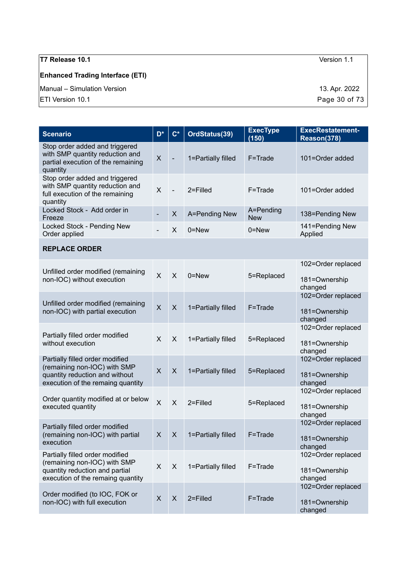### **Enhanced Trading Interface (ETI)**

Manual – Simulation Version 13. Apr. 2022

| <b>Scenario</b>                                                                                                                        | D <sup>*</sup>          | $\mathsf{C}^*$           | OrdStatus(39)      | <b>ExecType</b><br>(150) | <b>ExecRestatement-</b><br>Reason(378)         |
|----------------------------------------------------------------------------------------------------------------------------------------|-------------------------|--------------------------|--------------------|--------------------------|------------------------------------------------|
| Stop order added and triggered<br>with SMP quantity reduction and<br>partial execution of the remaining<br>quantity                    | X                       |                          | 1=Partially filled | F=Trade                  | 101=Order added                                |
| Stop order added and triggered<br>with SMP quantity reduction and<br>full execution of the remaining<br>quantity                       | $\mathsf{X}$            | $\overline{\phantom{a}}$ | 2=Filled           | F=Trade                  | 101=Order added                                |
| Locked Stock - Add order in<br>Freeze                                                                                                  |                         | X                        | A=Pending New      | A=Pending<br><b>New</b>  | 138=Pending New                                |
| Locked Stock - Pending New<br>Order applied                                                                                            |                         | X                        | $0 =$ New          | $0 = New$                | 141=Pending New<br>Applied                     |
| <b>REPLACE ORDER</b>                                                                                                                   |                         |                          |                    |                          |                                                |
| Unfilled order modified (remaining<br>non-IOC) without execution                                                                       | $\mathsf{X}$            | $\mathsf{X}$             | $0 =$ New          | 5=Replaced               | 102=Order replaced<br>181=Ownership<br>changed |
| Unfilled order modified (remaining<br>non-IOC) with partial execution                                                                  | $\overline{X}$          | X                        | 1=Partially filled | F=Trade                  | 102=Order replaced<br>181=Ownership<br>changed |
| Partially filled order modified<br>without execution                                                                                   | $\mathsf{X}$            | X                        | 1=Partially filled | 5=Replaced               | 102=Order replaced<br>181=Ownership<br>changed |
| Partially filled order modified<br>(remaining non-IOC) with SMP<br>quantity reduction and without<br>execution of the remaing quantity | $\mathsf{X}$            | X                        | 1=Partially filled | 5=Replaced               | 102=Order replaced<br>181=Ownership<br>changed |
| Order quantity modified at or below<br>executed quantity                                                                               | $\overline{\mathsf{X}}$ | $\mathsf{X}$             | 2=Filled           | 5=Replaced               | 102=Order replaced<br>181=Ownership<br>changed |
| Partially filled order modified<br>(remaining non-IOC) with partial<br>execution                                                       | X                       | $\boldsymbol{X}$         | 1=Partially filled | F=Trade                  | 102=Order replaced<br>181=Ownership<br>changed |
| Partially filled order modified<br>(remaining non-IOC) with SMP<br>quantity reduction and partial<br>execution of the remaing quantity | X                       | X                        | 1=Partially filled | F=Trade                  | 102=Order replaced<br>181=Ownership<br>changed |
| Order modified (to IOC, FOK or<br>non-IOC) with full execution                                                                         | $\mathsf{X}$            | X                        | 2=Filled           | F=Trade                  | 102=Order replaced<br>181=Ownership<br>changed |

 $\boxed{\text{ETI Version 10.1}}$  Page 30 of 73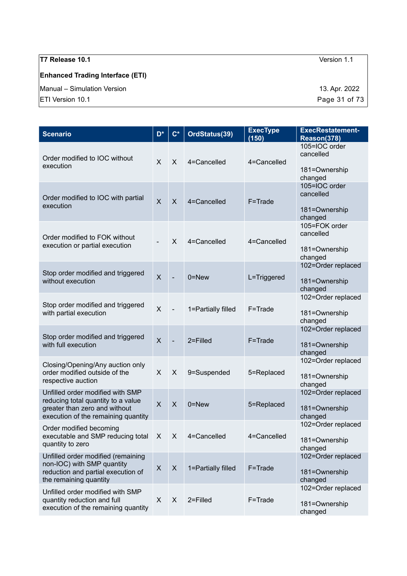# **Enhanced Trading Interface (ETI)**

Manual – Simulation Version 13. Apr. 2022

| <b>Scenario</b>                                                                                                                                | D <sup>*</sup>          | $C^*$                     | OrdStatus(39)      | <b>ExecType</b><br>(150) | <b>ExecRestatement-</b><br>Reason(378)                 |
|------------------------------------------------------------------------------------------------------------------------------------------------|-------------------------|---------------------------|--------------------|--------------------------|--------------------------------------------------------|
| Order modified to IOC without<br>execution                                                                                                     | X                       | $\mathsf{X}$              | 4=Cancelled        | 4=Cancelled              | 105=IOC order<br>cancelled<br>181=Ownership<br>changed |
| Order modified to IOC with partial<br>execution                                                                                                | $\overline{\mathsf{X}}$ | $\mathsf{X}$              | 4=Cancelled        | F=Trade                  | 105=IOC order<br>cancelled<br>181=Ownership<br>changed |
| Order modified to FOK without<br>execution or partial execution                                                                                |                         | $\times$                  | 4=Cancelled        | 4=Cancelled              | 105=FOK order<br>cancelled<br>181=Ownership<br>changed |
| Stop order modified and triggered<br>without execution                                                                                         | $\sf X$                 | $\blacksquare$            | $0 =$ New          | L=Triggered              | 102=Order replaced<br>181=Ownership<br>changed         |
| Stop order modified and triggered<br>with partial execution                                                                                    | $\mathsf{X}$            | $\blacksquare$            | 1=Partially filled | F=Trade                  | 102=Order replaced<br>181=Ownership<br>changed         |
| Stop order modified and triggered<br>with full execution                                                                                       | $\overline{\mathsf{X}}$ | $\blacksquare$            | 2=Filled           | F=Trade                  | 102=Order replaced<br>181=Ownership<br>changed         |
| Closing/Opening/Any auction only<br>order modified outside of the<br>respective auction                                                        | X                       | X                         | 9=Suspended        | 5=Replaced               | 102=Order replaced<br>181=Ownership<br>changed         |
| Unfilled order modified with SMP<br>reducing total quantity to a value<br>greater than zero and without<br>execution of the remaining quantity | $\mathsf{X}$            | $\mathsf{X}$              | $0 = New$          | 5=Replaced               | 102=Order replaced<br>181=Ownership<br>changed         |
| Order modified becoming<br>executable and SMP reducing total X X<br>quantity to zero                                                           |                         |                           | 4=Cancelled        | 4=Cancelled              | 102=Order replaced<br>181=Ownership<br>changed         |
| Unfilled order modified (remaining<br>non-IOC) with SMP quantity<br>reduction and partial execution of<br>the remaining quantity               | X                       | $\boldsymbol{\mathsf{X}}$ | 1=Partially filled | F=Trade                  | 102=Order replaced<br>181=Ownership<br>changed         |
| Unfilled order modified with SMP<br>quantity reduction and full<br>execution of the remaining quantity                                         | X                       | X                         | 2=Filled           | F=Trade                  | 102=Order replaced<br>181=Ownership<br>changed         |

 $\boxed{\text{ETI Version 10.1}}$  Page 31 of 73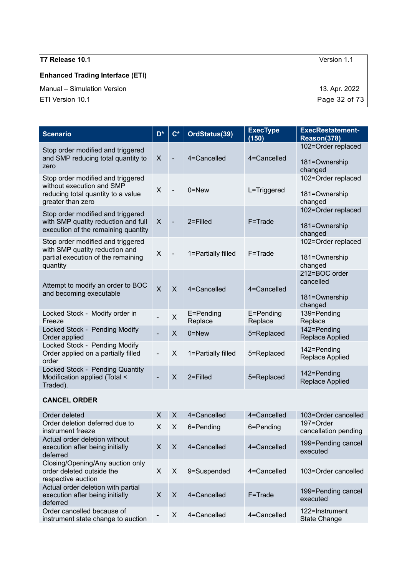### **Enhanced Trading Interface (ETI)**

Manual – Simulation Version 13. Apr. 2022

 $\boxed{\text{ETI Version 10.1}}$  Page 32 of 73

| <b>Scenario</b>                                                                                                           | D <sup>*</sup>          | $\mathbf{C}^*$           | OrdStatus(39)        | <b>ExecType</b><br>(150) | <b>ExecRestatement-</b><br>Reason(378)                 |
|---------------------------------------------------------------------------------------------------------------------------|-------------------------|--------------------------|----------------------|--------------------------|--------------------------------------------------------|
| Stop order modified and triggered<br>and SMP reducing total quantity to<br>zero                                           | $\times$                |                          | 4=Cancelled          | 4=Cancelled              | 102=Order replaced<br>181=Ownership<br>changed         |
| Stop order modified and triggered<br>without execution and SMP<br>reducing total quantity to a value<br>greater than zero | X                       |                          | $0 = New$            | L=Triggered              | 102=Order replaced<br>181=Ownership<br>changed         |
| Stop order modified and triggered<br>with SMP quatity reduction and full<br>execution of the remaining quantity           | $\times$                | $\overline{\phantom{0}}$ | $2 =$ Filled         | F=Trade                  | 102=Order replaced<br>181=Ownership<br>changed         |
| Stop order modified and triggered<br>with SMP quatity reduction and<br>partial execution of the remaining<br>quantity     | $\times$                |                          | 1=Partially filled   | F=Trade                  | 102=Order replaced<br>181=Ownership<br>changed         |
| Attempt to modify an order to BOC<br>and becoming executable                                                              | $\overline{\mathsf{x}}$ | $\mathsf{x}$             | 4=Cancelled          | 4=Cancelled              | 212=BOC order<br>cancelled<br>181=Ownership<br>changed |
| Locked Stock - Modify order in<br>Freeze                                                                                  |                         | X                        | E=Pending<br>Replace | E=Pending<br>Replace     | 139=Pending<br>Replace                                 |
| Locked Stock - Pending Modify<br>Order applied                                                                            |                         | $\sf X$                  | $0 = New$            | 5=Replaced               | 142=Pending<br><b>Replace Applied</b>                  |
| Locked Stock - Pending Modify<br>Order applied on a partially filled<br>order                                             |                         | X                        | 1=Partially filled   | 5=Replaced               | 142=Pending<br>Replace Applied                         |
| Locked Stock - Pending Quantity<br>Modification applied (Total <<br>Traded).                                              |                         | $\mathsf{X}$             | $2 =$ Filled         | 5=Replaced               | 142=Pending<br><b>Replace Applied</b>                  |
| AANAFI ADDER                                                                                                              |                         |                          |                      |                          |                                                        |

#### **CANCEL ORDER**

| Order deleted                                                                       | X            | $\times$ | 4=Cancelled     | 4=Cancelled     | 103=Order cancelled                   |
|-------------------------------------------------------------------------------------|--------------|----------|-----------------|-----------------|---------------------------------------|
| Order deletion deferred due to<br>instrument freeze                                 | X            | $\times$ | 6=Pending       | 6=Pending       | 197=Order<br>cancellation pending     |
| Actual order deletion without<br>execution after being initially<br>deferred        | X            | $\times$ | 4=Cancelled     | $4 =$ Cancelled | 199=Pending cancel<br>executed        |
| Closing/Opening/Any auction only<br>order deleted outside the<br>respective auction | X            | $\times$ | 9=Suspended     | 4=Cancelled     | 103=Order cancelled                   |
| Actual order deletion with partial<br>execution after being initially<br>deferred   | $\mathsf{x}$ | $\times$ | $4 =$ Cancelled | $F = Trade$     | 199=Pending cancel<br>executed        |
| Order cancelled because of<br>instrument state change to auction                    |              | X        | 4=Cancelled     | 4=Cancelled     | 122=Instrument<br><b>State Change</b> |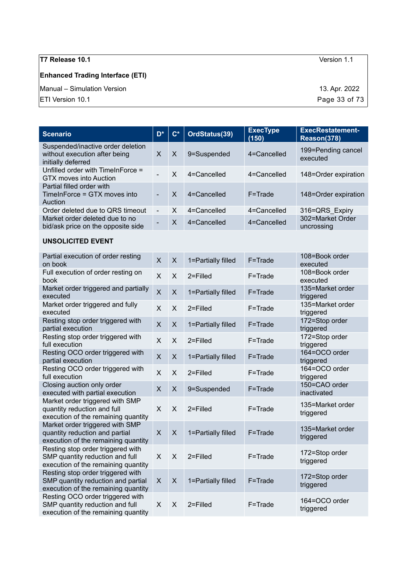### **Enhanced Trading Interface (ETI)**

Manual – Simulation Version 13. Apr. 2022

 $\boxed{\text{ETI Version 10.1}}$  Page 33 of 73

| D*                       | $\mathbf{C}^*$ | OrdStatus(39)   | <b>ExecType</b><br>(150) | <b>ExecRestatement-</b><br>Reason(378) |
|--------------------------|----------------|-----------------|--------------------------|----------------------------------------|
| $\times$                 | $\times$       | 9=Suspended     | 4=Cancelled              | 199=Pending cancel<br>executed         |
|                          | X              | $4 =$ Cancelled | 4=Cancelled              | 148=Order expiration                   |
|                          | $\mathsf{X}$   | $4 =$ Cancelled | $F = Trade$              | 148=Order expiration                   |
| $\overline{\phantom{a}}$ | X              | 4=Cancelled     | 4=Cancelled              | 316=QRS Expiry                         |
|                          | X              | 4=Cancelled     | 4=Cancelled              | 302=Market Order<br>uncrossing         |
|                          |                |                 |                          |                                        |

### **UNSOLICITED EVENT**

| Partial execution of order resting<br>on book                                                                  | $\mathsf{X}$            | $\mathsf{X}$ | 1=Partially filled | F=Trade     | 108=Book order<br>executed    |
|----------------------------------------------------------------------------------------------------------------|-------------------------|--------------|--------------------|-------------|-------------------------------|
| Full execution of order resting on<br>book                                                                     | $\mathsf{X}$            | X            | $2 =$ Filled       | F=Trade     | 108=Book order<br>executed    |
| Market order triggered and partially<br>executed                                                               | $\overline{\mathsf{X}}$ | $\sf X$      | 1=Partially filled | F=Trade     | 135=Market order<br>triggered |
| Market order triggered and fully<br>executed                                                                   | $\mathsf{X}$            | X            | $2 =$ Filled       | F=Trade     | 135=Market order<br>triggered |
| Resting stop order triggered with<br>partial execution                                                         | $\overline{\mathsf{X}}$ | $\times$     | 1=Partially filled | F=Trade     | 172=Stop order<br>triggered   |
| Resting stop order triggered with<br>full execution                                                            | $\mathsf{X}$            | $\mathsf{X}$ | 2=Filled           | F=Trade     | 172=Stop order<br>triggered   |
| Resting OCO order triggered with<br>partial execution                                                          | $\mathsf{X}$            | $\mathsf{X}$ | 1=Partially filled | $F = Trade$ | 164=OCO order<br>triggered    |
| Resting OCO order triggered with<br>full execution                                                             | $\mathsf{X}$            | $\mathsf{X}$ | 2=Filled           | F=Trade     | 164=OCO order<br>triggered    |
| Closing auction only order<br>executed with partial execution                                                  | $\mathsf{X}$            | $\mathsf{X}$ | 9=Suspended        | F=Trade     | 150=CAO order<br>inactivated  |
| Market order triggered with SMP<br>quantity reduction and full<br>execution of the remaining quantity          | $\times$                | X            | $2 =$ Filled       | F=Trade     | 135=Market order<br>triggered |
| Market order triggered with SMP<br>quantity reduction and partial<br>execution of the remaining quantity       | X                       | $\times$     | 1=Partially filled | F=Trade     | 135=Market order<br>triggered |
| Resting stop order triggered with<br>SMP quantity reduction and full<br>execution of the remaining quantity    | X                       | $\times$     | $2 =$ Filled       | F=Trade     | 172=Stop order<br>triggered   |
| Resting stop order triggered with<br>SMP quantity reduction and partial<br>execution of the remaining quantity | $\sf X$                 | $\mathsf{X}$ | 1=Partially filled | F=Trade     | 172=Stop order<br>triggered   |
| Resting OCO order triggered with<br>SMP quantity reduction and full<br>execution of the remaining quantity     | X                       | X            | $2 =$ Filled       | F=Trade     | 164=OCO order<br>triggered    |
|                                                                                                                |                         |              |                    |             |                               |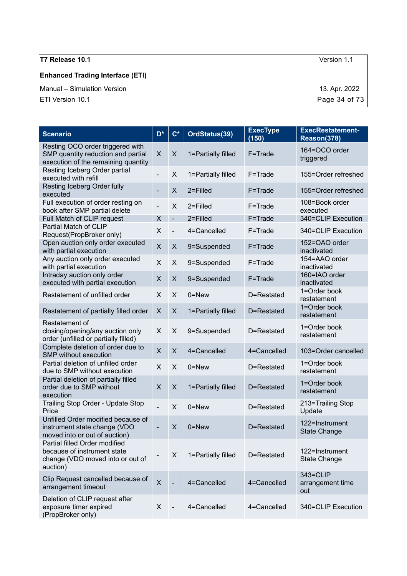### **Enhanced Trading Interface (ETI)**

Manual – Simulation Version 13. Apr. 2022

 $\boxed{\text{ETI Version 10.1}}$  Page 34 of 73

| <b>Scenario</b>                                                                                               | $D^*$                    | $C^*$                    | OrdStatus(39)      | <b>ExecType</b><br>(150) | <b>ExecRestatement-</b><br>Reason(378) |
|---------------------------------------------------------------------------------------------------------------|--------------------------|--------------------------|--------------------|--------------------------|----------------------------------------|
| Resting OCO order triggered with<br>SMP quantity reduction and partial<br>execution of the remaining quantity | X                        | $\mathsf X$              | 1=Partially filled | F=Trade                  | 164=OCO order<br>triggered             |
| Resting Iceberg Order partial<br>executed with refill                                                         | $\blacksquare$           | X                        | 1=Partially filled | F=Trade                  | 155=Order refreshed                    |
| Resting Iceberg Order fully<br>executed                                                                       | $\overline{\phantom{0}}$ | X                        | 2=Filled           | F=Trade                  | 155=Order refreshed                    |
| Full execution of order resting on<br>book after SMP partial delete                                           |                          | X                        | 2=Filled           | F=Trade                  | 108=Book order<br>executed             |
| Full Match of CLIP request                                                                                    | X                        | $\qquad \qquad -$        | 2=Filled           | F=Trade                  | 340=CLIP Execution                     |
| Partial Match of CLIP<br>Request(PropBroker only)                                                             | X                        | $\overline{\phantom{0}}$ | 4=Cancelled        | F=Trade                  | 340=CLIP Execution                     |
| Open auction only order executed<br>with partial execution                                                    | X                        | X                        | 9=Suspended        | F=Trade                  | 152=OAO order<br>inactivated           |
| Any auction only order executed<br>with partial execution                                                     | X                        | $\times$                 | 9=Suspended        | F=Trade                  | 154=AAO order<br>inactivated           |
| Intraday auction only order<br>executed with partial execution                                                | X                        | X                        | 9=Suspended        | F=Trade                  | 160=IAO order<br>inactivated           |
| Restatement of unfilled order                                                                                 | X                        | X                        | 0=New              | D=Restated               | 1=Order book<br>restatement            |
| Restatement of partially filled order                                                                         | X                        | X                        | 1=Partially filled | D=Restated               | 1=Order book<br>restatement            |
| Restatement of<br>closing/opening/any auction only<br>order (unfilled or partially filled)                    | X                        | X                        | 9=Suspended        | D=Restated               | 1=Order book<br>restatement            |
| Complete deletion of order due to<br>SMP without execution                                                    | X                        | $\mathsf{X}$             | 4=Cancelled        | 4=Cancelled              | 103=Order cancelled                    |
| Partial deletion of unfilled order<br>due to SMP without execution                                            | X                        | X                        | $0 =$ New          | D=Restated               | 1=Order book<br>restatement            |
| Partial deletion of partially filled<br>order due to SMP without<br>execution                                 | X                        | X                        | 1=Partially filled | D=Restated               | 1=Order book<br>restatement            |
| Trailing Stop Order - Update Stop<br>Price                                                                    | $\overline{\phantom{0}}$ | X                        | 0=New              | D=Restated               | 213=Trailing Stop<br>Update            |
| Unfilled Order modified because of<br>instrument state change (VDO<br>moved into or out of auction)           | $\overline{\phantom{0}}$ | X                        | 0=New              | D=Restated               | 122=Instrument<br><b>State Change</b>  |
| Partial filled Order modified<br>because of instrument state<br>change (VDO moved into or out of<br>auction)  |                          | X                        | 1=Partially filled | D=Restated               | 122=Instrument<br><b>State Change</b>  |
| Clip Request cancelled because of<br>arrangement timeout                                                      | $\times$                 |                          | 4=Cancelled        | 4=Cancelled              | 343=CLIP<br>arrangement time<br>out    |
| Deletion of CLIP request after<br>exposure timer expired<br>(PropBroker only)                                 | X                        |                          | 4=Cancelled        | 4=Cancelled              | 340=CLIP Execution                     |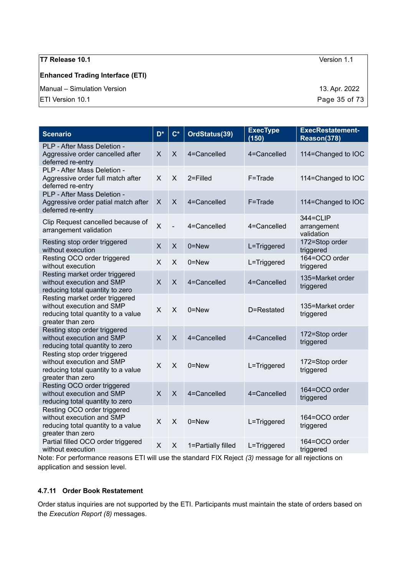#### **Enhanced Trading Interface (ETI)**

Manual – Simulation Version 13. Apr. 2022

ETI Version 10.1 **Page 35 of 73** 

| <b>Scenario</b>                                                                                                        | $\overline{\mathsf{D}^*}$ | $C^*$             | OrdStatus(39)      | <b>ExecType</b><br>(150) | <b>ExecRestatement-</b><br>Reason(378) |
|------------------------------------------------------------------------------------------------------------------------|---------------------------|-------------------|--------------------|--------------------------|----------------------------------------|
| PLP - After Mass Deletion -<br>Aggressive order cancelled after<br>deferred re-entry                                   | X                         | X                 | 4=Cancelled        | 4=Cancelled              | 114=Changed to IOC                     |
| PLP - After Mass Deletion -<br>Aggressive order full match after<br>deferred re-entry                                  | X                         | X                 | 2=Filled           | F=Trade                  | 114=Changed to IOC                     |
| PLP - After Mass Deletion -<br>Aggressive order patial match after<br>deferred re-entry                                | X                         | X                 | 4=Cancelled        | F=Trade                  | 114=Changed to IOC                     |
| Clip Request cancelled because of<br>arrangement validation                                                            | $\mathsf{x}$              | $\qquad \qquad -$ | 4=Cancelled        | 4=Cancelled              | 344=CLIP<br>arrangement<br>validation  |
| Resting stop order triggered<br>without execution                                                                      | X                         | X                 | $0 =$ New          | L=Triggered              | 172=Stop order<br>triggered            |
| Resting OCO order triggered<br>without execution                                                                       | X                         | X                 | $0 =$ New          | L=Triggered              | 164=OCO order<br>triggered             |
| Resting market order triggered<br>without execution and SMP<br>reducing total quantity to zero                         | $\mathsf{X}$              | $\mathsf{X}$      | 4=Cancelled        | 4=Cancelled              | 135=Market order<br>triggered          |
| Resting market order triggered<br>without execution and SMP<br>reducing total quantity to a value<br>greater than zero | X                         | X                 | $0 = New$          | D=Restated               | 135=Market order<br>triggered          |
| Resting stop order triggered<br>without execution and SMP<br>reducing total quantity to zero                           | $\mathsf{X}$              | $\mathsf{X}$      | 4=Cancelled        | 4=Cancelled              | 172=Stop order<br>triggered            |
| Resting stop order triggered<br>without execution and SMP<br>reducing total quantity to a value<br>greater than zero   | X                         | X                 | 0=New              | L=Triggered              | 172=Stop order<br>triggered            |
| Resting OCO order triggered<br>without execution and SMP<br>reducing total quantity to zero                            | $\mathsf{X}$              | $\mathsf{X}$      | 4=Cancelled        | 4=Cancelled              | 164=OCO order<br>triggered             |
| Resting OCO order triggered<br>without execution and SMP<br>reducing total quantity to a value<br>greater than zero    | X                         | X                 | 0=New              | L=Triggered              | 164=OCO order<br>triggered             |
| Partial filled OCO order triggered<br>without execution                                                                | X                         | X                 | 1=Partially filled | L=Triggered              | 164=OCO order<br>triggered             |

Note: For performance reasons ETI will use the standard FIX Reject *(3)* message for all rejections on application and session level.

#### <span id="page-34-0"></span>**4.7.11 Order Book Restatement**

Order status inquiries are not supported by the ETI. Participants must maintain the state of orders based on the *Execution Report (8)* messages.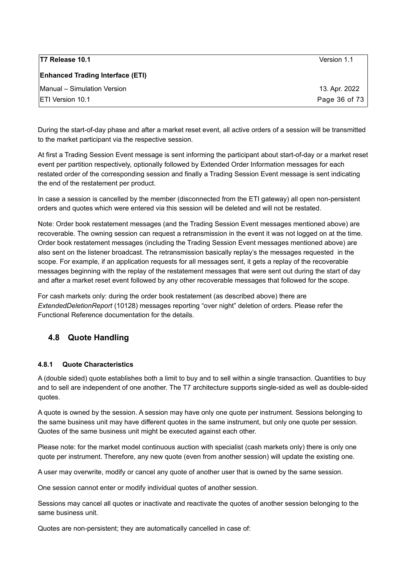| <b>T7 Release 10.1</b>                  | Version 1.1   |
|-----------------------------------------|---------------|
| <b>Enhanced Trading Interface (ETI)</b> |               |
| Manual – Simulation Version             | 13. Apr. 2022 |
| <b>IETI Version 10.1</b>                | Page 36 of 73 |

During the start-of-day phase and after a market reset event, all active orders of a session will be transmitted to the market participant via the respective session.

At first a Trading Session Event message is sent informing the participant about start-of-day or a market reset event per partition respectively, optionally followed by Extended Order Information messages for each restated order of the corresponding session and finally a Trading Session Event message is sent indicating the end of the restatement per product.

In case a session is cancelled by the member (disconnected from the ETI gateway) all open non-persistent orders and quotes which were entered via this session will be deleted and will not be restated.

Note: Order book restatement messages (and the Trading Session Event messages mentioned above) are recoverable. The owning session can request a retransmission in the event it was not logged on at the time. Order book restatement messages (including the Trading Session Event messages mentioned above) are also sent on the listener broadcast. The retransmission basically replay's the messages requested in the scope. For example, if an application requests for all messages sent, it gets a replay of the recoverable messages beginning with the replay of the restatement messages that were sent out during the start of day and after a market reset event followed by any other recoverable messages that followed for the scope.

For cash markets only: during the order book restatement (as described above) there are *ExtendedDeletionReport* (10128) messages reporting "over night" deletion of orders. Please refer the Functional Reference documentation for the details.

### <span id="page-35-1"></span>**4.8 Quote Handling**

#### <span id="page-35-0"></span>**4.8.1 Quote Characteristics**

A (double sided) quote establishes both a limit to buy and to sell within a single transaction. Quantities to buy and to sell are independent of one another. The T7 architecture supports single-sided as well as double-sided quotes.

A quote is owned by the session. A session may have only one quote per instrument. Sessions belonging to the same business unit may have different quotes in the same instrument, but only one quote per session. Quotes of the same business unit might be executed against each other.

Please note: for the market model continuous auction with specialist (cash markets only) there is only one quote per instrument. Therefore, any new quote (even from another session) will update the existing one.

A user may overwrite, modify or cancel any quote of another user that is owned by the same session.

One session cannot enter or modify individual quotes of another session.

Sessions may cancel all quotes or inactivate and reactivate the quotes of another session belonging to the same business unit.

Quotes are non-persistent; they are automatically cancelled in case of: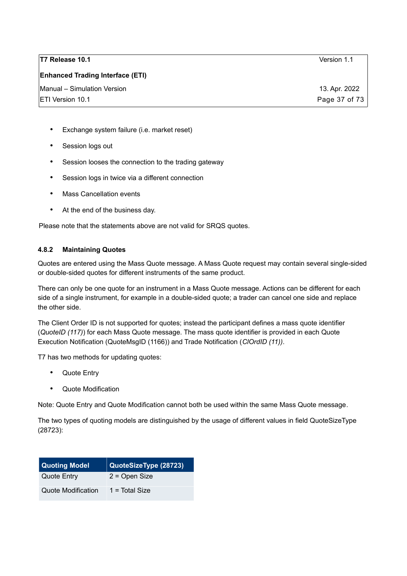| T7 Release 10.1 | Version 1.1 |
|-----------------|-------------|
|-----------------|-------------|

**Enhanced Trading Interface (ETI)**

- Exchange system failure (i.e. market reset)
- Session logs out
- Session looses the connection to the trading gateway
- Session logs in twice via a different connection
- Mass Cancellation events
- At the end of the business day.

Please note that the statements above are not valid for SRQS quotes.

#### **4.8.2 Maintaining Quotes**

Quotes are entered using the Mass Quote message*.* A Mass Quote request may contain several single-sided or double-sided quotes for different instruments of the same product.

There can only be one quote for an instrument in a Mass Quote message. Actions can be different for each side of a single instrument, for example in a double-sided quote; a trader can cancel one side and replace the other side.

The Client Order ID is not supported for quotes; instead the participant defines a mass quote identifier (*QuoteID (117)*) for each Mass Quote message. The mass quote identifier is provided in each Quote Execution Notification (QuoteMsgID (1166)) and Trade Notification (*ClOrdID (11))*.

T7 has two methods for updating quotes:

- Quote Entry
- Quote Modification

Note: Quote Entry and Quote Modification cannot both be used within the same Mass Quote message*.*

The two types of quoting models are distinguished by the usage of different values in field QuoteSizeType (28723):

| <b>Quoting Model</b>      | QuoteSizeType (28723) |
|---------------------------|-----------------------|
| <b>Quote Entry</b>        | $2 =$ Open Size       |
| <b>Quote Modification</b> | $1 = Total Size$      |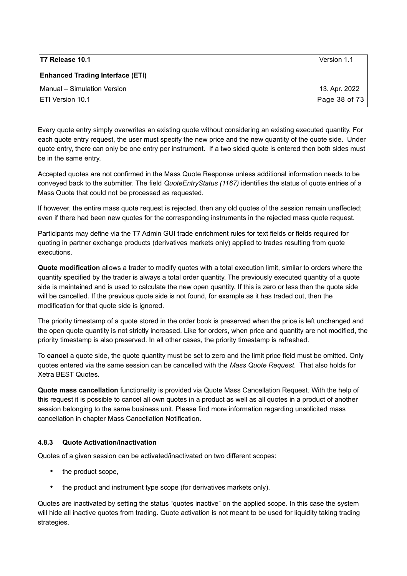| <b>T7 Release 10.1</b>                  | Version 1.1   |
|-----------------------------------------|---------------|
| <b>Enhanced Trading Interface (ETI)</b> |               |
| Manual - Simulation Version             | 13. Apr. 2022 |
| <b>IETI Version 10.1</b>                | Page 38 of 73 |

Every quote entry simply overwrites an existing quote without considering an existing executed quantity. For each quote entry request, the user must specify the new price and the new quantity of the quote side. Under quote entry, there can only be one entry per instrument. If a two sided quote is entered then both sides must be in the same entry.

Accepted quotes are not confirmed in the Mass Quote Response unless additional information needs to be conveyed back to the submitter. The field *QuoteEntryStatus (1167)* identifies the status of quote entries of a Mass Quote that could not be processed as requested.

If however, the entire mass quote request is rejected, then any old quotes of the session remain unaffected; even if there had been new quotes for the corresponding instruments in the rejected mass quote request.

Participants may define via the T7 Admin GUI trade enrichment rules for text fields or fields required for quoting in partner exchange products (derivatives markets only) applied to trades resulting from quote executions.

**Quote modification** allows a trader to modify quotes with a total execution limit, similar to orders where the quantity specified by the trader is always a total order quantity. The previously executed quantity of a quote side is maintained and is used to calculate the new open quantity. If this is zero or less then the quote side will be cancelled. If the previous quote side is not found, for example as it has traded out, then the modification for that quote side is ignored.

The priority timestamp of a quote stored in the order book is preserved when the price is left unchanged and the open quote quantity is not strictly increased. Like for orders, when price and quantity are not modified, the priority timestamp is also preserved. In all other cases, the priority timestamp is refreshed.

To **cancel** a quote side, the quote quantity must be set to zero and the limit price field must be omitted. Only quotes entered via the same session can be cancelled with the *Mass Quote Request*. That also holds for Xetra BEST Quotes.

**Quote mass cancellation** functionality is provided via Quote Mass Cancellation Request*.* With the help of this request it is possible to cancel all own quotes in a product as well as all quotes in a product of another session belonging to the same business unit. Please find more information regarding unsolicited mass cancellation in chapter [Mass Cancellation Notification.](#page-47-0)

#### **4.8.3 Quote Activation/Inactivation**

Quotes of a given session can be activated/inactivated on two different scopes:

- the product scope,
- the product and instrument type scope (for derivatives markets only).

Quotes are inactivated by setting the status "quotes inactive" on the applied scope. In this case the system will hide all inactive quotes from trading. Quote activation is not meant to be used for liquidity taking trading strategies.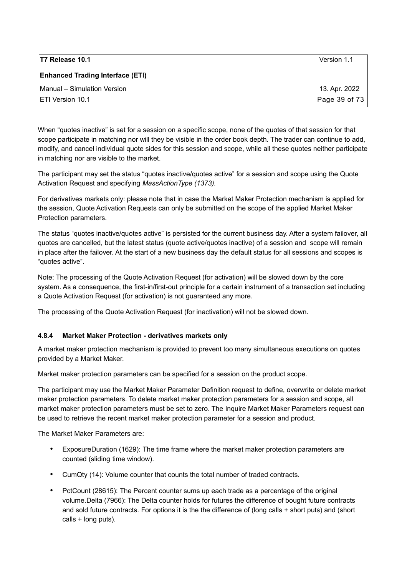| <b>T7 Release 10.1</b>                  | Version 1.1   |
|-----------------------------------------|---------------|
| <b>Enhanced Trading Interface (ETI)</b> |               |
| Manual - Simulation Version             | 13. Apr. 2022 |
| <b>IETI Version 10.1</b>                | Page 39 of 73 |

When "quotes inactive" is set for a session on a specific scope, none of the quotes of that session for that scope participate in matching nor will they be visible in the order book depth. The trader can continue to add, modify, and cancel individual quote sides for this session and scope, while all these quotes neither participate in matching nor are visible to the market.

The participant may set the status "quotes inactive/quotes active" for a session and scope using the Quote Activation Request and specifying *MassActionType (1373).* 

For derivatives markets only: please note that in case the Market Maker Protection mechanism is applied for the session, Quote Activation Requests can only be submitted on the scope of the applied Market Maker Protection parameters.

The status "quotes inactive/quotes active" is persisted for the current business day. After a system failover, all quotes are cancelled, but the latest status (quote active/quotes inactive) of a session and scope will remain in place after the failover. At the start of a new business day the default status for all sessions and scopes is "quotes active".

Note: The processing of the Quote Activation Request (for activation) will be slowed down by the core system. As a consequence, the first-in/first-out principle for a certain instrument of a transaction set including a Quote Activation Request (for activation) is not guaranteed any more.

The processing of the Quote Activation Request (for inactivation) will not be slowed down.

#### **4.8.4 Market Maker Protection - derivatives markets only**

A market maker protection mechanism is provided to prevent too many simultaneous executions on quotes provided by a Market Maker.

Market maker protection parameters can be specified for a session on the product scope.

The participant may use the Market Maker Parameter Definition request to define, overwrite or delete market maker protection parameters. To delete market maker protection parameters for a session and scope, all market maker protection parameters must be set to zero. The Inquire Market Maker Parameters request can be used to retrieve the recent market maker protection parameter for a session and product.

The Market Maker Parameters are:

- ExposureDuration (1629): The time frame where the market maker protection parameters are counted (sliding time window).
- CumQty (14): Volume counter that counts the total number of traded contracts.
- PctCount (28615): The Percent counter sums up each trade as a percentage of the original volume.Delta (7966): The Delta counter holds for futures the difference of bought future contracts and sold future contracts. For options it is the the difference of (long calls + short puts) and (short calls + long puts).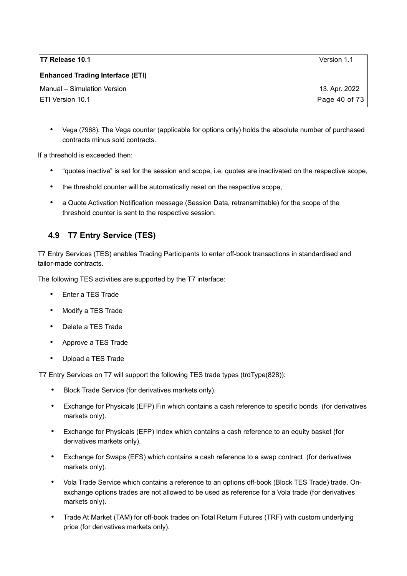| T7 Release 10.1                         | Version 1.1   |
|-----------------------------------------|---------------|
| <b>Enhanced Trading Interface (ETI)</b> |               |
| Manual - Simulation Version             | 13. Apr. 2022 |
| <b>ETI Version 10.1</b>                 | Page 40 of 73 |

• Vega (7968): The Vega counter (applicable for options only) holds the absolute number of purchased contracts minus sold contracts.

If a threshold is exceeded then:

- "quotes inactive" is set for the session and scope, i.e. quotes are inactivated on the respective scope,
- the threshold counter will be automatically reset on the respective scope,
- a Quote Activation Notification message (Session Data, retransmittable) for the scope of the threshold counter is sent to the respective session.

# **4.9 T7 Entry Service (TES)**

T7 Entry Services (TES) enables Trading Participants to enter off-book transactions in standardised and tailor-made contracts.

The following TES activities are supported by the T7 interface:

- Enter a TES Trade
- Modify a TES Trade
- Delete a TES Trade
- Approve a TES Trade
- Upload a TES Trade

T7 Entry Services on T7 will support the following TES trade types (trdType(828)):

- Block Trade Service (for derivatives markets only).
- Exchange for Physicals (EFP) Fin which contains a cash reference to specific bonds (for derivatives markets only).
- Exchange for Physicals (EFP) Index which contains a cash reference to an equity basket (for derivatives markets only).
- Exchange for Swaps (EFS) which contains a cash reference to a swap contract (for derivatives markets only).
- Vola Trade Service which contains a reference to an options off-book (Block TES Trade) trade. Onexchange options trades are not allowed to be used as reference for a Vola trade (for derivatives markets only).
- Trade At Market (TAM) for off-book trades on Total Return Futures (TRF) with custom underlying price (for derivatives markets only).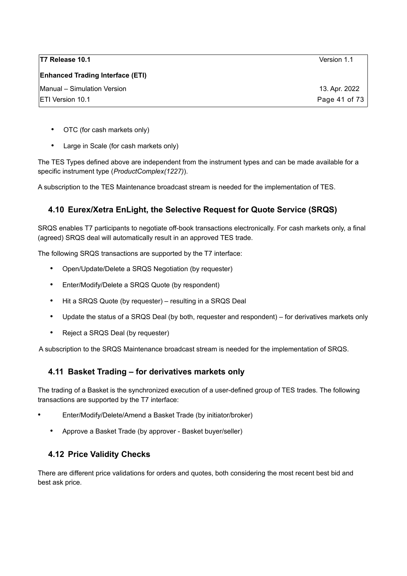| <b>T7 Release 10.1</b>                  | Version 1.1   |
|-----------------------------------------|---------------|
| <b>Enhanced Trading Interface (ETI)</b> |               |
| Manual - Simulation Version             | 13. Apr. 2022 |
| <b>ETI Version 10.1</b>                 | Page 41 of 73 |

- OTC (for cash markets only)
- Large in Scale (for cash markets only)

The TES Types defined above are independent from the instrument types and can be made available for a specific instrument type (*ProductComplex(1227)*).

A subscription to the TES Maintenance broadcast stream is needed for the implementation of TES.

## **4.10 Eurex/Xetra EnLight, the Selective Request for Quote Service (SRQS)**

SRQS enables T7 participants to negotiate off-book transactions electronically. For cash markets only, a final (agreed) SRQS deal will automatically result in an approved TES trade.

The following SRQS transactions are supported by the T7 interface:

- Open/Update/Delete a SRQS Negotiation (by requester)
- Enter/Modify/Delete a SRQS Quote (by respondent)
- Hit a SRQS Quote (by requester) resulting in a SRQS Deal
- Update the status of a SRQS Deal (by both, requester and respondent) for derivatives markets only
- Reject a SRQS Deal (by requester)

A subscription to the SRQS Maintenance broadcast stream is needed for the implementation of SRQS.

### **4.11 Basket Trading – for derivatives markets only**

The trading of a Basket is the synchronized execution of a user-defined group of TES trades. The following transactions are supported by the T7 interface:

- Enter/Modify/Delete/Amend a Basket Trade (by initiator/broker)
	- Approve a Basket Trade (by approver Basket buyer/seller)

### **4.12 Price Validity Checks**

There are different price validations for orders and quotes, both considering the most recent best bid and best ask price.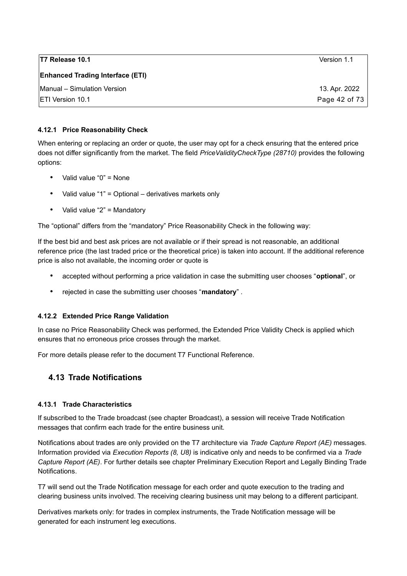| T7 Release 10.1                         | Version 1.1   |
|-----------------------------------------|---------------|
| <b>Enhanced Trading Interface (ETI)</b> |               |
| Manual - Simulation Version             | 13. Apr. 2022 |
| <b>IETI Version 10.1</b>                | Page 42 of 73 |

#### **4.12.1 Price Reasonability Check**

When entering or replacing an order or quote, the user may opt for a check ensuring that the entered price does not differ significantly from the market. The field *PriceValidityCheckType (28710)* provides the following options:

- Valid value "0" = None
- Valid value "1" = Optional derivatives markets only
- Valid value "2" = Mandatory

The "optional" differs from the "mandatory" Price Reasonability Check in the following way:

If the best bid and best ask prices are not available or if their spread is not reasonable, an additional reference price (the last traded price or the theoretical price) is taken into account. If the additional reference price is also not available, the incoming order or quote is

- accepted without performing a price validation in case the submitting user chooses "**optional**", or
- rejected in case the submitting user chooses "**mandatory**" .

#### **4.12.2 Extended Price Range Validation**

In case no Price Reasonability Check was performed, the Extended Price Validity Check is applied which ensures that no erroneous price crosses through the market.

For more details please refer to the document T7 Functional Reference.

# **4.13 Trade Notifications**

#### **4.13.1 Trade Characteristics**

If subscribed to the Trade broadcast (see chapter [Broadcast\)](#page-62-0), a session will receive Trade Notification messages that confirm each trade for the entire business unit.

Notifications about trades are only provided on the T7 architecture via *Trade Capture Report (AE)* messages. Information provided via *Execution Reports (8, U8)* is indicative only and needs to be confirmed via a *Trade Capture Report (AE)*. For further details see chapter [Preliminary Execution Report and Legally Binding Trade](#page-67-0) [Notifications.](#page-67-0)

T7 will send out the Trade Notification message for each order and quote execution to the trading and clearing business units involved. The receiving clearing business unit may belong to a different participant.

Derivatives markets only: for trades in complex instruments, the Trade Notification message will be generated for each instrument leg executions.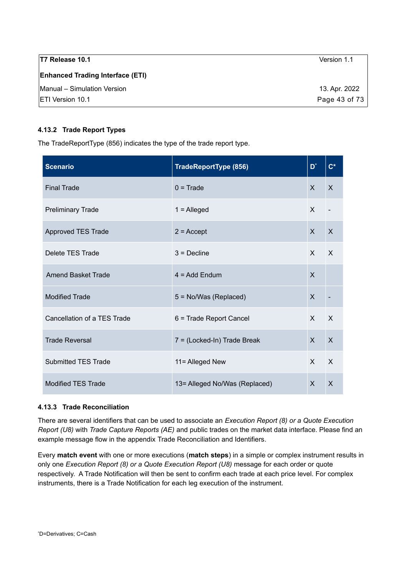| T7 Release 10.1                         | Version 1.1   |
|-----------------------------------------|---------------|
| <b>Enhanced Trading Interface (ETI)</b> |               |
| Manual - Simulation Version             | 13. Apr. 2022 |
| <b>IETI Version 10.1</b>                | Page 43 of 73 |

#### **4.13.2 Trade Report Types**

The TradeReportType (856) indicates the type of the trade report type.

| <b>Scenario</b>             | <b>TradeReportType (856)</b>   | D*           | $C^*$                     |
|-----------------------------|--------------------------------|--------------|---------------------------|
| <b>Final Trade</b>          | $0 = Trade$                    | $\mathsf{x}$ | X                         |
| <b>Preliminary Trade</b>    | $1 =$ Alleged                  | $\mathsf{x}$ |                           |
| <b>Approved TES Trade</b>   | $2 =$ Accept                   | $\mathsf{x}$ | X                         |
| Delete TES Trade            | $3$ = Decline                  | $\mathsf{X}$ | $\times$                  |
| <b>Amend Basket Trade</b>   | $4 = Add Endum$                | $\sf X$      |                           |
| <b>Modified Trade</b>       | 5 = No/Was (Replaced)          | X            |                           |
| Cancellation of a TES Trade | 6 = Trade Report Cancel        | $\mathsf{X}$ | $\mathsf{x}$              |
| <b>Trade Reversal</b>       | 7 = (Locked-In) Trade Break    | $\mathsf{X}$ | $\sf X$                   |
| <b>Submitted TES Trade</b>  | 11= Alleged New                | $\mathsf{X}$ | $\boldsymbol{\mathsf{X}}$ |
| <b>Modified TES Trade</b>   | 13 = Alleged No/Was (Replaced) | $\mathsf{x}$ | X                         |

#### <span id="page-42-1"></span>**4.13.3 Trade Reconciliation**

There are several identifiers that can be used to associate an *Execution Report (8) or a Quote Execution Report (U8)* with *Trade Capture Reports (AE)* and public trades on the market data interface. Please find an example message flow in the appendix [Trade Reconciliation and Identifiers.](#page-68-0)

<span id="page-42-0"></span>Every **match event** with one or more executions (**match steps**) in a simple or complex instrument results in only one *Execution Report (8) or a Quote Execution Report (U8)* message for each order or quote respectively. A Trade Notification will then be sent to confirm each trade at each price level. For complex instruments, there is a Trade Notification for each leg execution of the instrument.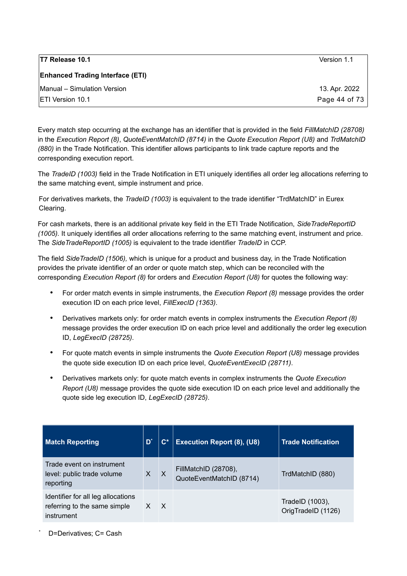| <b>T7 Release 10.1</b>                  | Version 1.1   |
|-----------------------------------------|---------------|
| <b>Enhanced Trading Interface (ETI)</b> |               |
| Manual - Simulation Version             | 13. Apr. 2022 |
| <b>IETI Version 10.1</b>                | Page 44 of 73 |

Every match step occurring at the exchange has an identifier that is provided in the field *FillMatchID (28708)* in the *Execution Report (8)*, *QuoteEventMatchID (8714)* in the *Quote Execution Report (U8)* and *TrdMatchID (880)* in the Trade Notification. This identifier allows participants to link trade capture reports and the corresponding execution report.

The *TradeID (1003)* field in the Trade Notification in ETI uniquely identifies all order leg allocations referring to the same matching event, simple instrument and price.

For derivatives markets, the *TradeID (1003)* is equivalent to the trade identifier "TrdMatchID" in Eurex Clearing.

For cash markets, there is an additional private key field in the ETI Trade Notification, *SideTradeReportID (1005).* It uniquely identifies all order allocations referring to the same matching event, instrument and price. The *SideTradeReportID (1005)* is equivalent to the trade identifier *TradeID* in CCP.

The field *SideTradeID (1506),* which is unique for a product and business day, in the Trade Notification provides the private identifier of an order or quote match step, which can be reconciled with the corresponding *Execution Report (8)* for orders and *Execution Report (U8)* for quotes the following way:

- For order match events in simple instruments, the *Execution Report (8)* message provides the order execution ID on each price level, *FillExecID (1363)*.
- Derivatives markets only: for order match events in complex instruments the *Execution Report (8)* message provides the order execution ID on each price level and additionally the order leg execution ID, *LegExecID (28725)*.
- For quote match events in simple instruments the *Quote Execution Report (U8)* message provides the quote side execution ID on each price level, *QuoteEventExecID (28711)*.
- Derivatives markets only: for quote match events in complex instruments the *Quote Execution Report (U8)* message provides the quote side execution ID on each price level and additionally the quote side leg execution ID, *LegExecID (28725)*.

| <b>Match Reporting</b>                                                           | D' | $\mathbf{C}^*$ | <b>Execution Report (8), (U8)</b>                | <b>Trade Notification</b>             |
|----------------------------------------------------------------------------------|----|----------------|--------------------------------------------------|---------------------------------------|
| Trade event on instrument<br>level: public trade volume<br>reporting             | X  | $\times$       | FillMatchID (28708),<br>QuoteEventMatchID (8714) | TrdMatchID (880)                      |
| Identifier for all leg allocations<br>referring to the same simple<br>instrument |    | $\mathsf{X}$   |                                                  | TradeID (1003),<br>OrigTradeID (1126) |

<span id="page-43-0"></span>D=Derivatives: C= Cash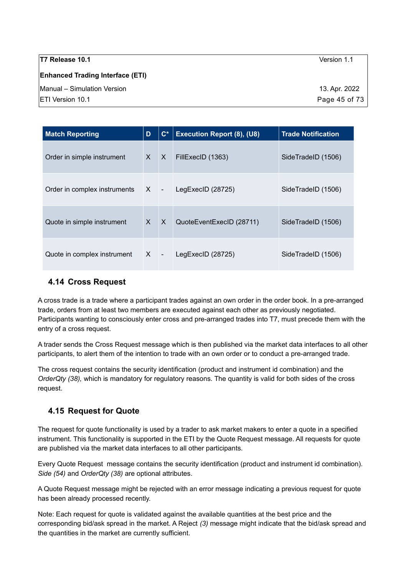**T7 Release 10.1** Version 1.1 **Enhanced Trading Interface (ETI)** Manual – Simulation Version 13. Apr. 2022 ETI Version 10.1 Page 45 of 73

| <b>Match Reporting</b>       | D            | $\mathbf{C}^*$ | <b>Execution Report (8), (U8)</b> | <b>Trade Notification</b> |
|------------------------------|--------------|----------------|-----------------------------------|---------------------------|
| Order in simple instrument   | $\times$     | $\mathsf{X}$   | FillExecID (1363)                 | SideTradeID (1506)        |
| Order in complex instruments | $X -$        |                | LegExecID (28725)                 | SideTradeID (1506)        |
| Quote in simple instrument   | $\mathsf{x}$ | $\mathsf{X}$   | QuoteEventExecID (28711)          | SideTradeID (1506)        |
| Quote in complex instrument  | $X -$        |                | LegExecID $(28725)$               | SideTradeID (1506)        |

# **4.14 Cross Request**

A cross trade is a trade where a participant trades against an own order in the order book. In a pre-arranged trade, orders from at least two members are executed against each other as previously negotiated. Participants wanting to consciously enter cross and pre-arranged trades into T7, must precede them with the entry of a cross request.

A trader sends the Cross Request message which is then published via the market data interfaces to all other participants, to alert them of the intention to trade with an own order or to conduct a pre-arranged trade.

The cross request contains the security identification (product and instrument id combination) and the *OrderQty (38),* which is mandatory for regulatory reasons. The quantity is valid for both sides of the cross request.

# **4.15 Request for Quote**

The request for quote functionality is used by a trader to ask market makers to enter a quote in a specified instrument. This functionality is supported in the ETI by the Quote Request message. All requests for quote are published via the market data interfaces to all other participants.

Every Quote Request message contains the security identification (product and instrument id combination). *Side (54)* and *OrderQty (38)* are optional attributes.

A Quote Request message might be rejected with an error message indicating a previous request for quote has been already processed recently.

Note: Each request for quote is validated against the available quantities at the best price and the corresponding bid/ask spread in the market. A Reject *(3)* message might indicate that the bid/ask spread and the quantities in the market are currently sufficient.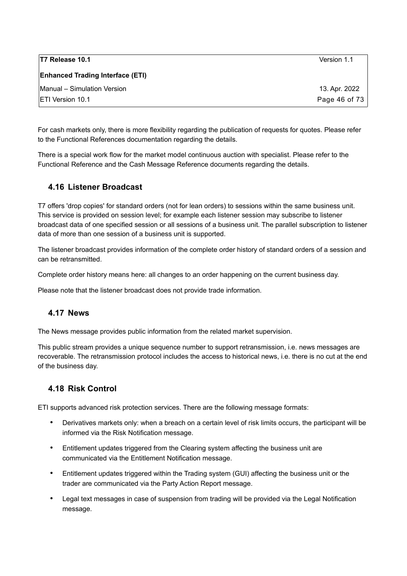| <b>T7 Release 10.1</b>                  | Version 1.1   |
|-----------------------------------------|---------------|
| <b>Enhanced Trading Interface (ETI)</b> |               |
| Manual – Simulation Version             | 13. Apr. 2022 |
| <b>IETI Version 10.1</b>                | Page 46 of 73 |

For cash markets only, there is more flexibility regarding the publication of requests for quotes. Please refer to the Functional References documentation regarding the details.

There is a special work flow for the market model continuous auction with specialist. Please refer to the Functional Reference and the Cash Message Reference documents regarding the details.

## **4.16 Listener Broadcast**

T7 offers 'drop copies' for standard orders (not for lean orders) to sessions within the same business unit. This service is provided on session level; for example each listener session may subscribe to listener broadcast data of one specified session or all sessions of a business unit. The parallel subscription to listener data of more than one session of a business unit is supported.

The listener broadcast provides information of the complete order history of standard orders of a session and can be retransmitted.

Complete order history means here: all changes to an order happening on the current business day.

Please note that the listener broadcast does not provide trade information.

### **4.17 News**

The News message provides public information from the related market supervision.

This public stream provides a unique sequence number to support retransmission, i.e. news messages are recoverable. The retransmission protocol includes the access to historical news, i.e. there is no cut at the end of the business day.

# **4.18 Risk Control**

ETI supports advanced risk protection services. There are the following message formats:

- Derivatives markets only: when a breach on a certain level of risk limits occurs, the participant will be informed via the Risk Notification message.
- Entitlement updates triggered from the Clearing system affecting the business unit are communicated via the Entitlement Notification message.
- Entitlement updates triggered within the Trading system (GUI) affecting the business unit or the trader are communicated via the Party Action Report message.
- Legal text messages in case of suspension from trading will be provided via the Legal Notification message.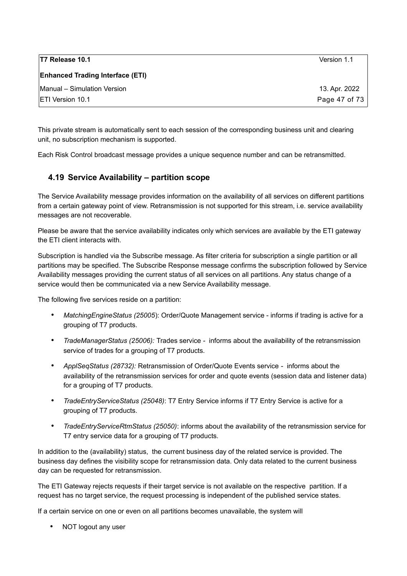| T7 Release 10.1                         | Version 1.1   |
|-----------------------------------------|---------------|
| <b>Enhanced Trading Interface (ETI)</b> |               |
| Manual - Simulation Version             | 13. Apr. 2022 |
| <b>IETI Version 10.1</b>                | Page 47 of 73 |

This private stream is automatically sent to each session of the corresponding business unit and clearing unit, no subscription mechanism is supported.

Each Risk Control broadcast message provides a unique sequence number and can be retransmitted.

# <span id="page-46-0"></span>**4.19 Service Availability – partition scope**

The Service Availability message provides information on the availability of all services on different partitions from a certain gateway point of view. Retransmission is not supported for this stream, i.e. service availability messages are not recoverable.

Please be aware that the service availability indicates only which services are available by the ETI gateway the ETI client interacts with.

Subscription is handled via the Subscribe message. As filter criteria for subscription a single partition or all partitions may be specified. The Subscribe Response message confirms the subscription followed by Service Availability messages providing the current status of all services on all partitions. Any status change of a service would then be communicated via a new Service Availability message.

The following five services reside on a partition:

- *MatchingEngineStatus (25005*): Order/Quote Management service informs if trading is active for a grouping of T7 products.
- *TradeManagerStatus (25006):* Trades serviceinforms about the availability of the retransmission service of trades for a grouping of T7 products.
- *ApplSeqStatus (28732):* Retransmission of Order/Quote Events service informs about the availability of the retransmission services for order and quote events (session data and listener data) for a grouping of T7 products.
- *TradeEntryServiceStatus (25048)*: T7 Entry Service informs if T7 Entry Service is active for a grouping of T7 products.
- *TradeEntryServiceRtmStatus (25050)*: informs about the availability of the retransmission service for T7 entry service data for a grouping of T7 products.

In addition to the (availability) status, the current business day of the related service is provided. The business day defines the visibility scope for retransmission data. Only data related to the current business day can be requested for retransmission.

The ETI Gateway rejects requests if their target service is not available on the respective partition. If a request has no target service, the request processing is independent of the published service states.

If a certain service on one or even on all partitions becomes unavailable, the system will

• NOT logout any user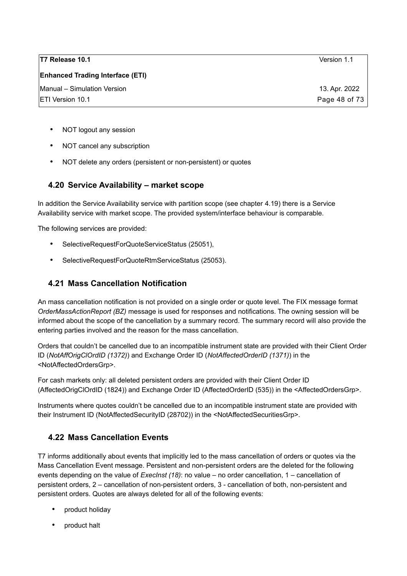**Enhanced Trading Interface (ETI)**

- NOT logout any session
- NOT cancel any subscription
- NOT delete any orders (persistent or non-persistent) or quotes

### **4.20 Service Availability – market scope**

In addition the Service Availability service with partition scope (see chapter [4.19\)](#page-46-0) there is a Service Availability service with market scope. The provided system/interface behaviour is comparable.

The following services are provided:

- SelectiveRequestForQuoteServiceStatus (25051),
- SelectiveRequestForQuoteRtmServiceStatus (25053).

### <span id="page-47-0"></span>**4.21 Mass Cancellation Notification**

An mass cancellation notification is not provided on a single order or quote level. The FIX message format *OrderMassActionReport (BZ)* message is used for responses and notifications. The owning session will be informed about the scope of the cancellation by a summary record. The summary record will also provide the entering parties involved and the reason for the mass cancellation.

Orders that couldn't be cancelled due to an incompatible instrument state are provided with their Client Order ID (*NotAffOrigClOrdID (1372)*) and Exchange Order ID (*NotAffectedOrderID (1371)*) in the <NotAffectedOrdersGrp>.

For cash markets only: all deleted persistent orders are provided with their Client Order ID (AffectedOrigClOrdID (1824)) and Exchange Order ID (AffectedOrderID (535)) in the <AffectedOrdersGrp>.

Instruments where quotes couldn't be cancelled due to an incompatible instrument state are provided with their Instrument ID (NotAffectedSecurityID (28702)) in the <NotAffectedSecuritiesGrp>.

### **4.22 Mass Cancellation Events**

T7 informs additionally about events that implicitly led to the mass cancellation of orders or quotes via the Mass Cancellation Event message. Persistent and non-persistent orders are the deleted for the following events depending on the value of *ExecInst (18)*: no value – no order cancellation, 1 – cancellation of persistent orders, 2 – cancellation of non-persistent orders, 3 - cancellation of both, non-persistent and persistent orders. Quotes are always deleted for all of the following events:

- product holiday
- product halt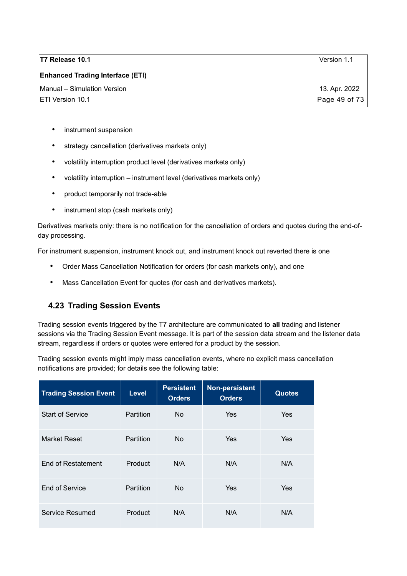#### **Enhanced Trading Interface (ETI)**

- instrument suspension
- strategy cancellation (derivatives markets only)
- volatility interruption product level (derivatives markets only)
- volatility interruption instrument level (derivatives markets only)
- product temporarily not trade-able
- instrument stop (cash markets only)

Derivatives markets only: there is no notification for the cancellation of orders and quotes during the end-ofday processing.

For instrument suspension, instrument knock out, and instrument knock out reverted there is one

- Order Mass Cancellation Notification for orders (for cash markets only), and one
- Mass Cancellation Event for quotes (for cash and derivatives markets).

# **4.23 Trading Session Events**

Trading session events triggered by the T7 architecture are communicated to **all** trading and listener sessions via the Trading Session Event message. It is part of the session data stream and the listener data stream, regardless if orders or quotes were entered for a product by the session.

Trading session events might imply mass cancellation events, where no explicit mass cancellation notifications are provided; for details see the following table:

| <b>Trading Session Event</b> | <b>Level</b> | <b>Persistent</b><br><b>Orders</b> | Non-persistent<br><b>Orders</b> | <b>Quotes</b> |
|------------------------------|--------------|------------------------------------|---------------------------------|---------------|
| <b>Start of Service</b>      | Partition    | No.                                | Yes                             | Yes           |
| <b>Market Reset</b>          | Partition    | No.                                | Yes                             | Yes           |
| End of Restatement           | Product      | N/A                                | N/A                             | N/A           |
| End of Service               | Partition    | No.                                | Yes                             | Yes           |
| Service Resumed              | Product      | N/A                                | N/A                             | N/A           |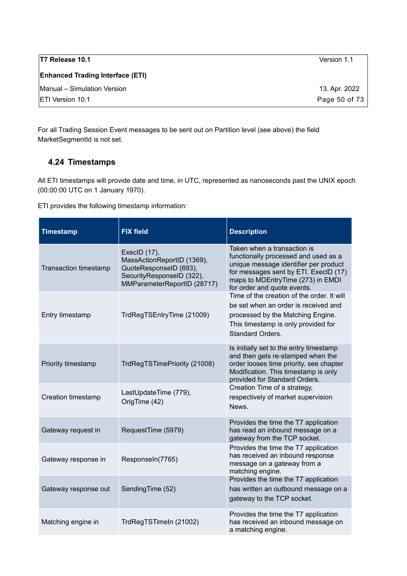| <b>T7 Release 10.1</b>                  | Version 1.1   |
|-----------------------------------------|---------------|
| <b>Enhanced Trading Interface (ETI)</b> |               |
| Manual – Simulation Version             | 13. Apr. 2022 |
| <b>IETI Version 10.1</b>                | Page 50 of 73 |

For all Trading Session Event messages to be sent out on Partition level (see above) the field MarketSegmentId is not set.

# **4.24 Timestamps**

All ETI timestamps will provide date and time, in UTC, represented as nanoseconds past the UNIX epoch (00:00:00 UTC on 1 January 1970).

ETI provides the following timestamp information:

| <b>Timestamp</b>      | <b>FIX field</b>                                                                                                                 | <b>Description</b>                                                                                                                                                                                                                                                                                                                                                                                                     |  |
|-----------------------|----------------------------------------------------------------------------------------------------------------------------------|------------------------------------------------------------------------------------------------------------------------------------------------------------------------------------------------------------------------------------------------------------------------------------------------------------------------------------------------------------------------------------------------------------------------|--|
| Transaction timestamp | ExecID (17),<br>MassActionReportID (1369),<br>QuoteResponseID (693),<br>SecurityResponseID (322),<br>MMParameterReportID (28717) | Taken when a transaction is<br>functionally processed and used as a<br>unique message identifier per product<br>for messages sent by ETI. ExecID (17)<br>maps to MDEntryTime (273) in EMDI<br>for order and quote events.<br>Time of the creation of the order. It will<br>be set when an order is received and<br>processed by the Matching Engine.<br>This timestamp is only provided for<br><b>Standard Orders.</b> |  |
| Entry timestamp       | TrdRegTSEntryTime (21009)                                                                                                        |                                                                                                                                                                                                                                                                                                                                                                                                                        |  |
| Priority timestamp    | TrdRegTSTimePriority (21008)                                                                                                     | Is initially set to the entry timestamp<br>and then gets re-stamped when the<br>order looses time priority, see chapter<br>Modification. This timestamp is only<br>provided for Standard Orders.                                                                                                                                                                                                                       |  |
| Creation timestamp    | LastUpdateTime (779),<br>OrigTime (42)                                                                                           | Creation Time of a strategy,<br>respectively of market supervision<br>News.                                                                                                                                                                                                                                                                                                                                            |  |
| Gateway request in    | RequestTime (5979)                                                                                                               | Provides the time the T7 application<br>has read an inbound message on a<br>gateway from the TCP socket.                                                                                                                                                                                                                                                                                                               |  |
| Gateway response in   | Responseln(7765)                                                                                                                 | Provides the time the T7 application<br>has received an inbound response<br>message on a gateway from a<br>matching engine.                                                                                                                                                                                                                                                                                            |  |
| Gateway response out  | SendingTime (52)                                                                                                                 | Provides the time the T7 application<br>has written an outbound message on a<br>gateway to the TCP socket.                                                                                                                                                                                                                                                                                                             |  |
| Matching engine in    | TrdRegTSTimeIn (21002)                                                                                                           | Provides the time the T7 application<br>has received an inbound message on<br>a matching engine.                                                                                                                                                                                                                                                                                                                       |  |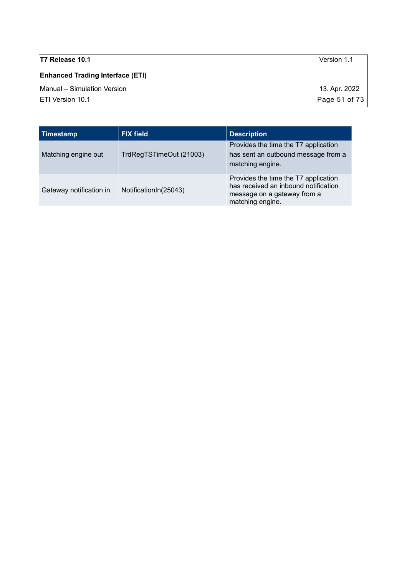**Enhanced Trading Interface (ETI)**

Manual – Simulation Version 13. Apr. 2022

| Timestamp               | <b>FIX field</b>        | <b>Description</b>                                                                                                              |
|-------------------------|-------------------------|---------------------------------------------------------------------------------------------------------------------------------|
| Matching engine out     | TrdRegTSTimeOut (21003) | Provides the time the T7 application<br>has sent an outbound message from a<br>matching engine.                                 |
| Gateway notification in | Notification In (25043) | Provides the time the T7 application<br>has received an inbound notification<br>message on a gateway from a<br>matching engine. |

 $\boxed{\text{ETI Version 10.1}}$  Page 51 of 73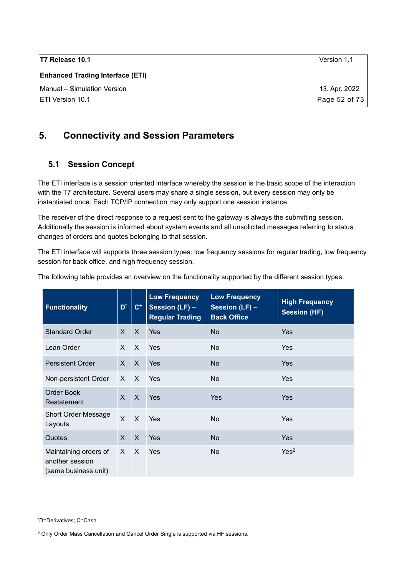| <b>T7 Release 10.1</b>                  | Version 1.1   |
|-----------------------------------------|---------------|
| <b>Enhanced Trading Interface (ETI)</b> |               |
| Manual - Simulation Version             | 13. Apr. 2022 |
| <b>IETI Version 10.1</b>                | Page 52 of 73 |
|                                         |               |

# **5. Connectivity and Session Parameters**

### **5.1 Session Concept**

The ETI interface is a session oriented interface whereby the session is the basic scope of the interaction with the T7 architecture. Several users may share a single session, but every session may only be instantiated once. Each TCP/IP connection may only support one session instance.

The receiver of the direct response to a request sent to the gateway is always the submitting session. Additionally the session is informed about system events and all unsolicited messages referring to status changes of orders and quotes belonging to that session.

The ETI interface will supports three session types: low frequency sessions for regular trading, low frequency session for back office, and high frequency session.

| <b>Functionality</b>                                             | $D^*$        | $C^*$        | <b>Low Frequency</b><br>Session (LF) -<br><b>Regular Trading</b> | <b>Low Frequency</b><br>Session (LF) -<br><b>Back Office</b> | <b>High Frequency</b><br><b>Session (HF)</b> |
|------------------------------------------------------------------|--------------|--------------|------------------------------------------------------------------|--------------------------------------------------------------|----------------------------------------------|
| <b>Standard Order</b>                                            | $\mathsf{X}$ | $\mathsf{X}$ | Yes                                                              | <b>No</b>                                                    | <b>Yes</b>                                   |
| Lean Order                                                       | $\mathsf{X}$ | $\mathsf{X}$ | Yes                                                              | No                                                           | <b>Yes</b>                                   |
| <b>Persistent Order</b>                                          | X            | $\mathsf{X}$ | Yes                                                              | <b>No</b>                                                    | <b>Yes</b>                                   |
| Non-persistent Order                                             | X ·          | $\mathsf{X}$ | Yes                                                              | N <sub>o</sub>                                               | <b>Yes</b>                                   |
| <b>Order Book</b><br>Restatement                                 | $X$ $X$      |              | Yes                                                              | <b>Yes</b>                                                   | Yes                                          |
| <b>Short Order Message</b><br>Layouts                            | $\mathsf{X}$ | $\mathsf{X}$ | Yes                                                              | No                                                           | Yes                                          |
| Quotes                                                           | $\mathsf{X}$ | $\mathsf{X}$ | Yes                                                              | <b>No</b>                                                    | <b>Yes</b>                                   |
| Maintaining orders of<br>another session<br>(same business unit) | $\mathsf{X}$ | $\mathsf{X}$ | Yes                                                              | N <sub>o</sub>                                               | Yes <sup>2</sup>                             |

The following table provides an overview on the functionality supported by the different session types:

<span id="page-51-1"></span><span id="page-51-0"></span><sup>2</sup> Only Order Mass Cancellation and Cancel Order Single is supported via HF sessions.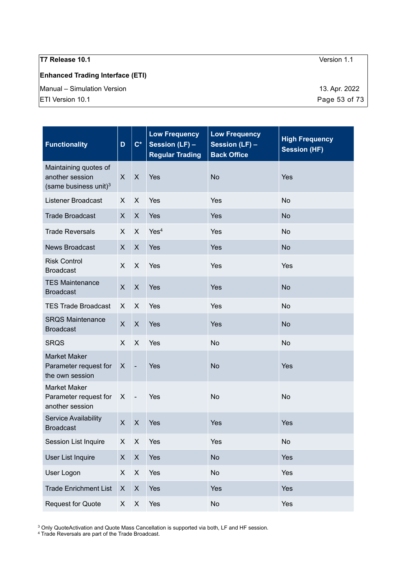## **Enhanced Trading Interface (ETI)**

Manual – Simulation Version 13. Apr. 2022

| <b>Functionality</b>                                                          | D            | $C^*$                      | <b>Low Frequency</b><br>Session (LF) -<br><b>Regular Trading</b> | <b>Low Frequency</b><br>Session (LF) -<br><b>Back Office</b> | <b>High Frequency</b><br><b>Session (HF)</b> |
|-------------------------------------------------------------------------------|--------------|----------------------------|------------------------------------------------------------------|--------------------------------------------------------------|----------------------------------------------|
| Maintaining quotes of<br>another session<br>(same business unit) <sup>3</sup> | $\mathsf{X}$ | $\sf X$                    | Yes                                                              | <b>No</b>                                                    | Yes                                          |
| <b>Listener Broadcast</b>                                                     | X            | X                          | Yes                                                              | Yes                                                          | <b>No</b>                                    |
| <b>Trade Broadcast</b>                                                        | $\mathsf{X}$ | X                          | Yes                                                              | Yes                                                          | <b>No</b>                                    |
| <b>Trade Reversals</b>                                                        | X.           | X                          | Yes <sup>4</sup>                                                 | Yes                                                          | <b>No</b>                                    |
| <b>News Broadcast</b>                                                         | X            | $\boldsymbol{X}$           | Yes                                                              | Yes                                                          | <b>No</b>                                    |
| <b>Risk Control</b><br><b>Broadcast</b>                                       | X            | X                          | Yes                                                              | Yes                                                          | Yes                                          |
| <b>TES Maintenance</b><br><b>Broadcast</b>                                    | X            | $\boldsymbol{\mathsf{X}}$  | Yes                                                              | Yes                                                          | <b>No</b>                                    |
| <b>TES Trade Broadcast</b>                                                    | X.           | X                          | Yes                                                              | Yes                                                          | <b>No</b>                                    |
| <b>SRQS Maintenance</b><br><b>Broadcast</b>                                   | $\mathsf{X}$ | X                          | Yes                                                              | Yes                                                          | <b>No</b>                                    |
| <b>SRQS</b>                                                                   | X.           | X                          | Yes                                                              | <b>No</b>                                                    | <b>No</b>                                    |
| <b>Market Maker</b><br>Parameter request for<br>the own session               | X            | $\overline{\phantom{a}}$   | Yes                                                              | <b>No</b>                                                    | Yes                                          |
| <b>Market Maker</b><br>Parameter request for<br>another session               | X            | $\overline{\phantom{a}}$ . | Yes                                                              | <b>No</b>                                                    | <b>No</b>                                    |
| Service Availability<br><b>Broadcast</b>                                      | X            | X                          | Yes                                                              | Yes                                                          | Yes                                          |
| Session List Inquire                                                          | X            | X                          | Yes                                                              | Yes                                                          | <b>No</b>                                    |
| <b>User List Inquire</b>                                                      | X            | $\boldsymbol{\mathsf{X}}$  | Yes                                                              | <b>No</b>                                                    | Yes                                          |
| User Logon                                                                    | $\mathsf{X}$ | $\mathsf X$                | Yes                                                              | <b>No</b>                                                    | Yes                                          |
| <b>Trade Enrichment List</b>                                                  | X            | $\boldsymbol{\mathsf{X}}$  | Yes                                                              | Yes                                                          | Yes                                          |
| <b>Request for Quote</b>                                                      | X            | $\mathsf X$                | Yes                                                              | No                                                           | Yes                                          |

<span id="page-52-0"></span>3 Only QuoteActivation and Quote Mass Cancellation is supported via both, LF and HF session. 4 Trade Reversals are part of the Trade Broadcast.

<span id="page-52-1"></span>

ETI Version 10.1 **Page 53 of 73**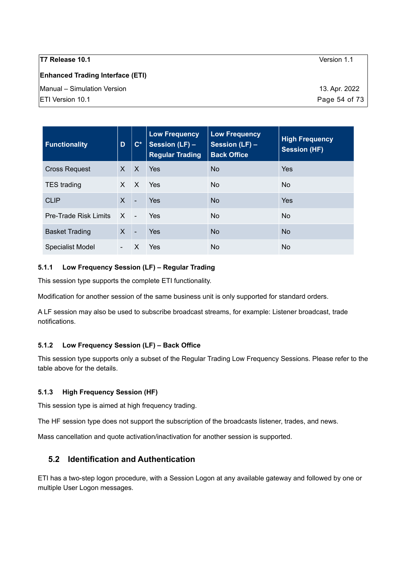| T7 Release 10.1                         | Version 1.1   |
|-----------------------------------------|---------------|
| <b>Enhanced Trading Interface (ETI)</b> |               |
| Manual – Simulation Version             | 13. Apr. 2022 |
| ETI Version 10.1                        | Page 54 of 73 |
|                                         |               |

| <b>Functionality</b>         | D            | $\mathbf{C}^*$           | <b>Low Frequency</b><br>Session (LF) -<br><b>Regular Trading</b> | <b>Low Frequency</b><br>Session (LF) -<br><b>Back Office</b> | <b>High Frequency</b><br><b>Session (HF)</b> |
|------------------------------|--------------|--------------------------|------------------------------------------------------------------|--------------------------------------------------------------|----------------------------------------------|
| <b>Cross Request</b>         | X            | $\mathsf{X}$             | Yes                                                              | <b>No</b>                                                    | Yes                                          |
| <b>TES trading</b>           | $\mathsf{X}$ | $\mathsf{X}$             | Yes                                                              | <b>No</b>                                                    | No.                                          |
| <b>CLIP</b>                  | $\mathsf{X}$ | $\blacksquare$           | Yes                                                              | <b>No</b>                                                    | Yes                                          |
| <b>Pre-Trade Risk Limits</b> | $X -$        |                          | Yes                                                              | No                                                           | <b>No</b>                                    |
| <b>Basket Trading</b>        | $\mathsf{X}$ | $\overline{\phantom{a}}$ | Yes                                                              | <b>No</b>                                                    | N <sub>o</sub>                               |
| <b>Specialist Model</b>      |              | X                        | Yes                                                              | No                                                           | No.                                          |

#### **5.1.1 Low Frequency Session (LF) – Regular Trading**

This session type supports the complete ETI functionality.

Modification for another session of the same business unit is only supported for standard orders.

A LF session may also be used to subscribe broadcast streams, for example: Listener broadcast, trade notifications.

#### **5.1.2 Low Frequency Session (LF) – Back Office**

This session type supports only a subset of the Regular Trading Low Frequency Sessions. Please refer to the table above for the details.

#### **5.1.3 High Frequency Session (HF)**

This session type is aimed at high frequency trading.

The HF session type does not support the subscription of the broadcasts listener, trades, and news.

Mass cancellation and quote activation/inactivation for another session is supported.

### **5.2 Identification and Authentication**

ETI has a two-step logon procedure, with a Session Logon at any available gateway and followed by one or multiple User Logon messages.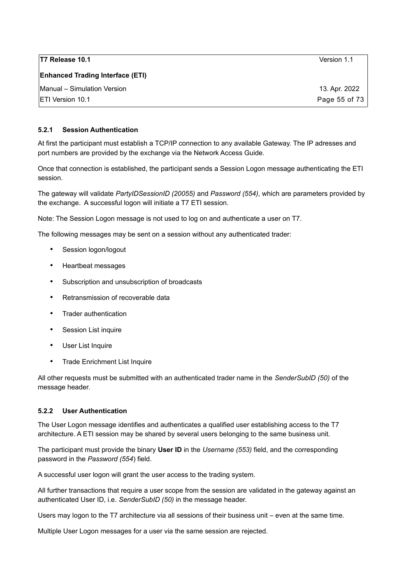| T7 Release 10.1                         | Version 1.1   |
|-----------------------------------------|---------------|
| <b>Enhanced Trading Interface (ETI)</b> |               |
| Manual - Simulation Version             | 13. Apr. 2022 |
| <b>IETI Version 10.1</b>                | Page 55 of 73 |

#### **5.2.1 Session Authentication**

At first the participant must establish a TCP/IP connection to any available Gateway. The IP adresses and port numbers are provided by the exchange via the Network Access Guide.

Once that connection is established, the participant sends a Session Logon message authenticating the ETI session.

The gateway will validate *PartyIDSessionID (20055)* and *Password (554)*, which are parameters provided by the exchange. A successful logon will initiate a T7 ETI session.

Note: The Session Logon message is not used to log on and authenticate a user on T7.

The following messages may be sent on a session without any authenticated trader:

- Session logon/logout
- Heartbeat messages
- Subscription and unsubscription of broadcasts
- Retransmission of recoverable data
- Trader authentication
- Session List inquire
- User List Inquire
- Trade Enrichment List Inquire

All other requests must be submitted with an authenticated trader name in the *SenderSubID (50)* of the message header.

#### **5.2.2 User Authentication**

The User Logon message identifies and authenticates a qualified user establishing access to the T7 architecture. A ETI session may be shared by several users belonging to the same business unit.

The participant must provide the binary **User ID** in the *Username (553)* field, and the corresponding password in the *Password (554*) field.

A successful user logon will grant the user access to the trading system.

All further transactions that require a user scope from the session are validated in the gateway against an authenticated User ID, i.e. *SenderSubID (50)* in the message header.

Users may logon to the T7 architecture via all sessions of their business unit – even at the same time.

Multiple User Logon messages for a user via the same session are rejected.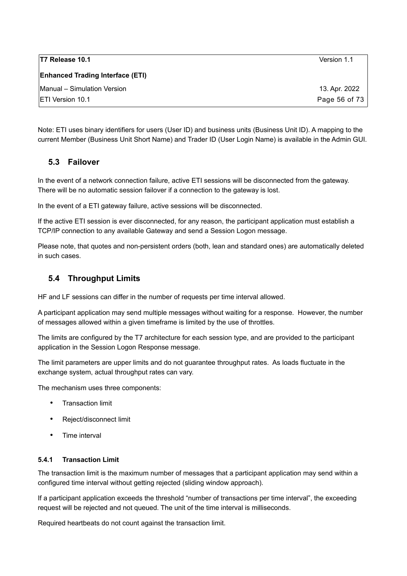| T7 Release 10.1                         | Version 1.1   |
|-----------------------------------------|---------------|
| <b>Enhanced Trading Interface (ETI)</b> |               |
| Manual - Simulation Version             | 13. Apr. 2022 |
| <b>IETI Version 10.1</b>                | Page 56 of 73 |

Note: ETI uses binary identifiers for users (User ID) and business units (Business Unit ID). A mapping to the current Member (Business Unit Short Name) and Trader ID (User Login Name) is available in the Admin GUI.

## **5.3 Failover**

In the event of a network connection failure, active ETI sessions will be disconnected from the gateway. There will be no automatic session failover if a connection to the gateway is lost.

In the event of a ETI gateway failure, active sessions will be disconnected.

If the active ETI session is ever disconnected, for any reason, the participant application must establish a TCP/IP connection to any available Gateway and send a Session Logon message.

Please note, that quotes and non-persistent orders (both, lean and standard ones) are automatically deleted in such cases.

## **5.4 Throughput Limits**

HF and LF sessions can differ in the number of requests per time interval allowed.

A participant application may send multiple messages without waiting for a response. However, the number of messages allowed within a given timeframe is limited by the use of throttles.

The limits are configured by the T7 architecture for each session type, and are provided to the participant application in the Session Logon Response message.

The limit parameters are upper limits and do not guarantee throughput rates. As loads fluctuate in the exchange system, actual throughput rates can vary.

The mechanism uses three components:

- Transaction limit
- Reject/disconnect limit
- Time interval

#### **5.4.1 Transaction Limit**

The transaction limit is the maximum number of messages that a participant application may send within a configured time interval without getting rejected (sliding window approach).

If a participant application exceeds the threshold "number of transactions per time interval", the exceeding request will be rejected and not queued. The unit of the time interval is milliseconds.

Required heartbeats do not count against the transaction limit.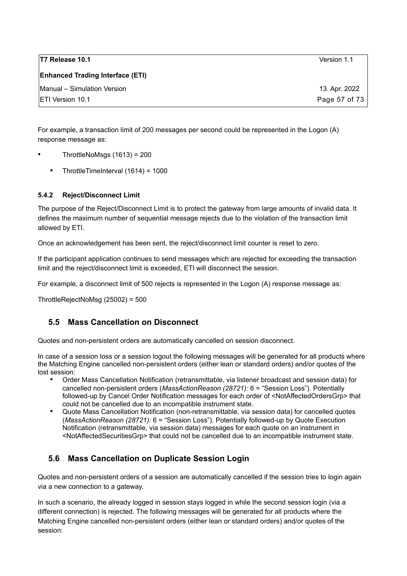| T7 Release 10.1                         | Version 1.1   |
|-----------------------------------------|---------------|
| <b>Enhanced Trading Interface (ETI)</b> |               |
| Manual - Simulation Version             | 13. Apr. 2022 |
| <b>IETI Version 10.1</b>                | Page 57 of 73 |

For example, a transaction limit of 200 messages per second could be represented in the Logon (A) response message as:

- $ThrottleNoMsqs$   $(1613) = 200$ 
	- ThrottleTimeInterval (1614) = 1000

#### **5.4.2 Reject/Disconnect Limit**

The purpose of the Reject/Disconnect Limit is to protect the gateway from large amounts of invalid data. It defines the maximum number of sequential message rejects due to the violation of the transaction limit allowed by ETI.

Once an acknowledgement has been sent, the reject/disconnect limit counter is reset to zero.

If the participant application continues to send messages which are rejected for exceeding the transaction limit and the reject/disconnect limit is exceeded, ETI will disconnect the session.

For example, a disconnect limit of 500 rejects is represented in the Logon (A) response message as:

ThrottleRejectNoMsg (25002) = 500

### **5.5 Mass Cancellation on Disconnect**

Quotes and non-persistent orders are automatically cancelled on session disconnect.

In case of a session loss or a session logout the following messages will be generated for all products where the Matching Engine cancelled non-persistent orders (either lean or standard orders) and/or quotes of the lost session:

- Order Mass Cancellation Notification (retransmittable, via listener broadcast and session data) for cancelled non-persistent orders (*MassActionReason (28721):* 6 = "Session Loss"). Potentially followed-up by Cancel Order Notification messages for each order of <NotAffectedOrdersGrp> that could not be cancelled due to an incompatible instrument state.
- Quote Mass Cancellation Notification (non-retransmittable, via session data) for cancelled quotes (*MassActionReason (28721):* 6 = "Session Loss"). Potentially followed-up by Quote Execution Notification (retransmittable, via session data) messages for each quote on an instrument in <NotAffectedSecuritiesGrp> that could not be cancelled due to an incompatible instrument state.

# **5.6 Mass Cancellation on Duplicate Session Login**

Quotes and non-persistent orders of a session are automatically cancelled if the session tries to login again via a new connection to a gateway.

In such a scenario, the already logged in session stays logged in while the second session login (via a different connection) is rejected. The following messages will be generated for all products where the Matching Engine cancelled non-persistent orders (either lean or standard orders) and/or quotes of the session: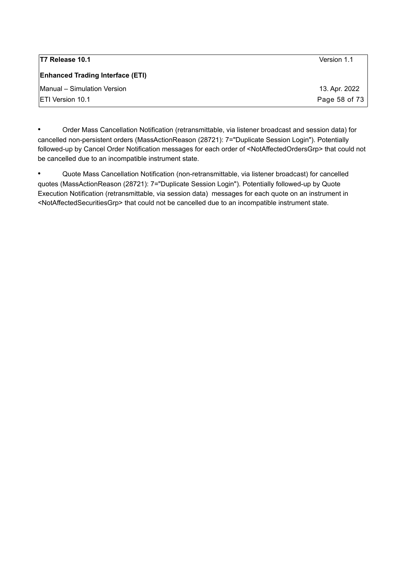| <b>T7 Release 10.1</b>                  | Version 1.1   |
|-----------------------------------------|---------------|
| <b>Enhanced Trading Interface (ETI)</b> |               |
| Manual - Simulation Version             | 13. Apr. 2022 |
| <b>IETI Version 10.1</b>                | Page 58 of 73 |

• Order Mass Cancellation Notification (retransmittable, via listener broadcast and session data) for cancelled non-persistent orders (MassActionReason (28721): 7="Duplicate Session Login"). Potentially followed-up by Cancel Order Notification messages for each order of <NotAffectedOrdersGrp> that could not be cancelled due to an incompatible instrument state.

• Quote Mass Cancellation Notification (non-retransmittable, via listener broadcast) for cancelled quotes (MassActionReason (28721): 7="Duplicate Session Login"). Potentially followed-up by Quote Execution Notification (retransmittable, via session data) messages for each quote on an instrument in <NotAffectedSecuritiesGrp> that could not be cancelled due to an incompatible instrument state.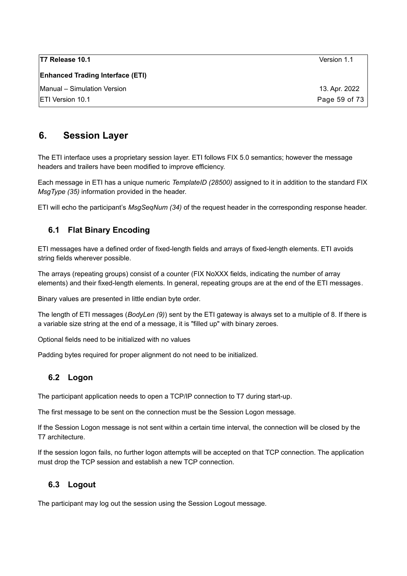| T7 Release 10.1                         | Version 1.1   |
|-----------------------------------------|---------------|
| <b>Enhanced Trading Interface (ETI)</b> |               |
| Manual – Simulation Version             | 13. Apr. 2022 |
| <b>IETI Version 10.1</b>                | Page 59 of 73 |

# **6. Session Layer**

The ETI interface uses a proprietary session layer. ETI follows FIX 5.0 semantics; however the message headers and trailers have been modified to improve efficiency.

Each message in ETI has a unique numeric *TemplateID (28500)* assigned to it in addition to the standard FIX *MsgType (35)* information provided in the header.

ETI will echo the participant's *MsgSeqNum (34)* of the request header in the corresponding response header.

# **6.1 Flat Binary Encoding**

ETI messages have a defined order of fixed-length fields and arrays of fixed-length elements. ETI avoids string fields wherever possible.

The arrays (repeating groups) consist of a counter (FIX NoXXX fields, indicating the number of array elements) and their fixed-length elements. In general, repeating groups are at the end of the ETI messages.

Binary values are presented in little endian byte order.

The length of ETI messages (*BodyLen (9)*) sent by the ETI gateway is always set to a multiple of 8. If there is a variable size string at the end of a message, it is "filled up" with binary zeroes.

Optional fields need to be initialized with no values

Padding bytes required for proper alignment do not need to be initialized.

### **6.2 Logon**

The participant application needs to open a TCP/IP connection to T7 during start-up.

The first message to be sent on the connection must be the Session Logon message.

If the Session Logon message is not sent within a certain time interval, the connection will be closed by the T7 architecture.

If the session logon fails, no further logon attempts will be accepted on that TCP connection. The application must drop the TCP session and establish a new TCP connection.

# **6.3 Logout**

The participant may log out the session using the Session Logout message.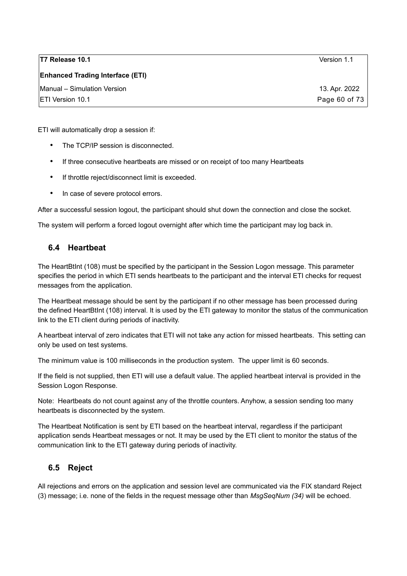#### **Enhanced Trading Interface (ETI)**

Manual – Simulation Version 13. Apr. 2022 ETI Version 10.1 Page 60 of 73

ETI will automatically drop a session if:

- The TCP/IP session is disconnected.
- If three consecutive heartbeats are missed or on receipt of too many Heartbeats
- If throttle reject/disconnect limit is exceeded.
- In case of severe protocol errors.

After a successful session logout, the participant should shut down the connection and close the socket.

The system will perform a forced logout overnight after which time the participant may log back in.

### **6.4 Heartbeat**

The HeartBtInt (108) must be specified by the participant in the Session Logon message. This parameter specifies the period in which ETI sends heartbeats to the participant and the interval ETI checks for request messages from the application.

The Heartbeat message should be sent by the participant if no other message has been processed during the defined HeartBtInt (108) interval. It is used by the ETI gateway to monitor the status of the communication link to the ETI client during periods of inactivity.

A heartbeat interval of zero indicates that ETI will not take any action for missed heartbeats. This setting can only be used on test systems.

The minimum value is 100 milliseconds in the production system. The upper limit is 60 seconds.

If the field is not supplied, then ETI will use a default value. The applied heartbeat interval is provided in the Session Logon Response.

Note: Heartbeats do not count against any of the throttle counters. Anyhow, a session sending too many heartbeats is disconnected by the system.

The Heartbeat Notification is sent by ETI based on the heartbeat interval, regardless if the participant application sends Heartbeat messages or not. It may be used by the ETI client to monitor the status of the communication link to the ETI gateway during periods of inactivity.

### **6.5 Reject**

All rejections and errors on the application and session level are communicated via the FIX standard Reject (3) message; i.e. none of the fields in the request message other than *MsgSeqNum (34)* will be echoed.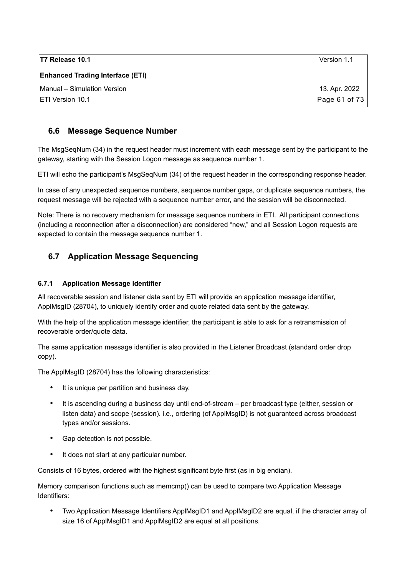| T7 Release 10.1                         | Version 1.1   |
|-----------------------------------------|---------------|
| <b>Enhanced Trading Interface (ETI)</b> |               |
| Manual - Simulation Version             | 13. Apr. 2022 |
| <b>ETI Version 10.1</b>                 | Page 61 of 73 |

## **6.6 Message Sequence Number**

The MsgSeqNum (34) in the request header must increment with each message sent by the participant to the gateway, starting with the Session Logon message as sequence number 1.

ETI will echo the participant's MsgSeqNum (34) of the request header in the corresponding response header.

In case of any unexpected sequence numbers, sequence number gaps, or duplicate sequence numbers, the request message will be rejected with a sequence number error, and the session will be disconnected.

Note: There is no recovery mechanism for message sequence numbers in ETI. All participant connections (including a reconnection after a disconnection) are considered "new," and all Session Logon requests are expected to contain the message sequence number 1.

# **6.7 Application Message Sequencing**

#### **6.7.1 Application Message Identifier**

All recoverable session and listener data sent by ETI will provide an application message identifier, ApplMsgID (28704), to uniquely identify order and quote related data sent by the gateway.

With the help of the application message identifier, the participant is able to ask for a retransmission of recoverable order/quote data.

The same application message identifier is also provided in the Listener Broadcast (standard order drop copy).

The ApplMsgID (28704) has the following characteristics:

- It is unique per partition and business day.
- It is ascending during a business day until end-of-stream per broadcast type (either, session or listen data) and scope (session). i.e., ordering (of ApplMsgID) is not guaranteed across broadcast types and/or sessions.
- Gap detection is not possible.
- It does not start at any particular number.

Consists of 16 bytes, ordered with the highest significant byte first (as in big endian).

Memory comparison functions such as memcmp() can be used to compare two Application Message Identifiers:

• Two Application Message Identifiers ApplMsgID1 and ApplMsgID2 are equal, if the character array of size 16 of ApplMsgID1 and ApplMsgID2 are equal at all positions.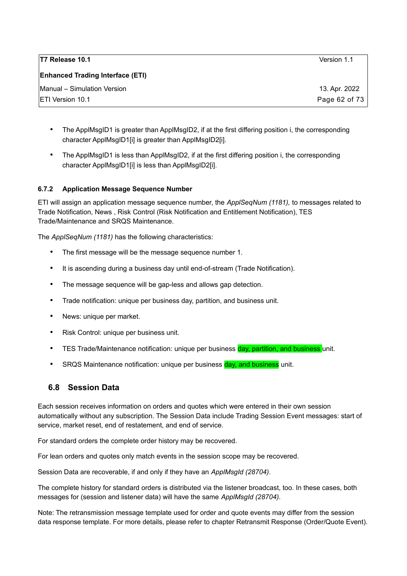| T7 Release 10.1                         | Version 1.1   |
|-----------------------------------------|---------------|
| <b>Enhanced Trading Interface (ETI)</b> |               |
| Manual - Simulation Version             | 13. Apr. 2022 |
| <b>ETI Version 10.1</b>                 | Page 62 of 73 |

- The ApplMsgID1 is greater than ApplMsgID2, if at the first differing position i, the corresponding character ApplMsgID1[i] is greater than ApplMsgID2[i].
- The ApplMsgID1 is less than ApplMsgID2, if at the first differing position i, the corresponding character ApplMsgID1[i] is less than ApplMsgID2[i].

#### **6.7.2 Application Message Sequence Number**

ETI will assign an application message sequence number, the *ApplSeqNum (1181),* to messages related to Trade Notification, News , Risk Control (Risk Notification and Entitlement Notification), TES Trade/Maintenance and SRQS Maintenance.

The *ApplSeqNum (1181)* has the following characteristics:

- The first message will be the message sequence number 1.
- It is ascending during a business day until end-of-stream (Trade Notification).
- The message sequence will be gap-less and allows gap detection.
- Trade notification: unique per business day, partition, and business unit.
- News: unique per market.
- Risk Control: unique per business unit.
- TES Trade/Maintenance notification: unique per business day, partition, and business unit.
- SRQS Maintenance notification: unique per business day, and business unit.

### **6.8 Session Data**

Each session receives information on orders and quotes which were entered in their own session automatically without any subscription. The Session Data include Trading Session Event messages: start of service, market reset, end of restatement, and end of service.

For standard orders the complete order history may be recovered.

For lean orders and quotes only match events in the session scope may be recovered.

Session Data are recoverable, if and only if they have an *ApplMsgId (28704)*.

The complete history for standard orders is distributed via the listener broadcast, too. In these cases, both messages for (session and listener data) will have the same *ApplMsgId (28704)*.

Note: The retransmission message template used for order and quote events may differ from the session data response template. For more details, please refer to chapter Retransmit Response (Order/Quote Event).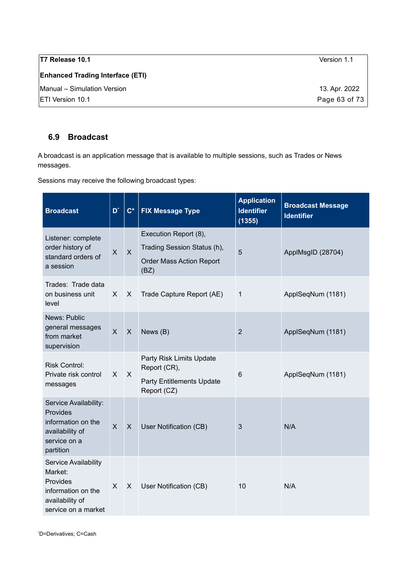| <b>T7 Release 10.1</b>                  | Version 1.1   |
|-----------------------------------------|---------------|
| <b>Enhanced Trading Interface (ETI)</b> |               |
| Manual - Simulation Version             | 13. Apr. 2022 |
| <b>IETI Version 10.1</b>                | Page 63 of 73 |

### <span id="page-62-0"></span>**6.9 Broadcast**

A broadcast is an application message that is available to multiple sessions, such as Trades or News messages.

Sessions may receive the following broadcast types:

<span id="page-62-1"></span>

| <b>Broadcast</b>                                                                                            | $\overline{D}^*$        | $C^*$          | <b>FIX Message Type</b>                                                                         | <b>Application</b><br><b>Identifier</b><br>(1355) | <b>Broadcast Message</b><br><b>Identifier</b> |
|-------------------------------------------------------------------------------------------------------------|-------------------------|----------------|-------------------------------------------------------------------------------------------------|---------------------------------------------------|-----------------------------------------------|
| Listener: complete<br>order history of<br>standard orders of<br>a session                                   | $\mathsf{X}$            | $\overline{X}$ | Execution Report (8),<br>Trading Session Status (h),<br><b>Order Mass Action Report</b><br>(BZ) | 5                                                 | ApplMsgID (28704)                             |
| Trades: Trade data<br>on business unit<br>level                                                             | X                       | X              | Trade Capture Report (AE)                                                                       | 1                                                 | ApplSeqNum (1181)                             |
| News: Public<br>general messages<br>from market<br>supervision                                              | $\overline{\mathsf{X}}$ | $\mathsf{X}$   | News (B)                                                                                        | $\overline{2}$                                    | ApplSeqNum (1181)                             |
| <b>Risk Control:</b><br>Private risk control<br>messages                                                    | X                       | $\mathsf{X}$   | Party Risk Limits Update<br>Report (CR),<br><b>Party Entitlements Update</b><br>Report (CZ)     | $6\phantom{1}6$                                   | ApplSeqNum (1181)                             |
| Service Availability:<br>Provides<br>information on the<br>availability of<br>service on a<br>partition     | $\overline{X}$          | X              | User Notification (CB)                                                                          | 3                                                 | N/A                                           |
| Service Availability<br>Market:<br>Provides<br>information on the<br>availability of<br>service on a market | X                       | X              | User Notification (CB)                                                                          | 10                                                | N/A                                           |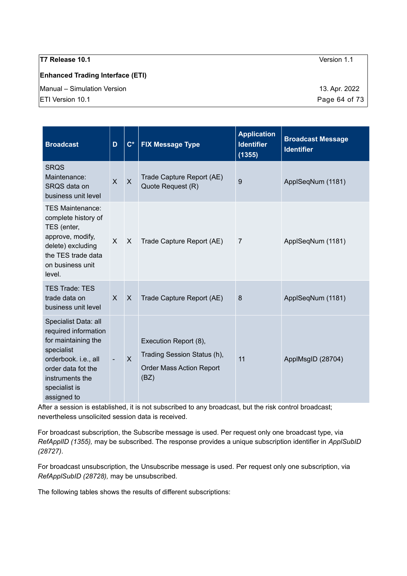#### **Enhanced Trading Interface (ETI)**

Manual – Simulation Version 13. Apr. 2022

| <b>Broadcast</b>                                                                                                                                                                   | D                        | $\mathbf{C}^*$ | <b>FIX Message Type</b>                                                                         | <b>Application</b><br><b>Identifier</b><br>(1355) | <b>Broadcast Message</b><br><b>Identifier</b> |
|------------------------------------------------------------------------------------------------------------------------------------------------------------------------------------|--------------------------|----------------|-------------------------------------------------------------------------------------------------|---------------------------------------------------|-----------------------------------------------|
| <b>SRQS</b><br>Maintenance:<br>SRQS data on<br>business unit level                                                                                                                 | $\mathsf{X}$             | $\overline{X}$ | Trade Capture Report (AE)<br>Quote Request (R)                                                  | 9                                                 | ApplSeqNum (1181)                             |
| <b>TES Maintenance:</b><br>complete history of<br>TES (enter,<br>approve, modify,<br>delete) excluding<br>the TES trade data<br>on business unit<br>level.                         | $\mathsf{X}$             | $\mathsf{X}$   | Trade Capture Report (AE)                                                                       | $\overline{7}$                                    | ApplSeqNum (1181)                             |
| <b>TES Trade: TES</b><br>trade data on<br>business unit level                                                                                                                      | $\mathsf{X}$             | $\mathsf{X}$   | Trade Capture Report (AE)                                                                       | 8                                                 | ApplSeqNum (1181)                             |
| Specialist Data: all<br>required information<br>for maintaining the<br>specialist<br>orderbook. i.e., all<br>order data fot the<br>instruments the<br>specialist is<br>assigned to | $\overline{\phantom{a}}$ | $\mathsf{x}$   | Execution Report (8),<br>Trading Session Status (h),<br><b>Order Mass Action Report</b><br>(BZ) | 11                                                | ApplMsgID (28704)                             |

After a session is established, it is not subscribed to any broadcast, but the risk control broadcast; nevertheless unsolicited session data is received.

For broadcast subscription, the Subscribe message is used. Per request only one broadcast type, via *RefApplID (1355),* may be subscribed. The response provides a unique subscription identifier in *ApplSubID (28727)*.

For broadcast unsubscription, the Unsubscribe message is used*.* Per request only one subscription, via *RefApplSubID (28728),* may be unsubscribed.

The following tables shows the results of different subscriptions:

ETI Version 10.1 **Page 64 of 73**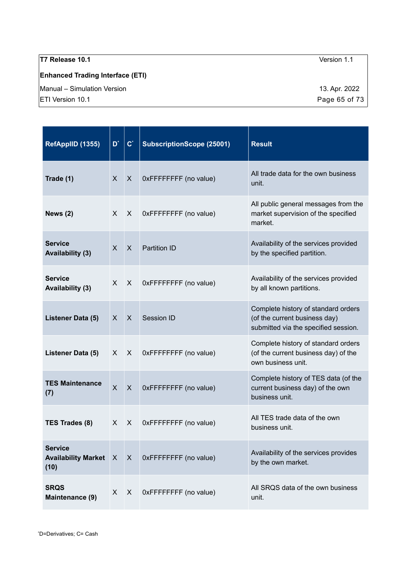# **Enhanced Trading Interface (ETI)**

Manual – Simulation Version 13. Apr. 2022

<span id="page-64-0"></span>

| RefAppIID (1355)                                       | $\overline{\mathsf{D}}^*$ | $\mathbf{C}^*$ | <b>SubscriptionScope (25001)</b> | <b>Result</b>                                                                                                |
|--------------------------------------------------------|---------------------------|----------------|----------------------------------|--------------------------------------------------------------------------------------------------------------|
| Trade (1)                                              | X                         | $\sf X$        | 0xFFFFFFFF (no value)            | All trade data for the own business<br>unit.                                                                 |
| News $(2)$                                             | X                         | X              | 0xFFFFFFFF (no value)            | All public general messages from the<br>market supervision of the specified<br>market.                       |
| <b>Service</b><br><b>Availability (3)</b>              | X                         | X              | <b>Partition ID</b>              | Availability of the services provided<br>by the specified partition.                                         |
| <b>Service</b><br><b>Availability (3)</b>              | X                         | $\times$       | 0xFFFFFFFF (no value)            | Availability of the services provided<br>by all known partitions.                                            |
| Listener Data (5)                                      | X                         | X              | Session ID                       | Complete history of standard orders<br>(of the current business day)<br>submitted via the specified session. |
| Listener Data (5)                                      | X.                        | X              | 0xFFFFFFFF (no value)            | Complete history of standard orders<br>(of the current business day) of the<br>own business unit.            |
| <b>TES Maintenance</b><br>(7)                          | $\times$                  | X              | 0xFFFFFFFF (no value)            | Complete history of TES data (of the<br>current business day) of the own<br>business unit.                   |
| TES Trades (8)                                         | X                         | X              | 0xFFFFFFFF (no value)            | All TES trade data of the own<br>business unit.                                                              |
| <b>Service</b><br><b>Availability Market X</b><br>(10) |                           | $\mathsf{X}$   | 0xFFFFFFFF (no value)            | Availability of the services provides<br>by the own market.                                                  |
| <b>SRQS</b><br>Maintenance (9)                         | $\mathsf{X}$              | X              | 0xFFFFFFFF (no value)            | All SRQS data of the own business<br>unit.                                                                   |

 $\boxed{\textsf{ETI}}$  Version 10.1 **Page 65 of 73**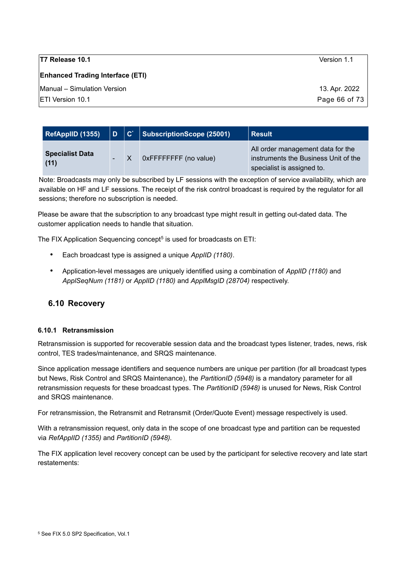#### **Enhanced Trading Interface (ETI)**

Manual – Simulation Version 13. Apr. 2022

ETI Version 10.1 Page 66 of 73

| RefAppIID (1355)               | $\mathsf{D}$ | $ {\bf C}^* $ | SubscriptionScope (25001) | <b>Result</b>                                                                                           |
|--------------------------------|--------------|---------------|---------------------------|---------------------------------------------------------------------------------------------------------|
| <b>Specialist Data</b><br>(11) |              |               | 0xFFFFFFFFF (no value)    | All order management data for the<br>instruments the Business Unit of the<br>specialist is assigned to. |

Note: Broadcasts may only be subscribed by LF sessions with the exception of service availability, which are available on HF and LF sessions. The receipt of the risk control broadcast is required by the regulator for all sessions; therefore no subscription is needed.

Please be aware that the subscription to any broadcast type might result in getting out-dated data. The customer application needs to handle that situation.

The FIX Application Sequencing concept<sup>[5](#page-65-0)</sup> is used for broadcasts on ETI:

- Each broadcast type is assigned a unique *ApplID (1180)*.
- Application-level messages are uniquely identified using a combination of *ApplID (1180)* and *ApplSeqNum (1181)* or *ApplID (1180)* and *ApplMsgID (28704)* respectively.

### **6.10 Recovery**

#### **6.10.1 Retransmission**

Retransmission is supported for recoverable session data and the broadcast types listener, trades, news, risk control, TES trades/maintenance, and SRQS maintenance.

Since application message identifiers and sequence numbers are unique per partition (for all broadcast types but News, Risk Control and SRQS Maintenance), the *PartitionID (5948)* is a mandatory parameter for all retransmission requests for these broadcast types. The *PartitionID (5948)* is unused for News, Risk Control and SRQS maintenance.

For retransmission, the Retransmit and Retransmit (Order/Quote Event) message respectively is used.

With a retransmission request, only data in the scope of one broadcast type and partition can be requested via *RefApplID (1355)* and *PartitionID (5948).*

<span id="page-65-0"></span>The FIX application level recovery concept can be used by the participant for selective recovery and late start restatements: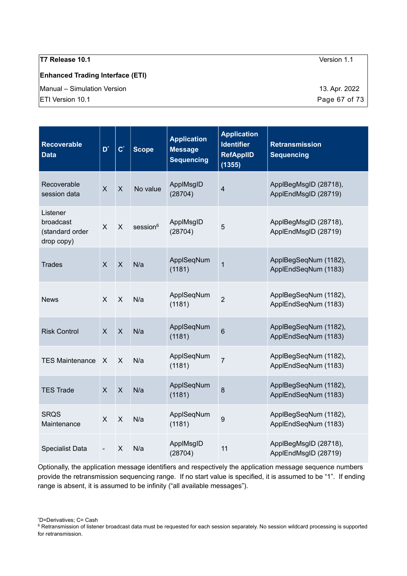#### **Enhanced Trading Interface (ETI)**

Manual – Simulation Version 13. Apr. 2022

| <b>Recoverable</b><br><b>Data</b>                      | $D^*$                     | $\mathbf{C}^*$            | <b>Scope</b>         | <b>Application</b><br><b>Message</b><br><b>Sequencing</b> | <b>Application</b><br><b>Identifier</b><br><b>RefAppIID</b><br>(1355) | <b>Retransmission</b><br><b>Sequencing</b>    |
|--------------------------------------------------------|---------------------------|---------------------------|----------------------|-----------------------------------------------------------|-----------------------------------------------------------------------|-----------------------------------------------|
| Recoverable<br>session data                            | $\overline{\mathsf{X}}$   | $\pmb{\times}$            | No value             | ApplMsgID<br>(28704)                                      | $\overline{4}$                                                        | ApplBegMsgID (28718),<br>ApplEndMsgID (28719) |
| Listener<br>broadcast<br>(standard order<br>drop copy) | $\mathsf{X}$              | $\mathsf{X}$              | session <sup>6</sup> | ApplMsgID<br>(28704)                                      | 5                                                                     | ApplBegMsgID (28718),<br>ApplEndMsgID (28719) |
| <b>Trades</b>                                          | $\overline{\mathsf{X}}$   | $\mathsf{X}$              | N/a                  | ApplSeqNum<br>(1181)                                      | $\overline{1}$                                                        | ApplBegSeqNum (1182),<br>ApplEndSeqNum (1183) |
| <b>News</b>                                            | X                         | $\pmb{\times}$            | N/a                  | ApplSeqNum<br>(1181)                                      | $\overline{2}$                                                        | ApplBegSeqNum (1182),<br>ApplEndSeqNum (1183) |
| <b>Risk Control</b>                                    | $\boldsymbol{\mathsf{X}}$ | $\pmb{\times}$            | N/a                  | ApplSeqNum<br>(1181)                                      | $6\phantom{1}6$                                                       | ApplBegSeqNum (1182),<br>ApplEndSeqNum (1183) |
| <b>TES Maintenance</b>                                 | X                         | X                         | N/a                  | ApplSeqNum<br>(1181)                                      | $\overline{7}$                                                        | ApplBegSeqNum (1182),<br>ApplEndSeqNum (1183) |
| <b>TES Trade</b>                                       | $\pmb{\times}$            | $\pmb{\times}$            | N/a                  | ApplSeqNum<br>(1181)                                      | 8                                                                     | ApplBegSeqNum (1182),<br>ApplEndSeqNum (1183) |
| <b>SRQS</b><br>Maintenance                             | $\mathsf{X}$              | $\mathsf{X}$              | N/a                  | ApplSeqNum<br>(1181)                                      | 9                                                                     | ApplBegSeqNum (1182),<br>ApplEndSeqNum (1183) |
| <b>Specialist Data</b>                                 |                           | $\boldsymbol{\mathsf{X}}$ | N/a                  | ApplMsgID<br>(28704)                                      | 11                                                                    | ApplBegMsgID (28718),<br>ApplEndMsgID (28719) |

Optionally, the application message identifiers and respectively the application message sequence numbers provide the retransmission sequencing range. If no start value is specified, it is assumed to be "1". If ending range is absent, it is assumed to be infinity ("all available messages").

<span id="page-66-0"></span>\*D=Derivatives; C= Cash

ETI Version 10.1 **Page 67 of 73** 

<span id="page-66-1"></span><sup>&</sup>lt;sup>6</sup> Retransmission of listener broadcast data must be requested for each session separately. No session wildcard processing is supported for retransmission.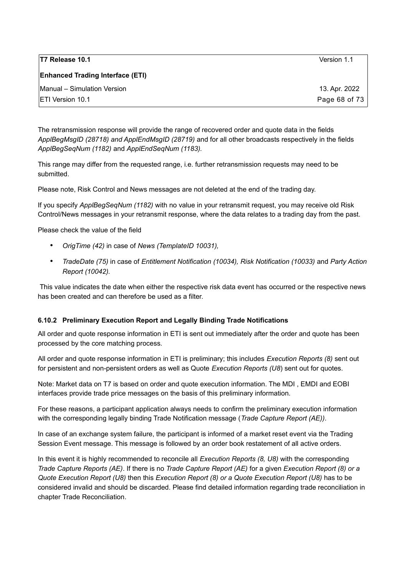| T7 Release 10.1                         | Version 1.1   |
|-----------------------------------------|---------------|
| <b>Enhanced Trading Interface (ETI)</b> |               |
| Manual - Simulation Version             | 13. Apr. 2022 |
| <b>IETI Version 10.1</b>                | Page 68 of 73 |

The retransmission response will provide the range of recovered order and quote data in the fields *ApplBegMsgID (28718) and ApplEndMsgID (28719)* and for all other broadcasts respectively in the fields *ApplBegSeqNum (1182)* and *ApplEndSeqNum (1183).*

This range may differ from the requested range, i.e. further retransmission requests may need to be submitted.

Please note, Risk Control and News messages are not deleted at the end of the trading day.

If you specify *ApplBegSeqNum (1182)* with no value in your retransmit request, you may receive old Risk Control/News messages in your retransmit response, where the data relates to a trading day from the past.

Please check the value of the field

- *OrigTime (42)* in case of *News (TemplateID 10031),*
- *TradeDate (75)* in case of *Entitlement Notification (10034), Risk Notification (10033)* and *Party Action Report (10042).*

This value indicates the date when either the respective risk data event has occurred or the respective news has been created and can therefore be used as a filter.

#### <span id="page-67-0"></span>**6.10.2 Preliminary Execution Report and Legally Binding Trade Notifications**

All order and quote response information in ETI is sent out immediately after the order and quote has been processed by the core matching process.

All order and quote response information in ETI is preliminary; this includes *Execution Reports (8)* sent out for persistent and non-persistent orders as well as Quote *Execution Reports (U8*) sent out for quotes.

Note: Market data on T7 is based on order and quote execution information. The MDI , EMDI and EOBI interfaces provide trade price messages on the basis of this preliminary information.

For these reasons, a participant application always needs to confirm the preliminary execution information with the corresponding legally binding Trade Notification message (*Trade Capture Report (AE))*.

In case of an exchange system failure, the participant is informed of a market reset event via the Trading Session Event message. This message is followed by an order book restatement of all active orders.

In this event it is highly recommended to reconcile all *Execution Reports (8, U8)* with the corresponding *Trade Capture Reports (AE)*. If there is no *Trade Capture Report (AE)* for a given *Execution Report (8) or a Quote Execution Report (U8)* then this *Execution Report (8) or a Quote Execution Report (U8)* has to be considered invalid and should be discarded. Please find detailed information regarding trade reconciliation in chapter [Trade Reconciliation.](#page-42-1)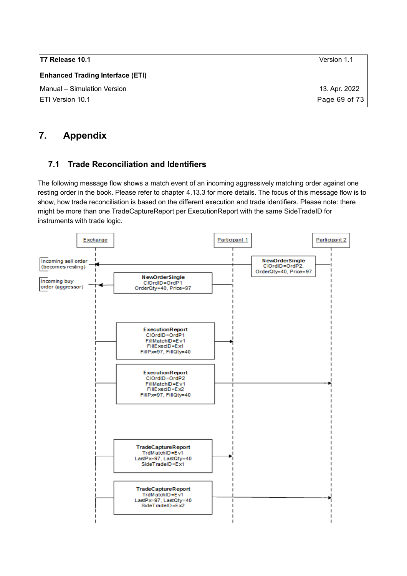| 13. Apr. 2022 |
|---------------|
| Page 69 of 73 |
|               |

# **7. Appendix**

# <span id="page-68-0"></span>**7.1 Trade Reconciliation and Identifiers**

The following message flow shows a match event of an incoming aggressively matching order against one resting order in the book. Please refer to chapter [4.13.3](#page-42-1) for more details. The focus of this message flow is to show, how trade reconciliation is based on the different execution and trade identifiers. Please note: there might be more than one TradeCaptureReport per ExecutionReport with the same SideTradeID for instruments with trade logic.

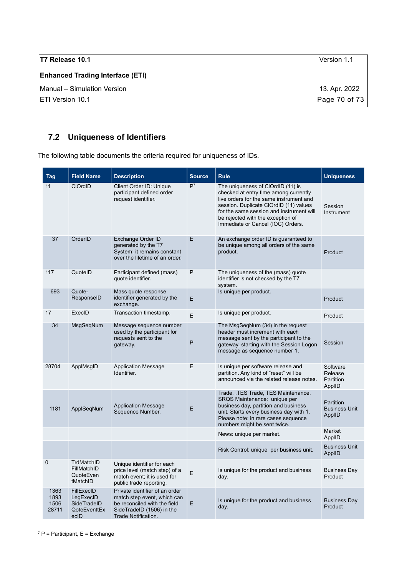| T7 Release 10.1                         | Version 1.1   |
|-----------------------------------------|---------------|
| <b>Enhanced Trading Interface (ETI)</b> |               |
| Manual - Simulation Version             | 13. Apr. 2022 |
| <b>ETI Version 10.1</b>                 | Page 70 of 73 |

# **7.2 Uniqueness of Identifiers**

The following table documents the criteria required for uniqueness of IDs.

<span id="page-69-0"></span>

| <b>Tag</b>                    | <b>Field Name</b>                                              | <b>Description</b>                                                                                                                                | <b>Source</b>  | <b>Rule</b>                                                                                                                                                                                                                                                                           | <b>Uniqueness</b>                                  |
|-------------------------------|----------------------------------------------------------------|---------------------------------------------------------------------------------------------------------------------------------------------------|----------------|---------------------------------------------------------------------------------------------------------------------------------------------------------------------------------------------------------------------------------------------------------------------------------------|----------------------------------------------------|
| 11                            | <b>CIOrdID</b>                                                 | Client Order ID: Unique<br>participant defined order<br>request identifier.                                                                       | P <sup>7</sup> | The uniqueness of ClOrdID (11) is<br>checked at entry time among currently<br>live orders for the same instrument and<br>session. Duplicate ClOrdID (11) values<br>for the same session and instrument will<br>be rejected with the exception of<br>Immediate or Cancel (IOC) Orders. | Session<br>Instrument                              |
| 37                            | OrderID                                                        | Exchange Order ID<br>generated by the T7<br>System; it remains constant<br>over the lifetime of an order.                                         | E              | An exchange order ID is guaranteed to<br>be unique among all orders of the same<br>product.                                                                                                                                                                                           | Product                                            |
| 117                           | QuotelD                                                        | Participant defined (mass)<br>quote identifier.                                                                                                   | P              | The uniqueness of the (mass) quote<br>identifier is not checked by the T7<br>system.                                                                                                                                                                                                  |                                                    |
| 693                           | Quote-<br>ResponseID                                           | Mass quote response<br>identifier generated by the<br>exchange.                                                                                   | E              | Is unique per product.                                                                                                                                                                                                                                                                | Product                                            |
| 17                            | ExecID                                                         | Transaction timestamp.                                                                                                                            | E              | Is unique per product.                                                                                                                                                                                                                                                                | Product                                            |
| 34                            | MsgSegNum                                                      | Message sequence number<br>used by the participant for<br>requests sent to the<br>gateway.                                                        | P              | The MsgSegNum (34) in the request<br>header must increment with each<br>message sent by the participant to the<br>gateway, starting with the Session Logon<br>message as sequence number 1.                                                                                           | Session                                            |
| 28704                         | ApplMsgID                                                      | <b>Application Message</b><br>Identifier.                                                                                                         | E              | Is unique per software release and<br>partition. Any kind of "reset" will be<br>announced via the related release notes.                                                                                                                                                              | Software<br>Release<br>Partition<br>ApplID         |
| 1181                          | ApplSeqNum                                                     | <b>Application Message</b><br>Sequence Number.                                                                                                    | E              | Trade, TES Trade, TES Maintenance,<br>SRQS Maintenance: unique per<br>business day, partition and business<br>unit. Starts every business day with 1.<br>Please note: in rare cases sequence<br>numbers might be sent twice.                                                          | <b>Partition</b><br><b>Business Unit</b><br>ApplID |
|                               |                                                                |                                                                                                                                                   |                | News: unique per market.                                                                                                                                                                                                                                                              | Market<br>ApplID                                   |
|                               |                                                                |                                                                                                                                                   |                | Risk Control: unique per business unit.                                                                                                                                                                                                                                               | <b>Business Unit</b><br>ApplID                     |
| 0                             | TrdMatchID<br>FillMatchID<br>QuoteEven<br>tMatchID             | Unique identifier for each<br>price level (match step) of a<br>match event; it is used for<br>public trade reporting.                             | E              | Is unique for the product and business<br>day.                                                                                                                                                                                                                                        | <b>Business Day</b><br>Product                     |
| 1363<br>1893<br>1506<br>28711 | FillExecID<br>LegExecID<br>SideTradeID<br>QoteEventtEx<br>ecID | Private identifier of an order<br>match step event, which can<br>be reconciled with the field<br>SideTradeID (1506) in the<br>Trade Notification. | E              | Is unique for the product and business<br>day.                                                                                                                                                                                                                                        | <b>Business Day</b><br>Product                     |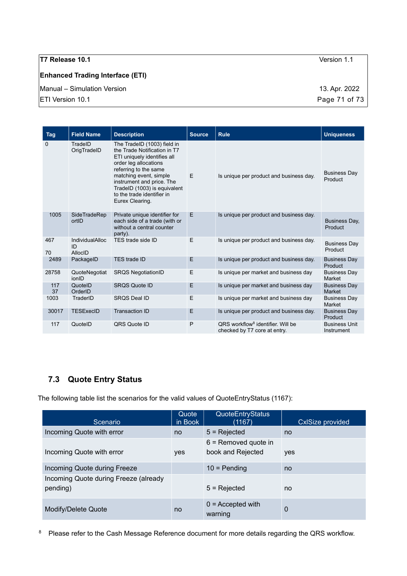#### **Enhanced Trading Interface (ETI)**

Manual – Simulation Version 13. Apr. 2022

| <b>Tag</b> | <b>Field Name</b>                       | <b>Description</b>                                                                                                                                                                                                                                                                   | <b>Source</b> | <b>Rule</b>                                                                   | <b>Uniqueness</b>                  |
|------------|-----------------------------------------|--------------------------------------------------------------------------------------------------------------------------------------------------------------------------------------------------------------------------------------------------------------------------------------|---------------|-------------------------------------------------------------------------------|------------------------------------|
| 0          | TradeID<br>OrigTradeID                  | The TradelD (1003) field in<br>the Trade Notification in T7<br>ETI uniquely identifies all<br>order leg allocations<br>referring to the same<br>matching event, simple<br>instrument and price. The<br>TradelD (1003) is equivalent<br>to the trade identifier in<br>Eurex Clearing. | F.            | Is unique per product and business day.                                       | <b>Business Day</b><br>Product     |
| 1005       | SideTradeRep<br>ortID                   | Private unique identifier for<br>each side of a trade (with or<br>without a central counter<br>party).                                                                                                                                                                               | E.            | Is unique per product and business day.                                       | Business Day,<br>Product           |
| 467<br>70  | <b>IndividualAlloc</b><br>ID<br>AllocID | TES trade side ID                                                                                                                                                                                                                                                                    | E             | Is unique per product and business day.                                       | <b>Business Day</b><br>Product     |
| 2489       | PackageID                               | <b>TES trade ID</b>                                                                                                                                                                                                                                                                  | E             | Is unique per product and business day.                                       | <b>Business Day</b><br>Product     |
| 28758      | QuoteNegotiat<br>ionID                  | <b>SRQS NegotiationID</b>                                                                                                                                                                                                                                                            | E             | Is unique per market and business day                                         | <b>Business Day</b><br>Market      |
| 117<br>37  | QuotelD<br>OrderID                      | <b>SRQS Quote ID</b>                                                                                                                                                                                                                                                                 | E             | Is unique per market and business day                                         | <b>Business Day</b><br>Market      |
| 1003       | TraderID                                | <b>SRQS Deal ID</b>                                                                                                                                                                                                                                                                  | E             | Is unique per market and business day                                         | <b>Business Day</b><br>Market      |
| 30017      | <b>TESExecID</b>                        | Transaction ID                                                                                                                                                                                                                                                                       | E             | Is unique per product and business day.                                       | <b>Business Day</b><br>Product     |
| 117        | QuotelD                                 | QRS Quote ID                                                                                                                                                                                                                                                                         | P             | ORS workflow <sup>8</sup> identifier. Will be<br>checked by T7 core at entry. | <b>Business Unit</b><br>Instrument |

# **7.3 Quote Entry Status**

The following table list the scenarios for the valid values of QuoteEntryStatus (1167):

| Scenario                                          | Quote<br>in Book | QuoteEntryStatus<br>(1167)                  | CxISize provided |
|---------------------------------------------------|------------------|---------------------------------------------|------------------|
| Incoming Quote with error                         | no               | $5 =$ Rejected                              | no               |
| Incoming Quote with error                         | yes              | $6$ = Removed quote in<br>book and Rejected | yes              |
| Incoming Quote during Freeze                      |                  | $10 =$ Pending                              | no               |
| Incoming Quote during Freeze (already<br>pending) |                  | $5 =$ Rejected                              | no               |
| Modify/Delete Quote                               | no               | $0 =$ Accepted with<br>warning              | 0                |

<span id="page-70-0"></span><sup>8</sup> Please refer to the Cash Message Reference document for more details regarding the QRS workflow.

ETI Version 10.1 **Page 71 of 73**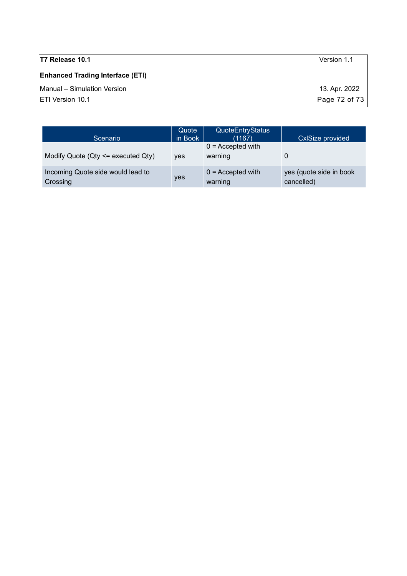# **Enhanced Trading Interface (ETI)**

Manual – Simulation Version 13. Apr. 2022

 $\boxed{\text{ETI Version 10.1}}$  Page 72 of 73

| Scenario                                      | Quote<br>in Book | <b>QuoteEntryStatus</b><br>(1167) | <b>CxISize provided</b>               |
|-----------------------------------------------|------------------|-----------------------------------|---------------------------------------|
| Modify Quote ( $Qty \leq x$ executed $Qty$ )  | <b>ves</b>       | $0 =$ Accepted with<br>warning    |                                       |
| Incoming Quote side would lead to<br>Crossing | yes              | $0 =$ Accepted with<br>warning    | yes (quote side in book<br>cancelled) |